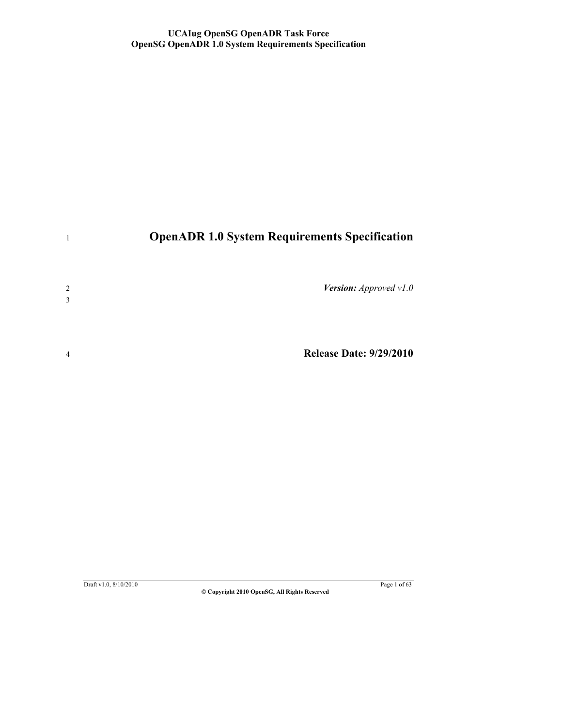**OpenADR 1.0 System Requirements Specification**  *Version: Approved v1.0*  3 **Release Date: 9/29/2010**

Draft v1.0, 8/10/2010 Page 1 of 63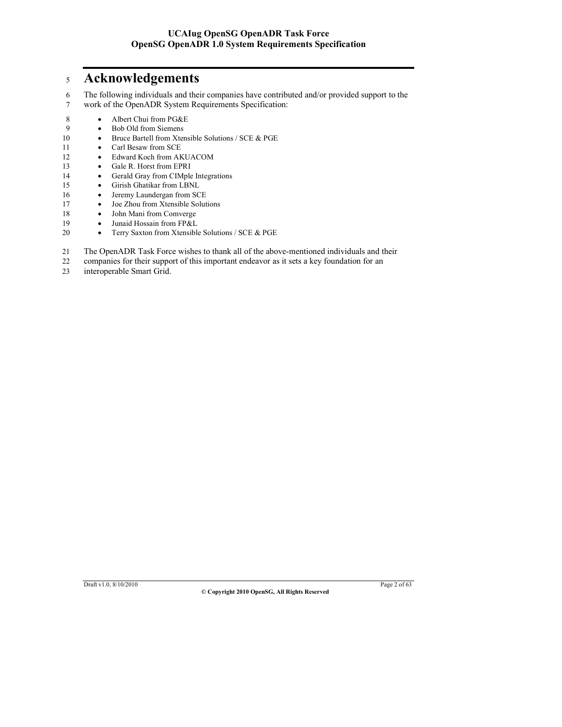### <sup>5</sup>**Acknowledgements**

6 The following individuals and their companies have contributed and/or provided support to the 7 work of the OpenADR System Requirements Specification:

- 8 Albert Chui from PG&E
	-
- 9 Bob Old from Siemens<br>10 Bruce Bartell from Xter • Bruce Bartell from Xtensible Solutions / SCE & PGE
- 11 Carl Besaw from SCE
- 12 Edward Koch from AKUACOM
- 13 Gale R. Horst from EPRI<br>14 Gerald Grav from CIMple
- 14 Gerald Gray from CIMple Integrations
- 15 Girish Ghatikar from LBNL
- 16 Jeremy Laundergan from SCE<br>17 Joe Zhou from Xtensible Solut
- 17 Joe Zhou from Xtensible Solutions<br>18 John Mani from Comverge
- 18 John Mani from Comverge<br>19 Junaid Hossain from FP&L
- Junaid Hossain from FP&L
- 20 Terry Saxton from Xtensible Solutions / SCE & PGE
- 21 The OpenADR Task Force wishes to thank all of the above-mentioned individuals and their
- 22 companies for their support of this important endeavor as it sets a key foundation for an
- 23 interoperable Smart Grid.

**Draft v1.0, 8/10/2010** Page 2 of 63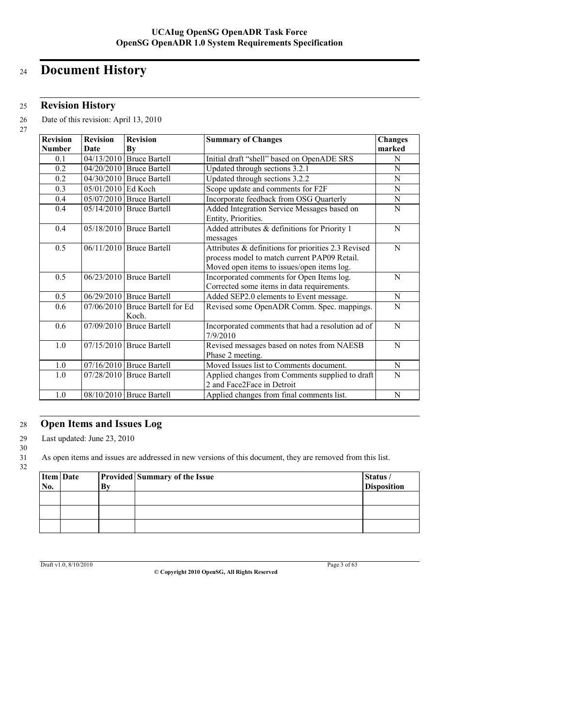### <sup>24</sup>**Document History**

### 25 **Revision History**

26 Date of this revision: April 13, 2010

| ۰ |
|---|
|   |

| <b>Revision</b> | <b>Revision</b>    | <b>Revision</b>                            | <b>Summary of Changes</b>                                                                                                                         | <b>Changes</b> |
|-----------------|--------------------|--------------------------------------------|---------------------------------------------------------------------------------------------------------------------------------------------------|----------------|
| <b>Number</b>   | Date               | Bv                                         |                                                                                                                                                   | marked         |
| 0.1             |                    | $04/13/2010$ Bruce Bartell                 | Initial draft "shell" based on OpenADE SRS                                                                                                        | N              |
| 0.2             |                    | $04/20/2010$ Bruce Bartell                 | Updated through sections 3.2.1                                                                                                                    | N              |
| 0.2             |                    | 04/30/2010 Bruce Bartell                   | Updated through sections 3.2.2                                                                                                                    | N              |
| 0.3             | 05/01/2010 Ed Koch |                                            | Scope update and comments for F2F                                                                                                                 | N              |
| 0.4             |                    | $05/07/2010$ Bruce Bartell                 | Incorporate feedback from OSG Quarterly                                                                                                           | N              |
| 0.4             |                    | $05/14/2010$ Bruce Bartell                 | Added Integration Service Messages based on<br>Entity, Priorities.                                                                                | N              |
| 0.4             |                    | $05/18/2010$ Bruce Bartell                 | Added attributes & definitions for Priority 1<br>messages                                                                                         | N              |
| 0.5             |                    | $06/11/2010$ Bruce Bartell                 | Attributes & definitions for priorities 2.3 Revised<br>process model to match current PAP09 Retail.<br>Moved open items to issues/open items log. |                |
| 0.5             |                    | $06/23/2010$ Bruce Bartell                 | Incorporated comments for Open Items log.<br>Corrected some items in data requirements.                                                           | N              |
| 0.5             |                    | $06/29/2010$ Bruce Bartell                 | Added SEP2.0 elements to Event message.                                                                                                           | N              |
| 0.6             |                    | $07/06/2010$ Bruce Bartell for Ed<br>Koch. | Revised some OpenADR Comm. Spec. mappings.                                                                                                        | N              |
| 0.6             |                    | 07/09/2010 Bruce Bartell                   | Incorporated comments that had a resolution ad of<br>7/9/2010                                                                                     | N              |
| 1.0             |                    | $07/15/2010$ Bruce Bartell                 | Revised messages based on notes from NAESB<br>Phase 2 meeting.                                                                                    | N              |
| 1.0             |                    | $07/16/2010$ Bruce Bartell                 | Moved Issues list to Comments document.                                                                                                           | N              |
| 1.0             |                    | 07/28/2010 Bruce Bartell                   | Applied changes from Comments supplied to draft<br>2 and Face2Face in Detroit                                                                     |                |
| 1.0             |                    | 08/10/2010 Bruce Bartell                   | Applied changes from final comments list.                                                                                                         | N              |

### 28 **Open Items and Issues Log**

29 Last updated: June 23, 2010

30

31 As open items and issues are addressed in new versions of this document, they are removed from this list. 32

|     | <b>Item Date</b> |    | <b>Provided Summary of the Issue</b> | Status /           |
|-----|------------------|----|--------------------------------------|--------------------|
| No. |                  | B۱ |                                      | <b>Disposition</b> |
|     |                  |    |                                      |                    |
|     |                  |    |                                      |                    |
|     |                  |    |                                      |                    |
|     |                  |    |                                      |                    |

Draft v1.0, 8/10/2010 Page 3 of 63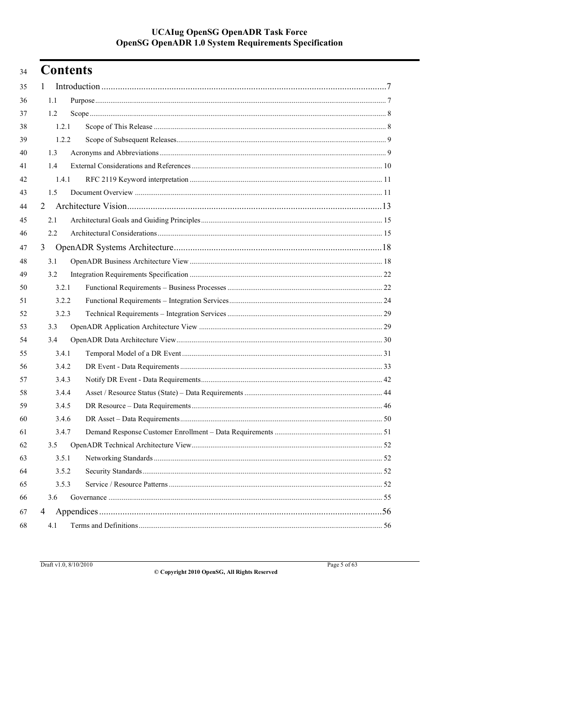|     | <b>Contents</b> |  |
|-----|-----------------|--|
| 1   |                 |  |
| 1.1 |                 |  |
| 1.2 |                 |  |
|     | 1.2.1           |  |
|     | 1.2.2           |  |
| 1.3 |                 |  |
| 1.4 |                 |  |
|     | 1.4.1           |  |
| 1.5 |                 |  |
| 2   |                 |  |
| 2.1 |                 |  |
| 2.2 |                 |  |
| 3   |                 |  |
| 3.1 |                 |  |
| 3.2 |                 |  |
|     | 3.2.1           |  |
|     | 3.2.2           |  |
|     | 3.2.3           |  |
| 3.3 |                 |  |
| 3.4 |                 |  |
|     | 3.4.1           |  |
|     | 3.4.2           |  |
|     | 3.4.3           |  |
|     | 3.4.4           |  |
|     | 3.4.5           |  |
|     | 3.4.6           |  |
|     | 3.4.7           |  |
| 3.5 |                 |  |
|     | 3.5.1           |  |
|     | 3.5.2           |  |
|     | 3.5.3           |  |
| 3.6 |                 |  |
| 4   |                 |  |
| 4.1 |                 |  |
|     |                 |  |

Draft v1.0, 8/10/2010

© Copyright 2010 OpenSG, All Rights Reserved

Page 5 of 63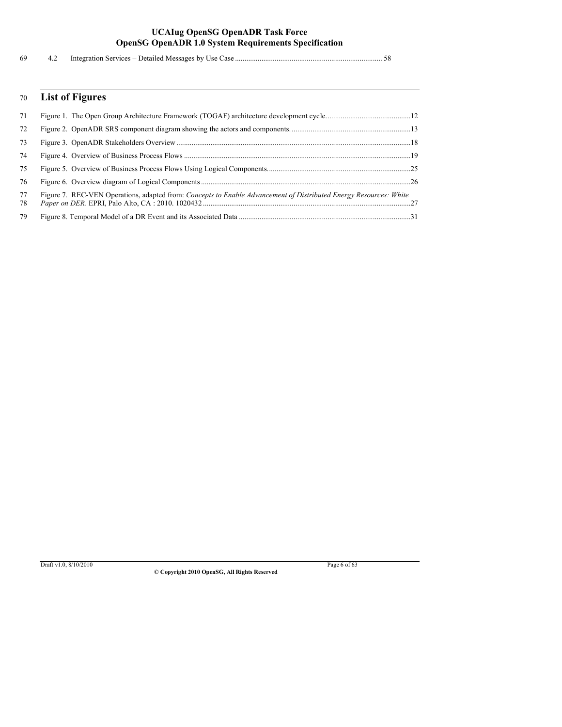| -69 |  |  |  |
|-----|--|--|--|
|-----|--|--|--|

### 70 **List of Figures**

| 71       |                                                                                                                   |  |
|----------|-------------------------------------------------------------------------------------------------------------------|--|
| 72       |                                                                                                                   |  |
| 73       |                                                                                                                   |  |
| 74       |                                                                                                                   |  |
| 75       |                                                                                                                   |  |
| 76       |                                                                                                                   |  |
| 77<br>78 | Figure 7. REC-VEN Operations, adapted from: Concepts to Enable Advancement of Distributed Energy Resources: White |  |
| 79       |                                                                                                                   |  |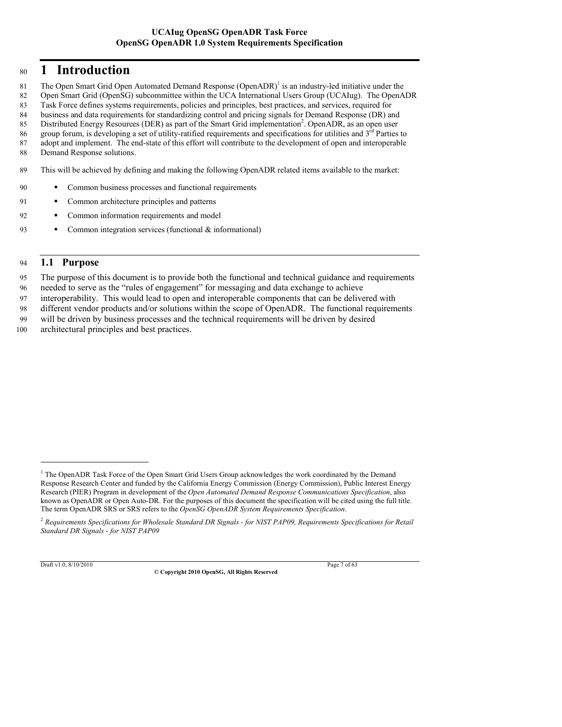### <sup>80</sup>**1 Introduction**

81 The Open Smart Grid Open Automated Demand Response (OpenADR)<sup>1</sup> is an industry-led initiative under the

82 Open Smart Grid (OpenSG) subcommittee within the UCA International Users Group (UCAIug). The OpenADR 83 Task Force defines systems requirements, policies and principles, best practices, and services, required for

84 business and data requirements for standardizing control and pricing signals for Demand Response (DR) and

85 Distributed Energy Resources (DER) as part of the Smart Grid implementation<sup>2</sup>. OpenADR, as an open user

group forum, is developing a set of utility-ratified requirements and specifications for utilities and  $3<sup>rd</sup>$  Parties to

87 adopt and implement. The end-state of this effort will contribute to the development of open and interoperable

88 Demand Response solutions.

89 This will be achieved by defining and making the following OpenADR related items available to the market:

- 90 Common business processes and functional requirements
- 91 Common architecture principles and patterns
- 92 Common information requirements and model
- 93 **Common integration services (functional & informational)**

### 94 **1.1 Purpose**

95 The purpose of this document is to provide both the functional and technical guidance and requirements

96 needed to serve as the "rules of engagement" for messaging and data exchange to achieve

97 interoperability. This would lead to open and interoperable components that can be delivered with

98 different vendor products and/or solutions within the scope of OpenADR. The functional requirements

99 will be driven by business processes and the technical requirements will be driven by desired

100 architectural principles and best practices.

Draft v1.0, 8/10/2010 Page 7 of 63

 $\overline{a}$ 

<sup>&</sup>lt;sup>1</sup> The OpenADR Task Force of the Open Smart Grid Users Group acknowledges the work coordinated by the Demand Response Research Center and funded by the California Energy Commission (Energy Commission), Public Interest Energy Research (PIER) Program in development of the *Open Automated Demand Response Communications Specification*, also known as OpenADR or Open Auto-DR. For the purposes of this document the specification will be cited using the full title. The term OpenADR SRS or SRS refers to the *OpenSG OpenADR System Requirements Specification*.

<sup>2</sup> *Requirements Specifications for Wholesale Standard DR Signals - for NIST PAP09, Requirements Specifications for Retail Standard DR Signals - for NIST PAP09*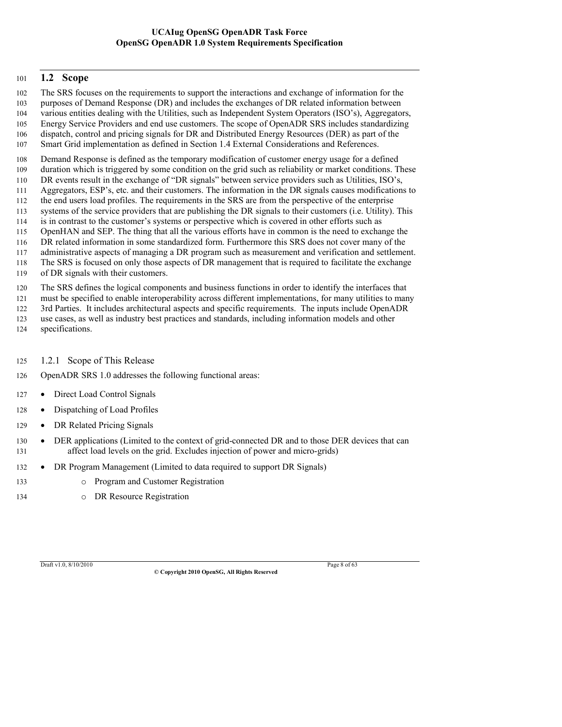### **1.2 Scope**

- The SRS focuses on the requirements to support the interactions and exchange of information for the
- purposes of Demand Response (DR) and includes the exchanges of DR related information between various entities dealing with the Utilities, such as Independent System Operators (ISO's), Aggregators,
- Energy Service Providers and end use customers. The scope of OpenADR SRS includes standardizing
- dispatch, control and pricing signals for DR and Distributed Energy Resources (DER) as part of the
- Smart Grid implementation as defined in Section 1.4 External Considerations and References.

Demand Response is defined as the temporary modification of customer energy usage for a defined duration which is triggered by some condition on the grid such as reliability or market conditions. These

- DR events result in the exchange of "DR signals" between service providers such as Utilities, ISO's,
- Aggregators, ESP's, etc. and their customers. The information in the DR signals causes modifications to
- the end users load profiles. The requirements in the SRS are from the perspective of the enterprise
- systems of the service providers that are publishing the DR signals to their customers (i.e. Utility). This
- is in contrast to the customer's systems or perspective which is covered in other efforts such as
- OpenHAN and SEP. The thing that all the various efforts have in common is the need to exchange the
- DR related information in some standardized form. Furthermore this SRS does not cover many of the
- administrative aspects of managing a DR program such as measurement and verification and settlement.
- The SRS is focused on only those aspects of DR management that is required to facilitate the exchange
- of DR signals with their customers.
- The SRS defines the logical components and business functions in order to identify the interfaces that
- must be specified to enable interoperability across different implementations, for many utilities to many
- 3rd Parties. It includes architectural aspects and specific requirements. The inputs include OpenADR
- use cases, as well as industry best practices and standards, including information models and other
- specifications.
- 1.2.1 Scope of This Release
- OpenADR SRS 1.0 addresses the following functional areas:
- 127 Direct Load Control Signals
- 128 Dispatching of Load Profiles
- 129 DR Related Pricing Signals
- 130 DER applications (Limited to the context of grid-connected DR and to those DER devices that can affect load levels on the grid. Excludes injection of power and micro-grids)
- DR Program Management (Limited to data required to support DR Signals)
- 133 o Program and Customer Registration
- 134 O DR Resource Registration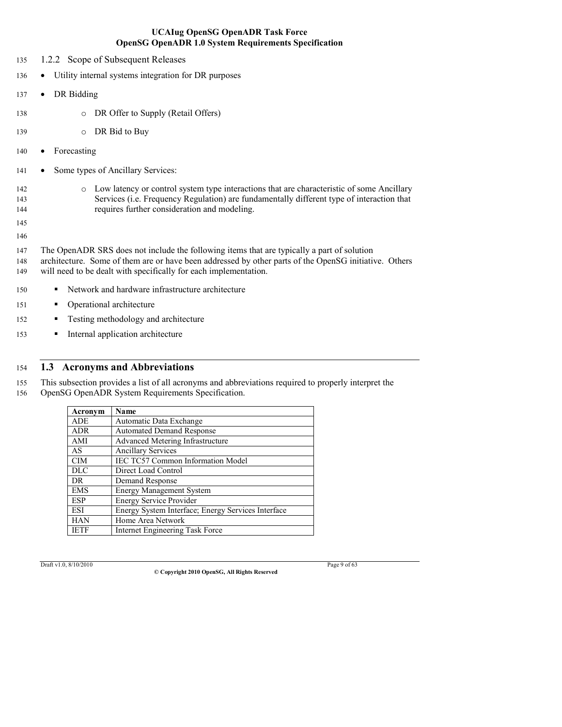- 135 1.2.2 Scope of Subsequent Releases
- <sup>136</sup> Utility internal systems integration for DR purposes
- 137 DR Bidding
- 138 **DR Offer to Supply (Retail Offers)**
- 139 O DR Bid to Buy
- <sup>140</sup> Forecasting
- 141 Some types of Ancillary Services:
- 142 **Solution** Low latency or control system type interactions that are characteristic of some Ancillary 143 Services (i.e. Frequency Regulation) are fundamentally different type of interaction that 144 requires further consideration and modeling.
- 145
- 146

147 The OpenADR SRS does not include the following items that are typically a part of solution 148 architecture. Some of them are or have been addressed by other parts of the OpenSG initiative. Others 149 will need to be dealt with specifically for each implementation.

- 150 Network and hardware infrastructure architecture
- <sup>151</sup> Operational architecture
- 152 **Testing methodology and architecture**
- 153 **Internal application architecture**

### 154 **1.3 Acronyms and Abbreviations**

155 This subsection provides a list of all acronyms and abbreviations required to properly interpret the 156 OpenSG OpenADR System Requirements Specification.

| Acronym     | Name                                               |
|-------------|----------------------------------------------------|
| <b>ADE</b>  | Automatic Data Exchange                            |
| <b>ADR</b>  | <b>Automated Demand Response</b>                   |
| AMI         | Advanced Metering Infrastructure                   |
| AS.         | <b>Ancillary Services</b>                          |
| <b>CIM</b>  | <b>IEC TC57 Common Information Model</b>           |
| DLC         | Direct Load Control                                |
| DR.         | Demand Response                                    |
| <b>EMS</b>  | <b>Energy Management System</b>                    |
| <b>ESP</b>  | <b>Energy Service Provider</b>                     |
| ESI         | Energy System Interface; Energy Services Interface |
| <b>HAN</b>  | Home Area Network                                  |
| <b>IETF</b> | Internet Engineering Task Force                    |

Draft v1.0, 8/10/2010 Page 9 of 63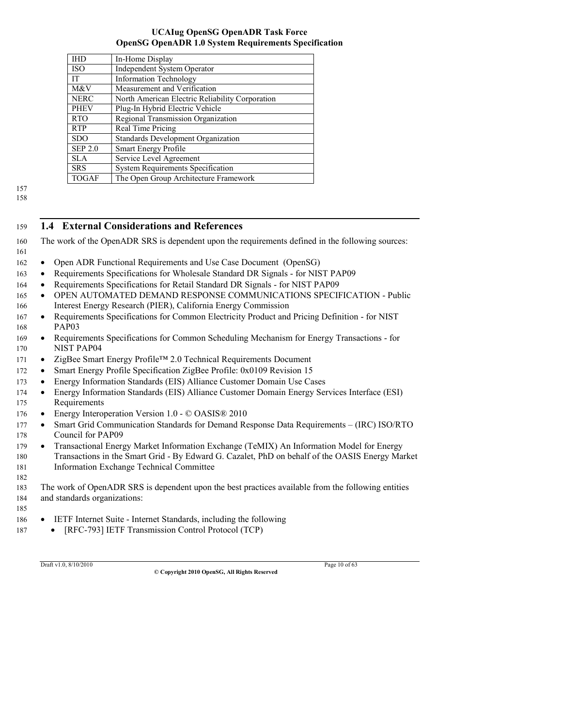| <b>IHD</b>     | In-Home Display                                 |
|----------------|-------------------------------------------------|
| <b>ISO</b>     | <b>Independent System Operator</b>              |
| IT             | <b>Information Technology</b>                   |
| M&V            | Measurement and Verification                    |
| <b>NERC</b>    | North American Electric Reliability Corporation |
| <b>PHEV</b>    | Plug-In Hybrid Electric Vehicle                 |
| <b>RTO</b>     | Regional Transmission Organization              |
| <b>RTP</b>     | Real Time Pricing                               |
| <b>SDO</b>     | Standards Development Organization              |
| <b>SEP 2.0</b> | <b>Smart Energy Profile</b>                     |
| SLA            | Service Level Agreement                         |
| <b>SRS</b>     | <b>System Requirements Specification</b>        |
| <b>TOGAF</b>   | The Open Group Architecture Framework           |
|                |                                                 |

157 158

### 159 **1.4 External Considerations and References**

The work of the OpenADR SRS is dependent upon the requirements defined in the following sources: 161 162 • Open ADR Functional Requirements and Use Case Document (OpenSG) • Requirements Specifications for Wholesale Standard DR Signals - for NIST PAP09 • Requirements Specifications for Retail Standard DR Signals - for NIST PAP09 • OPEN AUTOMATED DEMAND RESPONSE COMMUNICATIONS SPECIFICATION - Public Interest Energy Research (PIER), California Energy Commission 167 • Requirements Specifications for Common Electricity Product and Pricing Definition - for NIST 168 PAP03 • Requirements Specifications for Common Scheduling Mechanism for Energy Transactions - for NIST PAP04 • ZigBee Smart Energy Profile™ 2.0 Technical Requirements Document 172 • Smart Energy Profile Specification ZigBee Profile: 0x0109 Revision 15 173 • Energy Information Standards (EIS) Alliance Customer Domain Use Cases • Energy Information Standards (EIS) Alliance Customer Domain Energy Services Interface (ESI) Requirements 176 • Energy Interoperation Version 1.0 - © OASIS® 2010 177 • Smart Grid Communication Standards for Demand Response Data Requirements – (IRC) ISO/RTO Council for PAP09 • Transactional Energy Market Information Exchange (TeMIX) An Information Model for Energy Transactions in the Smart Grid - By Edward G. Cazalet, PhD on behalf of the OASIS Energy Market Information Exchange Technical Committee 182 The work of OpenADR SRS is dependent upon the best practices available from the following entities and standards organizations: 185 • IETF Internet Suite - Internet Standards, including the following 187 • [RFC-793] IETF Transmission Control Protocol (TCP)

Draft v1.0, 8/10/2010 Page 10 of 63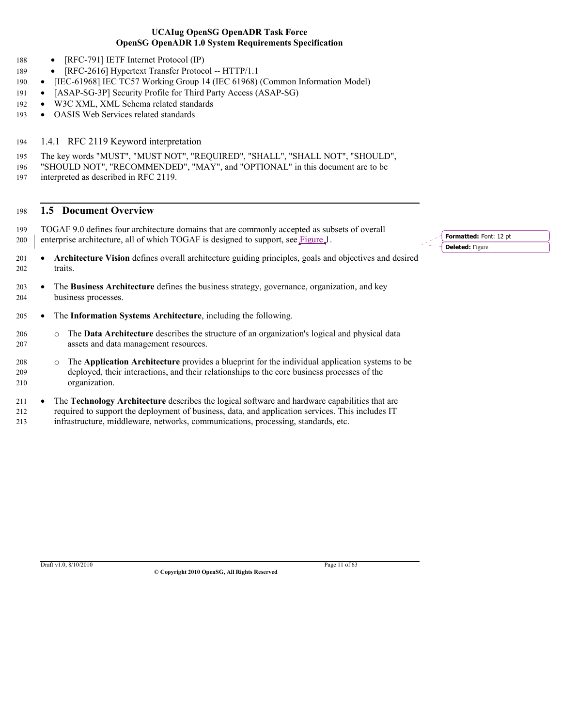- 188 [RFC-791] IETF Internet Protocol (IP)
- 189 [RFC-2616] Hypertext Transfer Protocol -- HTTP/1.1
- <sup>190</sup> [IEC-61968] IEC TC57 Working Group 14 (IEC 61968) (Common Information Model)
- <sup>191</sup> [ASAP-SG-3P] Security Profile for Third Party Access (ASAP-SG)
- 192 W3C XML, XML Schema related standards
- 193 OASIS Web Services related standards
- 194 1.4.1 RFC 2119 Keyword interpretation
- 195 The key words "MUST", "MUST NOT", "REQUIRED", "SHALL", "SHALL NOT", "SHOULD",
- 196 "SHOULD NOT", "RECOMMENDED", "MAY", and "OPTIONAL" in this document are to be 197 interpreted as described in RFC 2119.

### 198 **1.5 Document Overview**

- 199 TOGAF 9.0 defines four architecture domains that are commonly accepted as subsets of overall 200 enterprise architecture, all of which TOGAF is designed to support, see Figure 1.
- <sup>201</sup> **Architecture Vision** defines overall architecture guiding principles, goals and objectives and desired 202 traits.
- <sup>203</sup> The **Business Architecture** defines the business strategy, governance, organization, and key 204 business processes.
- <sup>205</sup> The **Information Systems Architecture**, including the following.
- 206 **The Data Architecture** describes the structure of an organization's logical and physical data 207 assets and data management resources.
- <sup>208</sup>o The **Application Architecture** provides a blueprint for the individual application systems to be 209 deployed, their interactions, and their relationships to the core business processes of the 210 organization.
- <sup>211</sup> The **Technology Architecture** describes the logical software and hardware capabilities that are 212 required to support the deployment of business, data, and application services. This includes IT 213 infrastructure, middleware, networks, communications, processing, standards, etc.

Draft v1.0, 8/10/2010 Page 11 of 63

**© Copyright 2010 OpenSG, All Rights Reserved** 

**Formatted:** Font: 12 pt **Deleted:** Figure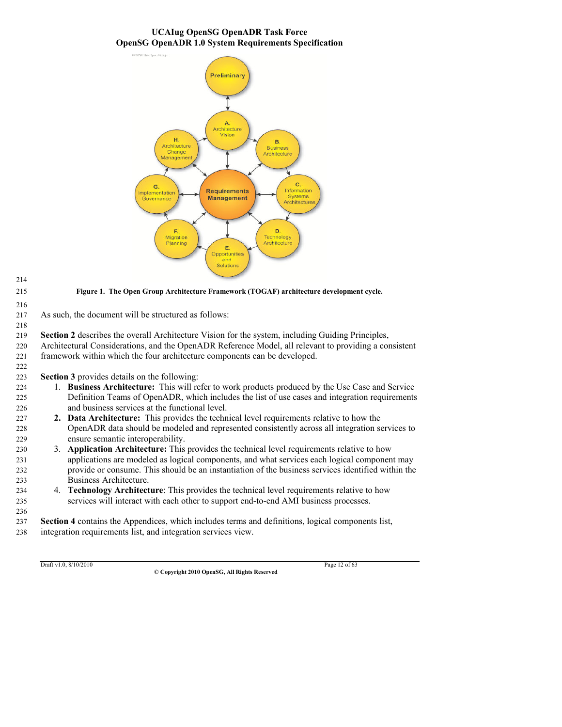

### 

**Figure 1. The Open Group Architecture Framework (TOGAF) architecture development cycle.**

As such, the document will be structured as follows:

**Section 2** describes the overall Architecture Vision for the system, including Guiding Principles, Architectural Considerations, and the OpenADR Reference Model, all relevant to providing a consistent framework within which the four architecture components can be developed.

**Section 3** provides details on the following:

- 1. **Business Architecture:** This will refer to work products produced by the Use Case and Service Definition Teams of OpenADR, which includes the list of use cases and integration requirements and business services at the functional level.
- **2. Data Architecture:** This provides the technical level requirements relative to how the OpenADR data should be modeled and represented consistently across all integration services to ensure semantic interoperability.
- 3. **Application Architecture:** This provides the technical level requirements relative to how applications are modeled as logical components, and what services each logical component may provide or consume. This should be an instantiation of the business services identified within the Business Architecture.
- 4. **Technology Architecture**: This provides the technical level requirements relative to how services will interact with each other to support end-to-end AMI business processes.

**Section 4** contains the Appendices, which includes terms and definitions, logical components list, integration requirements list, and integration services view.

**Draft v1.0, 8/10/2010** Page 12 of 63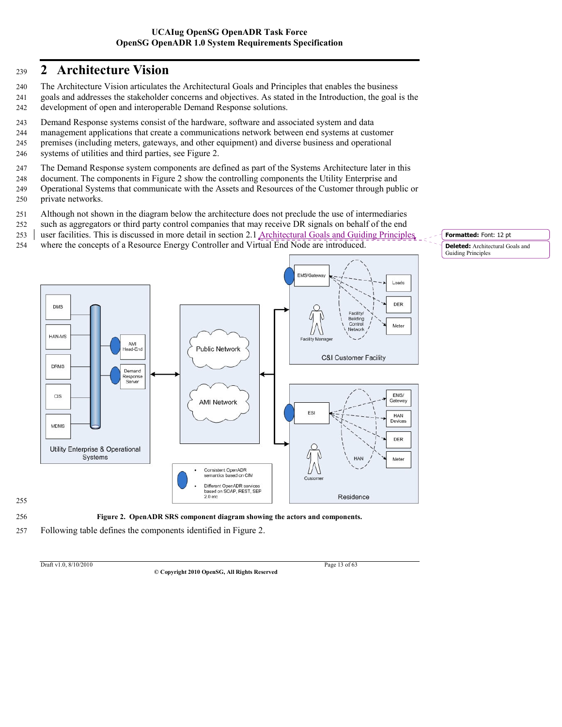### **2 Architecture Vision**

The Architecture Vision articulates the Architectural Goals and Principles that enables the business goals and addresses the stakeholder concerns and objectives. As stated in the Introduction, the goal is the development of open and interoperable Demand Response solutions.

- Demand Response systems consist of the hardware, software and associated system and data
- management applications that create a communications network between end systems at customer
- premises (including meters, gateways, and other equipment) and diverse business and operational systems of utilities and third parties, see Figure 2.
- 
- The Demand Response system components are defined as part of the Systems Architecture later in this document. The components in Figure 2 show the controlling components the Utility Enterprise and
- Operational Systems that communicate with the Assets and Resources of the Customer through public or
- private networks.
- Although not shown in the diagram below the architecture does not preclude the use of intermediaries
- such as aggregators or third party control companies that may receive DR signals on behalf of the end
- 253 user facilities. This is discussed in more detail in section 2.1 Architectural Goals and Guiding Principles
- where the concepts of a Resource Energy Controller and Virtual End Node are introduced.





**Deleted:** Architectural Goals and Guiding Principles



Following table defines the components identified in Figure 2.

**Draft v1.0, 8/10/2010** Page 13 of 63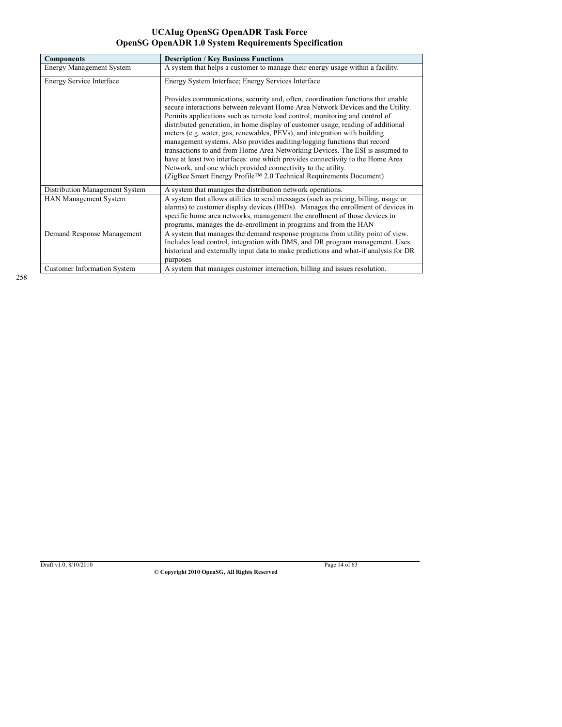| <b>Components</b>                  | <b>Description / Key Business Functions</b>                                                                                                                                                                                                                                                                                                                                                                                                                                                                                                                                                                                                                                                                                                                                                             |
|------------------------------------|---------------------------------------------------------------------------------------------------------------------------------------------------------------------------------------------------------------------------------------------------------------------------------------------------------------------------------------------------------------------------------------------------------------------------------------------------------------------------------------------------------------------------------------------------------------------------------------------------------------------------------------------------------------------------------------------------------------------------------------------------------------------------------------------------------|
| <b>Energy Management System</b>    | A system that helps a customer to manage their energy usage within a facility.                                                                                                                                                                                                                                                                                                                                                                                                                                                                                                                                                                                                                                                                                                                          |
| <b>Energy Service Interface</b>    | Energy System Interface; Energy Services Interface                                                                                                                                                                                                                                                                                                                                                                                                                                                                                                                                                                                                                                                                                                                                                      |
|                                    | Provides communications, security and, often, coordination functions that enable<br>secure interactions between relevant Home Area Network Devices and the Utility.<br>Permits applications such as remote load control, monitoring and control of<br>distributed generation, in home display of customer usage, reading of additional<br>meters (e.g. water, gas, renewables, PEVs), and integration with building<br>management systems. Also provides auditing/logging functions that record<br>transactions to and from Home Area Networking Devices. The ESI is assumed to<br>have at least two interfaces: one which provides connectivity to the Home Area<br>Network, and one which provided connectivity to the utility.<br>(ZigBee Smart Energy Profile™ 2.0 Technical Requirements Document) |
| Distribution Management System     | A system that manages the distribution network operations.                                                                                                                                                                                                                                                                                                                                                                                                                                                                                                                                                                                                                                                                                                                                              |
| <b>HAN Management System</b>       | A system that allows utilities to send messages (such as pricing, billing, usage or<br>alarms) to customer display devices (IHDs). Manages the enrollment of devices in<br>specific home area networks, management the enrollment of those devices in<br>programs, manages the de-enrollment in programs and from the HAN                                                                                                                                                                                                                                                                                                                                                                                                                                                                               |
| Demand Response Management         | A system that manages the demand response programs from utility point of view.<br>Includes load control, integration with DMS, and DR program management. Uses<br>historical and externally input data to make predictions and what-if analysis for DR<br>purposes                                                                                                                                                                                                                                                                                                                                                                                                                                                                                                                                      |
| <b>Customer Information System</b> | A system that manages customer interaction, billing and issues resolution.                                                                                                                                                                                                                                                                                                                                                                                                                                                                                                                                                                                                                                                                                                                              |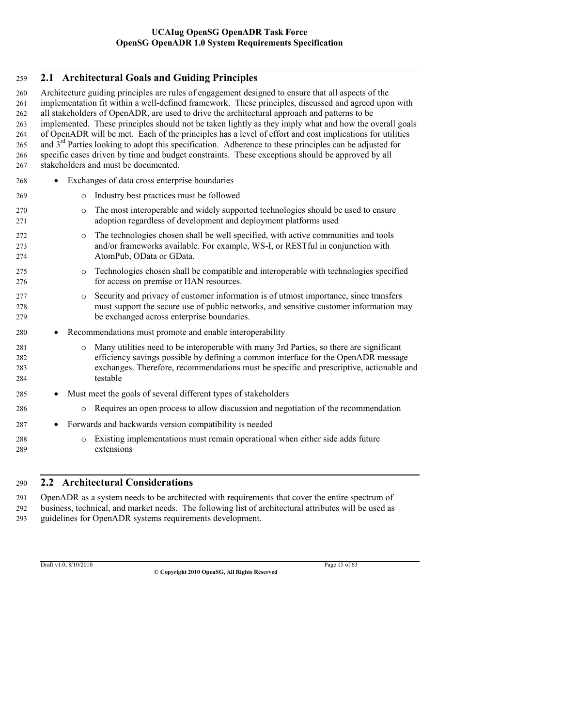| 259                                                  | 2.1 Architectural Goals and Guiding Principles                                                                                                                                                                                                                                                                                                                                                                                                                                                                                                                                                                                                                                                                                                                                                     |
|------------------------------------------------------|----------------------------------------------------------------------------------------------------------------------------------------------------------------------------------------------------------------------------------------------------------------------------------------------------------------------------------------------------------------------------------------------------------------------------------------------------------------------------------------------------------------------------------------------------------------------------------------------------------------------------------------------------------------------------------------------------------------------------------------------------------------------------------------------------|
| 260<br>261<br>262<br>263<br>264<br>265<br>266<br>267 | Architecture guiding principles are rules of engagement designed to ensure that all aspects of the<br>implementation fit within a well-defined framework. These principles, discussed and agreed upon with<br>all stakeholders of OpenADR, are used to drive the architectural approach and patterns to be<br>implemented. These principles should not be taken lightly as they imply what and how the overall goals<br>of OpenADR will be met. Each of the principles has a level of effort and cost implications for utilities<br>and 3 <sup>rd</sup> Parties looking to adopt this specification. Adherence to these principles can be adjusted for<br>specific cases driven by time and budget constraints. These exceptions should be approved by all<br>stakeholders and must be documented. |
| 268                                                  | Exchanges of data cross enterprise boundaries<br>$\bullet$                                                                                                                                                                                                                                                                                                                                                                                                                                                                                                                                                                                                                                                                                                                                         |
| 269                                                  | Industry best practices must be followed<br>$\circ$                                                                                                                                                                                                                                                                                                                                                                                                                                                                                                                                                                                                                                                                                                                                                |
| 270<br>271                                           | The most interoperable and widely supported technologies should be used to ensure<br>$\circ$<br>adoption regardless of development and deployment platforms used                                                                                                                                                                                                                                                                                                                                                                                                                                                                                                                                                                                                                                   |
| 272<br>273<br>274                                    | The technologies chosen shall be well specified, with active communities and tools<br>$\circ$<br>and/or frameworks available. For example, WS-I, or RESTful in conjunction with<br>AtomPub, OData or GData.                                                                                                                                                                                                                                                                                                                                                                                                                                                                                                                                                                                        |
| 275<br>276                                           | Technologies chosen shall be compatible and interoperable with technologies specified<br>$\circ$<br>for access on premise or HAN resources.                                                                                                                                                                                                                                                                                                                                                                                                                                                                                                                                                                                                                                                        |
| 277<br>278<br>279                                    | Security and privacy of customer information is of utmost importance, since transfers<br>$\circ$<br>must support the secure use of public networks, and sensitive customer information may<br>be exchanged across enterprise boundaries.                                                                                                                                                                                                                                                                                                                                                                                                                                                                                                                                                           |
| 280                                                  | Recommendations must promote and enable interoperability<br>٠                                                                                                                                                                                                                                                                                                                                                                                                                                                                                                                                                                                                                                                                                                                                      |
| 281<br>282<br>283<br>284                             | Many utilities need to be interoperable with many 3rd Parties, so there are significant<br>$\circ$<br>efficiency savings possible by defining a common interface for the OpenADR message<br>exchanges. Therefore, recommendations must be specific and prescriptive, actionable and<br>testable                                                                                                                                                                                                                                                                                                                                                                                                                                                                                                    |
| 285                                                  | Must meet the goals of several different types of stakeholders                                                                                                                                                                                                                                                                                                                                                                                                                                                                                                                                                                                                                                                                                                                                     |
| 286                                                  | Requires an open process to allow discussion and negotiation of the recommendation<br>$\circ$                                                                                                                                                                                                                                                                                                                                                                                                                                                                                                                                                                                                                                                                                                      |
| 287                                                  | Forwards and backwards version compatibility is needed                                                                                                                                                                                                                                                                                                                                                                                                                                                                                                                                                                                                                                                                                                                                             |
| 288<br>289                                           | Existing implementations must remain operational when either side adds future<br>$\circ$<br>extensions                                                                                                                                                                                                                                                                                                                                                                                                                                                                                                                                                                                                                                                                                             |

### **2.2 Architectural Considerations**

OpenADR as a system needs to be architected with requirements that cover the entire spectrum of business, technical, and market needs. The following list of architectural attributes will be used as

guidelines for OpenADR systems requirements development.

Draft v1.0, 8/10/2010 Page 15 of 63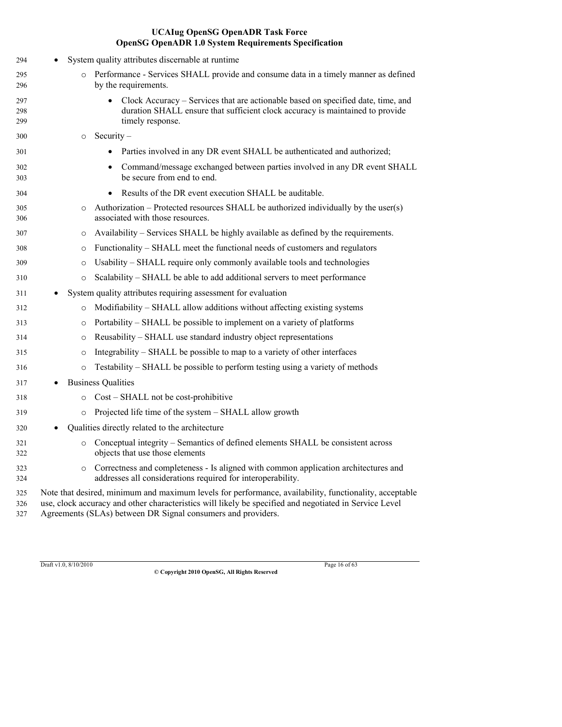| 294               |           | System quality attributes discernable at runtime                                                                                                                                                                                                                                 |
|-------------------|-----------|----------------------------------------------------------------------------------------------------------------------------------------------------------------------------------------------------------------------------------------------------------------------------------|
| 295<br>296        |           | Performance - Services SHALL provide and consume data in a timely manner as defined<br>by the requirements.                                                                                                                                                                      |
| 297<br>298<br>299 |           | Clock Accuracy – Services that are actionable based on specified date, time, and<br>duration SHALL ensure that sufficient clock accuracy is maintained to provide<br>timely response.                                                                                            |
| 300               | $\circ$   | Security $-$                                                                                                                                                                                                                                                                     |
| 301               |           | Parties involved in any DR event SHALL be authenticated and authorized;                                                                                                                                                                                                          |
| 302<br>303        |           | Command/message exchanged between parties involved in any DR event SHALL<br>$\bullet$<br>be secure from end to end.                                                                                                                                                              |
| 304               |           | Results of the DR event execution SHALL be auditable.<br>$\bullet$                                                                                                                                                                                                               |
| 305<br>306        | $\circ$   | Authorization – Protected resources SHALL be authorized individually by the user(s)<br>associated with those resources.                                                                                                                                                          |
| 307               | $\circ$   | Availability – Services SHALL be highly available as defined by the requirements.                                                                                                                                                                                                |
| 308               | $\circ$   | Functionality – SHALL meet the functional needs of customers and regulators                                                                                                                                                                                                      |
| 309               | $\circ$   | Usability - SHALL require only commonly available tools and technologies                                                                                                                                                                                                         |
| 310               | $\circ$   | Scalability – SHALL be able to add additional servers to meet performance                                                                                                                                                                                                        |
| 311               |           | System quality attributes requiring assessment for evaluation                                                                                                                                                                                                                    |
| 312               | $\circ$   | Modifiability - SHALL allow additions without affecting existing systems                                                                                                                                                                                                         |
| 313               | $\circ$   | Portability – SHALL be possible to implement on a variety of platforms                                                                                                                                                                                                           |
| 314               | $\circ$   | Reusability - SHALL use standard industry object representations                                                                                                                                                                                                                 |
| 315               | $\circ$   | Integrability – SHALL be possible to map to a variety of other interfaces                                                                                                                                                                                                        |
| 316               | $\circ$   | Testability – SHALL be possible to perform testing using a variety of methods                                                                                                                                                                                                    |
| 317               |           | <b>Business Qualities</b>                                                                                                                                                                                                                                                        |
| 318               | $\circ$   | Cost – SHALL not be cost-prohibitive                                                                                                                                                                                                                                             |
| 319               | $\circ$   | Projected life time of the system - SHALL allow growth                                                                                                                                                                                                                           |
| 320               | $\bullet$ | Qualities directly related to the architecture                                                                                                                                                                                                                                   |
| 321<br>322        | $\circ$   | Conceptual integrity – Semantics of defined elements SHALL be consistent across<br>objects that use those elements                                                                                                                                                               |
| 323<br>324        | $\circ$   | Correctness and completeness - Is aligned with common application architectures and<br>addresses all considerations required for interoperability.                                                                                                                               |
| 325<br>326<br>327 |           | Note that desired, minimum and maximum levels for performance, availability, functionality, acceptable<br>use, clock accuracy and other characteristics will likely be specified and negotiated in Service Level<br>Agreements (SLAs) between DR Signal consumers and providers. |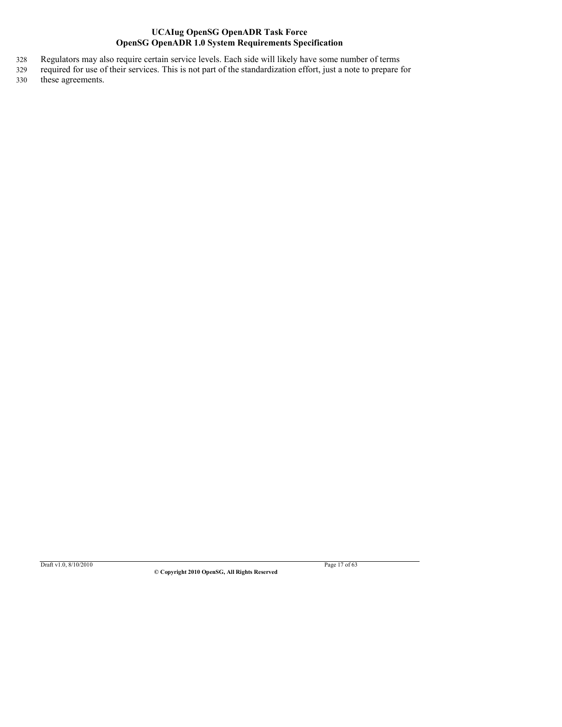- 328 Regulators may also require certain service levels. Each side will likely have some number of terms
- 329 required for use of their services. This is not part of the standardization effort, just a note to prepare for 330 these agreements.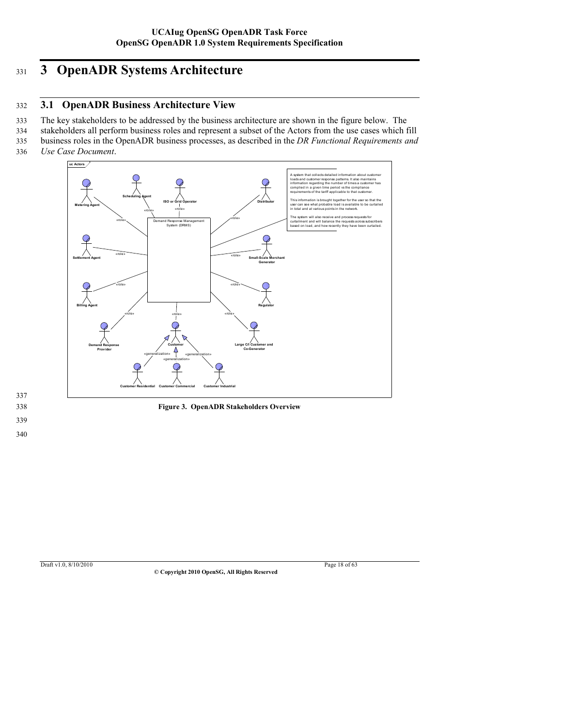### <sup>331</sup>**3 OpenADR Systems Architecture**

### 332 **3.1 OpenADR Business Architecture View**

- 333 The key stakeholders to be addressed by the business architecture are shown in the figure below. The
- 334 stakeholders all perform business roles and represent a subset of the Actors from the use cases which fill
- 335 business roles in the OpenADR business processes, as described in the *DR Functional Requirements and*
- 336 *Use Case Document*.



340

337

338 **Figure 3. OpenADR Stakeholders Overview** 

Draft v1.0, 8/10/2010 Page 18 of 63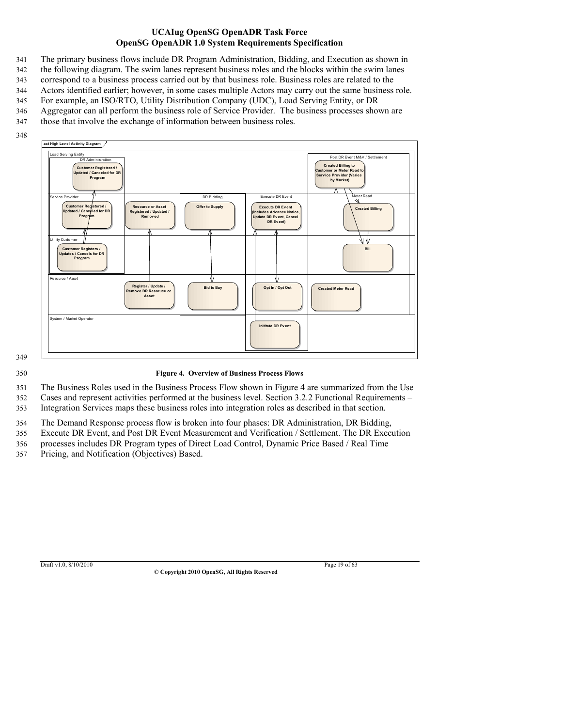- 341 The primary business flows include DR Program Administration, Bidding, and Execution as shown in
- 342 the following diagram. The swim lanes represent business roles and the blocks within the swim lanes
- 343 correspond to a business process carried out by that business role. Business roles are related to the
- 344 Actors identified earlier; however, in some cases multiple Actors may carry out the same business role. 345 For example, an ISO/RTO, Utility Distribution Company (UDC), Load Serving Entity, or DR
- 346 Aggregator can all perform the business role of Service Provider. The business processes shown are
- 347 those that involve the exchange of information between business roles.
- 348



349

### 350 **Figure 4. Overview of Business Process Flows**

351 The Business Roles used in the Business Process Flow shown in Figure 4 are summarized from the Use 352 Cases and represent activities performed at the business level. Section 3.2.2 Functional Requirements – 353 Integration Services maps these business roles into integration roles as described in that section.

354 The Demand Response process flow is broken into four phases: DR Administration, DR Bidding,

355 Execute DR Event, and Post DR Event Measurement and Verification / Settlement. The DR Execution 356 processes includes DR Program types of Direct Load Control, Dynamic Price Based / Real Time

357 Pricing, and Notification (Objectives) Based.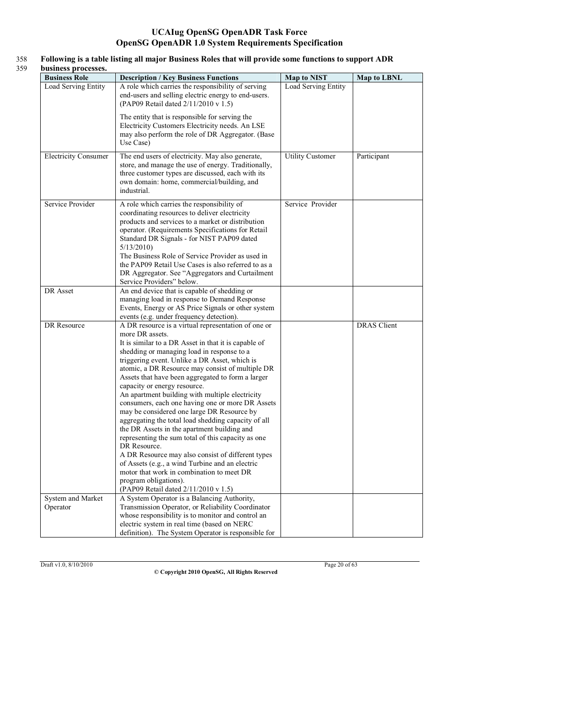### 358 **Following is a table listing all major Business Roles that will provide some functions to support ADR**

359 **business processes.** 

| business processes.<br><b>Business Role</b> | <b>Description / Key Business Functions</b>                                                                                                                                                                                                                                                                                                                                                                                                                                                                                                                                                                                                                                                                                                                                                                                                                                                                                   | <b>Map to NIST</b>      | <b>Map to LBNL</b> |
|---------------------------------------------|-------------------------------------------------------------------------------------------------------------------------------------------------------------------------------------------------------------------------------------------------------------------------------------------------------------------------------------------------------------------------------------------------------------------------------------------------------------------------------------------------------------------------------------------------------------------------------------------------------------------------------------------------------------------------------------------------------------------------------------------------------------------------------------------------------------------------------------------------------------------------------------------------------------------------------|-------------------------|--------------------|
| <b>Load Serving Entity</b>                  | A role which carries the responsibility of serving                                                                                                                                                                                                                                                                                                                                                                                                                                                                                                                                                                                                                                                                                                                                                                                                                                                                            | Load Serving Entity     |                    |
|                                             | end-users and selling electric energy to end-users.<br>(PAP09 Retail dated 2/11/2010 v 1.5)                                                                                                                                                                                                                                                                                                                                                                                                                                                                                                                                                                                                                                                                                                                                                                                                                                   |                         |                    |
|                                             | The entity that is responsible for serving the<br>Electricity Customers Electricity needs. An LSE<br>may also perform the role of DR Aggregator. (Base<br>Use Case)                                                                                                                                                                                                                                                                                                                                                                                                                                                                                                                                                                                                                                                                                                                                                           |                         |                    |
| <b>Electricity Consumer</b>                 | The end users of electricity. May also generate,<br>store, and manage the use of energy. Traditionally,<br>three customer types are discussed, each with its<br>own domain: home, commercial/building, and<br>industrial.                                                                                                                                                                                                                                                                                                                                                                                                                                                                                                                                                                                                                                                                                                     | <b>Utility Customer</b> | Participant        |
| Service Provider                            | A role which carries the responsibility of<br>coordinating resources to deliver electricity<br>products and services to a market or distribution<br>operator. (Requirements Specifications for Retail<br>Standard DR Signals - for NIST PAP09 dated<br>5/13/2010<br>The Business Role of Service Provider as used in<br>the PAP09 Retail Use Cases is also referred to as a<br>DR Aggregator. See "Aggregators and Curtailment<br>Service Providers" below.                                                                                                                                                                                                                                                                                                                                                                                                                                                                   | Service Provider        |                    |
| DR Asset                                    | An end device that is capable of shedding or                                                                                                                                                                                                                                                                                                                                                                                                                                                                                                                                                                                                                                                                                                                                                                                                                                                                                  |                         |                    |
|                                             | managing load in response to Demand Response<br>Events, Energy or AS Price Signals or other system<br>events (e.g. under frequency detection).                                                                                                                                                                                                                                                                                                                                                                                                                                                                                                                                                                                                                                                                                                                                                                                |                         |                    |
| DR Resource                                 | A DR resource is a virtual representation of one or<br>more DR assets.<br>It is similar to a DR Asset in that it is capable of<br>shedding or managing load in response to a<br>triggering event. Unlike a DR Asset, which is<br>atomic, a DR Resource may consist of multiple DR<br>Assets that have been aggregated to form a larger<br>capacity or energy resource.<br>An apartment building with multiple electricity<br>consumers, each one having one or more DR Assets<br>may be considered one large DR Resource by<br>aggregating the total load shedding capacity of all<br>the DR Assets in the apartment building and<br>representing the sum total of this capacity as one<br>DR Resource.<br>A DR Resource may also consist of different types<br>of Assets (e.g., a wind Turbine and an electric<br>motor that work in combination to meet DR<br>program obligations).<br>(PAP09 Retail dated 2/11/2010 v 1.5) |                         | <b>DRAS</b> Client |
| System and Market<br>Operator               | A System Operator is a Balancing Authority,<br>Transmission Operator, or Reliability Coordinator<br>whose responsibility is to monitor and control an<br>electric system in real time (based on NERC<br>definition). The System Operator is responsible for                                                                                                                                                                                                                                                                                                                                                                                                                                                                                                                                                                                                                                                                   |                         |                    |

Draft v1.0, 8/10/2010 Page 20 of 63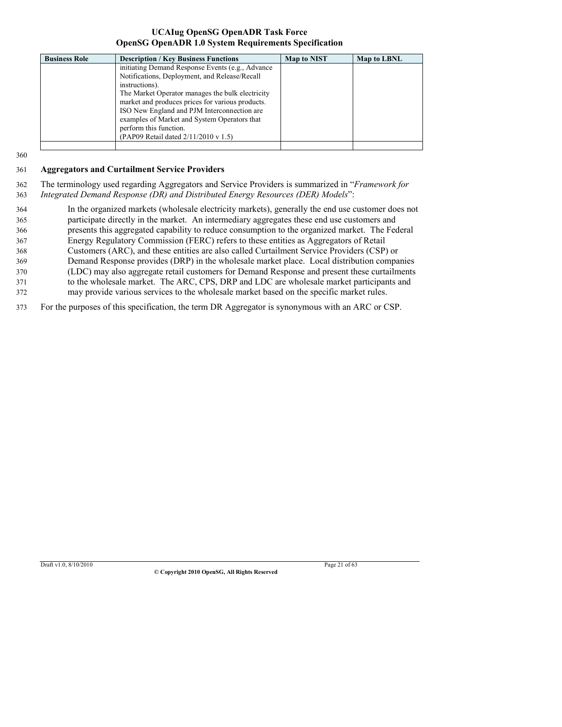| <b>Business Role</b> | <b>Description / Key Business Functions</b>      | <b>Map to NIST</b> | <b>Map to LBNL</b> |
|----------------------|--------------------------------------------------|--------------------|--------------------|
|                      | initiating Demand Response Events (e.g., Advance |                    |                    |
|                      | Notifications, Deployment, and Release/Recall    |                    |                    |
|                      | instructions).                                   |                    |                    |
|                      | The Market Operator manages the bulk electricity |                    |                    |
|                      | market and produces prices for various products. |                    |                    |
|                      | ISO New England and PJM Interconnection are      |                    |                    |
|                      | examples of Market and System Operators that     |                    |                    |
|                      | perform this function.                           |                    |                    |
|                      | (PAP09 Retail dated 2/11/2010 v 1.5)             |                    |                    |
|                      |                                                  |                    |                    |

360

### 361 **Aggregators and Curtailment Service Providers**

- 362 The terminology used regarding Aggregators and Service Providers is summarized in "*Framework for*  363 *Integrated Demand Response (DR) and Distributed Energy Resources (DER) Models*":
- 364 In the organized markets (wholesale electricity markets), generally the end use customer does not
- 365 participate directly in the market. An intermediary aggregates these end use customers and
- 366 presents this aggregated capability to reduce consumption to the organized market. The Federal
- 367 Energy Regulatory Commission (FERC) refers to these entities as Aggregators of Retail
- 368 Customers (ARC), and these entities are also called Curtailment Service Providers (CSP) or
- 369 Demand Response provides (DRP) in the wholesale market place. Local distribution companies 370 (LDC) may also aggregate retail customers for Demand Response and present these curtailments
- 371 to the wholesale market. The ARC, CPS, DRP and LDC are wholesale market participants and
- 372 may provide various services to the wholesale market based on the specific market rules.
- 373 For the purposes of this specification, the term DR Aggregator is synonymous with an ARC or CSP.

**Draft v1.0, 8/10/2010** Page 21 of 63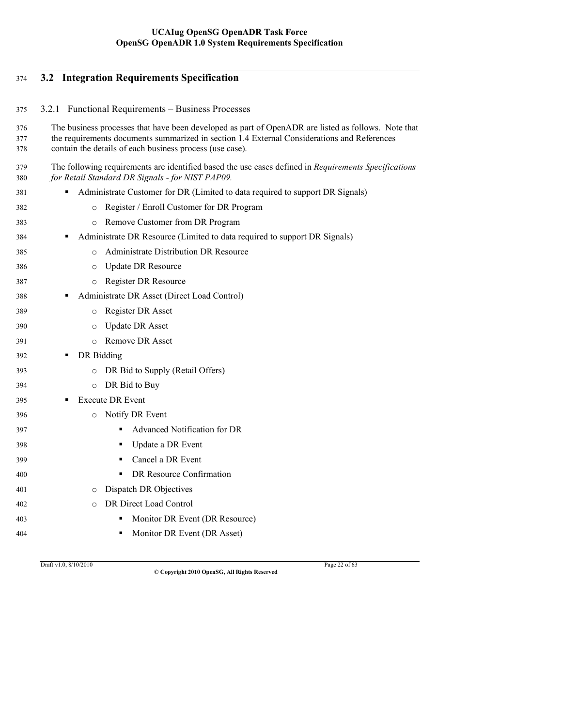| 374               | 3.2 Integration Requirements Specification                                                                                                                                                                                                                     |
|-------------------|----------------------------------------------------------------------------------------------------------------------------------------------------------------------------------------------------------------------------------------------------------------|
| 375               | 3.2.1 Functional Requirements – Business Processes                                                                                                                                                                                                             |
|                   |                                                                                                                                                                                                                                                                |
| 376<br>377<br>378 | The business processes that have been developed as part of OpenADR are listed as follows. Note that<br>the requirements documents summarized in section 1.4 External Considerations and References<br>contain the details of each business process (use case). |
| 379<br>380        | The following requirements are identified based the use cases defined in Requirements Specifications<br>for Retail Standard DR Signals - for NIST PAP09.                                                                                                       |
| 381               | Administrate Customer for DR (Limited to data required to support DR Signals)                                                                                                                                                                                  |
| 382               | Register / Enroll Customer for DR Program<br>$\circ$                                                                                                                                                                                                           |
| 383               | Remove Customer from DR Program<br>$\circ$                                                                                                                                                                                                                     |
| 384               | Administrate DR Resource (Limited to data required to support DR Signals)<br>٠                                                                                                                                                                                 |
| 385               | <b>Administrate Distribution DR Resource</b><br>$\circ$                                                                                                                                                                                                        |
| 386               | <b>Update DR Resource</b><br>$\circ$                                                                                                                                                                                                                           |
| 387               | <b>Register DR Resource</b><br>$\circ$                                                                                                                                                                                                                         |
| 388               | Administrate DR Asset (Direct Load Control)                                                                                                                                                                                                                    |
| 389               | <b>Register DR Asset</b><br>$\circ$                                                                                                                                                                                                                            |
| 390               | <b>Update DR Asset</b><br>$\circ$                                                                                                                                                                                                                              |
| 391               | Remove DR Asset<br>$\circ$                                                                                                                                                                                                                                     |
| 392               | DR Bidding<br>٠                                                                                                                                                                                                                                                |
| 393               | DR Bid to Supply (Retail Offers)<br>$\circ$                                                                                                                                                                                                                    |
| 394               | DR Bid to Buy<br>$\circ$                                                                                                                                                                                                                                       |
| 395               | <b>Execute DR Event</b>                                                                                                                                                                                                                                        |
| 396               | Notify DR Event<br>$\circ$                                                                                                                                                                                                                                     |
| 397               | Advanced Notification for DR<br>٠                                                                                                                                                                                                                              |
| 398               | Update a DR Event                                                                                                                                                                                                                                              |
| 399               | Cancel a DR Event                                                                                                                                                                                                                                              |
| 400               | DR Resource Confirmation<br>٠                                                                                                                                                                                                                                  |
| 401               | Dispatch DR Objectives<br>$\circ$                                                                                                                                                                                                                              |
| 402               | DR Direct Load Control<br>$\Omega$                                                                                                                                                                                                                             |
| 403               | Monitor DR Event (DR Resource)<br>٠                                                                                                                                                                                                                            |
| 404               | Monitor DR Event (DR Asset)                                                                                                                                                                                                                                    |
|                   |                                                                                                                                                                                                                                                                |

**Draft v1.0, 8/10/2010** Page 22 of 63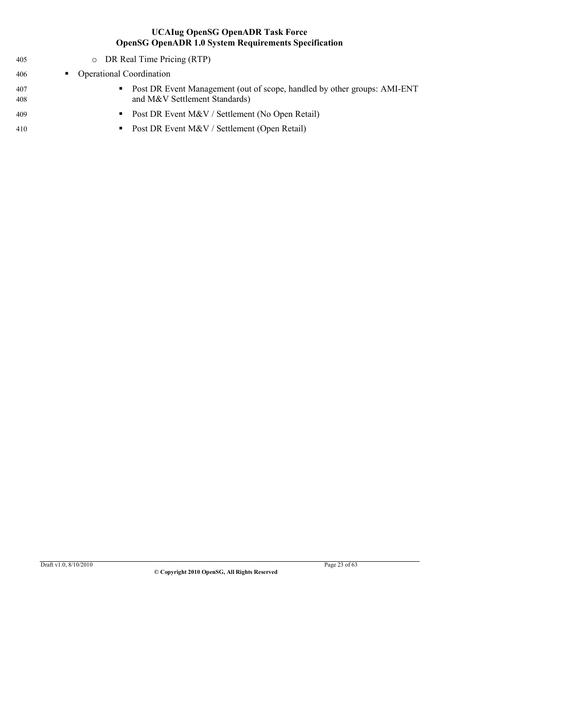| 405        | $\circ$ DR Real Time Pricing (RTP)                                                                          |
|------------|-------------------------------------------------------------------------------------------------------------|
| 406        | <b>Operational Coordination</b><br>ж.                                                                       |
| 407<br>408 | • Post DR Event Management (out of scope, handled by other groups: AMI-ENT<br>and M&V Settlement Standards) |
| 409        | Post DR Event M&V / Settlement (No Open Retail)                                                             |
| 410        | Post DR Event M&V / Settlement (Open Retail)<br>$\blacksquare$                                              |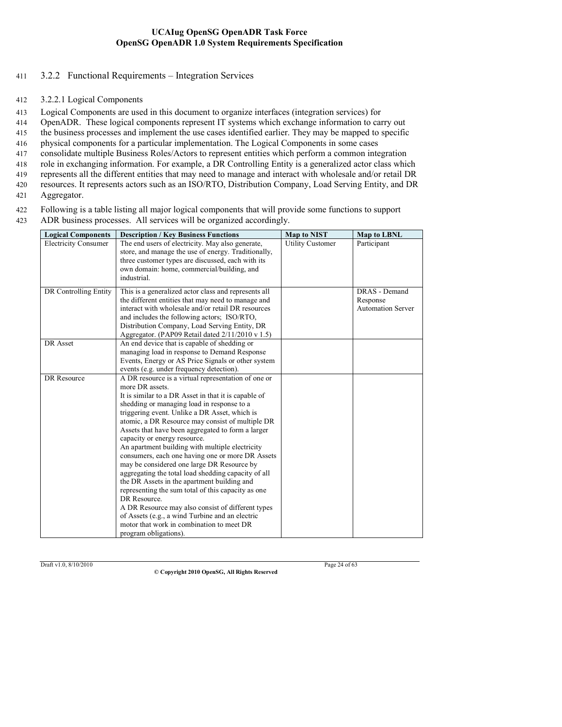### 411 3.2.2 Functional Requirements – Integration Services

412 3.2.2.1 Logical Components

413 Logical Components are used in this document to organize interfaces (integration services) for

414 OpenADR. These logical components represent IT systems which exchange information to carry out

415 the business processes and implement the use cases identified earlier. They may be mapped to specific

416 physical components for a particular implementation. The Logical Components in some cases

417 consolidate multiple Business Roles/Actors to represent entities which perform a common integration

418 role in exchanging information. For example, a DR Controlling Entity is a generalized actor class which

419 represents all the different entities that may need to manage and interact with wholesale and/or retail DR

420 resources. It represents actors such as an ISO/RTO, Distribution Company, Load Serving Entity, and DR

421 Aggregator.

422 Following is a table listing all major logical components that will provide some functions to support

423 ADR business processes. All services will be organized accordingly.

| <b>Logical Components</b>   | <b>Description / Key Business Functions</b>                                                             | <b>Map to NIST</b>      | <b>Map to LBNL</b>       |
|-----------------------------|---------------------------------------------------------------------------------------------------------|-------------------------|--------------------------|
| <b>Electricity Consumer</b> | The end users of electricity. May also generate,<br>store, and manage the use of energy. Traditionally, | <b>Utility Customer</b> | Participant              |
|                             | three customer types are discussed, each with its                                                       |                         |                          |
|                             | own domain: home, commercial/building, and                                                              |                         |                          |
|                             | industrial.                                                                                             |                         |                          |
| DR Controlling Entity       | This is a generalized actor class and represents all                                                    |                         | DRAS - Demand            |
|                             | the different entities that may need to manage and                                                      |                         | Response                 |
|                             | interact with wholesale and/or retail DR resources                                                      |                         | <b>Automation Server</b> |
|                             | and includes the following actors; ISO/RTO,                                                             |                         |                          |
|                             | Distribution Company, Load Serving Entity, DR                                                           |                         |                          |
|                             | Aggregator. (PAP09 Retail dated 2/11/2010 v 1.5)                                                        |                         |                          |
| DR Asset                    | An end device that is capable of shedding or                                                            |                         |                          |
|                             | managing load in response to Demand Response                                                            |                         |                          |
|                             | Events, Energy or AS Price Signals or other system                                                      |                         |                          |
|                             | events (e.g. under frequency detection).                                                                |                         |                          |
| DR Resource                 | A DR resource is a virtual representation of one or<br>more DR assets.                                  |                         |                          |
|                             | It is similar to a DR Asset in that it is capable of                                                    |                         |                          |
|                             | shedding or managing load in response to a                                                              |                         |                          |
|                             | triggering event. Unlike a DR Asset, which is                                                           |                         |                          |
|                             | atomic, a DR Resource may consist of multiple DR                                                        |                         |                          |
|                             | Assets that have been aggregated to form a larger                                                       |                         |                          |
|                             | capacity or energy resource.                                                                            |                         |                          |
|                             | An apartment building with multiple electricity                                                         |                         |                          |
|                             | consumers, each one having one or more DR Assets                                                        |                         |                          |
|                             | may be considered one large DR Resource by                                                              |                         |                          |
|                             | aggregating the total load shedding capacity of all                                                     |                         |                          |
|                             | the DR Assets in the apartment building and                                                             |                         |                          |
|                             | representing the sum total of this capacity as one                                                      |                         |                          |
|                             | DR Resource.                                                                                            |                         |                          |
|                             | A DR Resource may also consist of different types                                                       |                         |                          |
|                             | of Assets (e.g., a wind Turbine and an electric                                                         |                         |                          |
|                             | motor that work in combination to meet DR                                                               |                         |                          |
|                             | program obligations).                                                                                   |                         |                          |

Draft v1.0, 8/10/2010 Page 24 of 63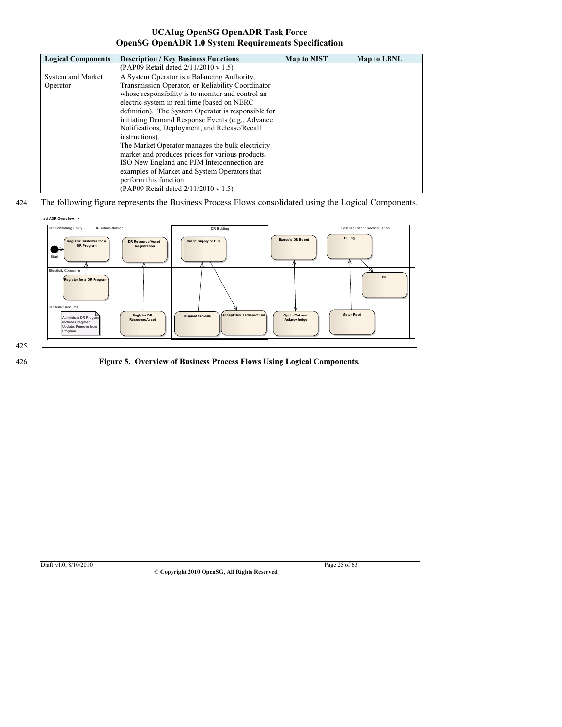| <b>Logical Components</b> | <b>Description / Key Business Functions</b>         | <b>Map to NIST</b> | Map to LBNL |
|---------------------------|-----------------------------------------------------|--------------------|-------------|
|                           | (PAP09 Retail dated 2/11/2010 v 1.5)                |                    |             |
| System and Market         | A System Operator is a Balancing Authority.         |                    |             |
| Operator                  | Transmission Operator, or Reliability Coordinator   |                    |             |
|                           | whose responsibility is to monitor and control an   |                    |             |
|                           | electric system in real time (based on NERC         |                    |             |
|                           | definition). The System Operator is responsible for |                    |             |
|                           | initiating Demand Response Events (e.g., Advance    |                    |             |
|                           | Notifications, Deployment, and Release/Recall       |                    |             |
|                           | instructions).                                      |                    |             |
|                           | The Market Operator manages the bulk electricity    |                    |             |
|                           | market and produces prices for various products.    |                    |             |
|                           | ISO New England and PJM Interconnection are         |                    |             |
|                           | examples of Market and System Operators that        |                    |             |
|                           | perform this function.                              |                    |             |
|                           | (PAP09 Retail dated 2/11/2010 v 1.5)                |                    |             |

424 The following figure represents the Business Process Flows consolidated using the Logical Components.



425

426 **Figure 5. Overview of Business Process Flows Using Logical Components.** 

Draft v1.0, 8/10/2010 Page 25 of 63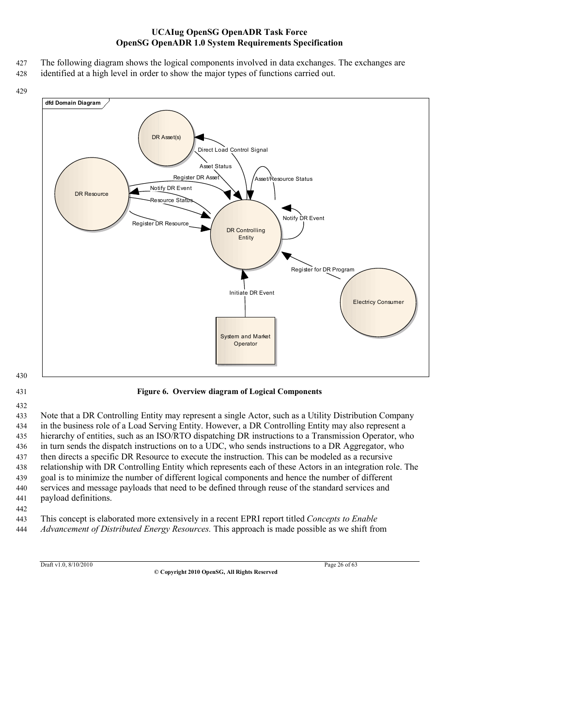- 427 The following diagram shows the logical components involved in data exchanges. The exchanges are
- 428 identified at a high level in order to show the major types of functions carried out.
- 429



430

432

431 **Figure 6. Overview diagram of Logical Components** 

Note that a DR Controlling Entity may represent a single Actor, such as a Utility Distribution Company in the business role of a Load Serving Entity. However, a DR Controlling Entity may also represent a hierarchy of entities, such as an ISO/RTO dispatching DR instructions to a Transmission Operator, who in turn sends the dispatch instructions on to a UDC, who sends instructions to a DR Aggregator, who then directs a specific DR Resource to execute the instruction. This can be modeled as a recursive relationship with DR Controlling Entity which represents each of these Actors in an integration role. The goal is to minimize the number of different logical components and hence the number of different services and message payloads that need to be defined through reuse of the standard services and payload definitions. 442

443 This concept is elaborated more extensively in a recent EPRI report titled *Concepts to Enable*  444 *Advancement of Distributed Energy Resources.* This approach is made possible as we shift from

Draft v1.0, 8/10/2010 Page 26 of 63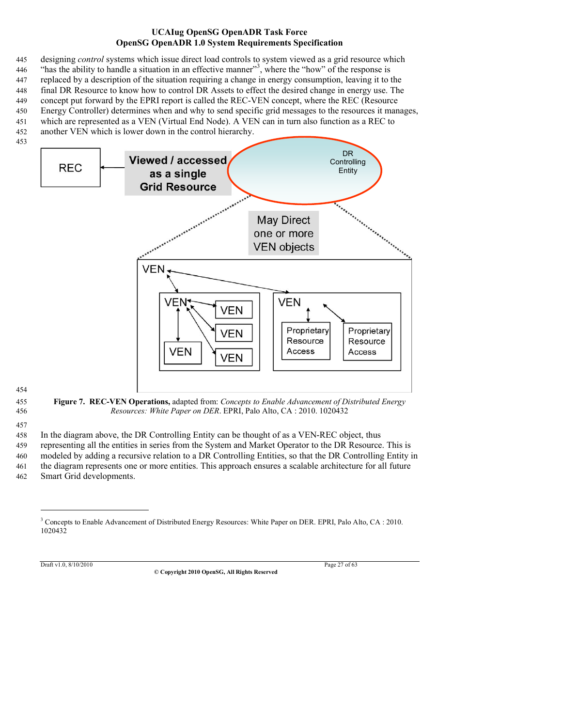designing *control* systems which issue direct load controls to system viewed as a grid resource which <sup>446</sup> "has the ability to handle a situation in an effective manner"<sup>3</sup>, where the "how" of the response is replaced by a description of the situation requiring a change in energy consumption, leaving it to the final DR Resource to know how to control DR Assets to effect the desired change in energy use. The concept put forward by the EPRI report is called the REC-VEN concept, where the REC (Resource Energy Controller) determines when and why to send specific grid messages to the resources it manages, which are represented as a VEN (Virtual End Node). A VEN can in turn also function as a REC to another VEN which is lower down in the control hierarchy.



**Figure 7. REC-VEN Operations,** adapted from: *Concepts to Enable Advancement of Distributed Energy Resources: White Paper on DER*. EPRI, Palo Alto, CA : 2010. 1020432

Draft v1.0, 8/10/2010 Page 27 of 63

 $\overline{a}$ 

In the diagram above, the DR Controlling Entity can be thought of as a VEN-REC object, thus representing all the entities in series from the System and Market Operator to the DR Resource. This is modeled by adding a recursive relation to a DR Controlling Entities, so that the DR Controlling Entity in the diagram represents one or more entities. This approach ensures a scalable architecture for all future Smart Grid developments.

<sup>&</sup>lt;sup>3</sup> Concepts to Enable Advancement of Distributed Energy Resources: White Paper on DER. EPRI, Palo Alto, CA: 2010.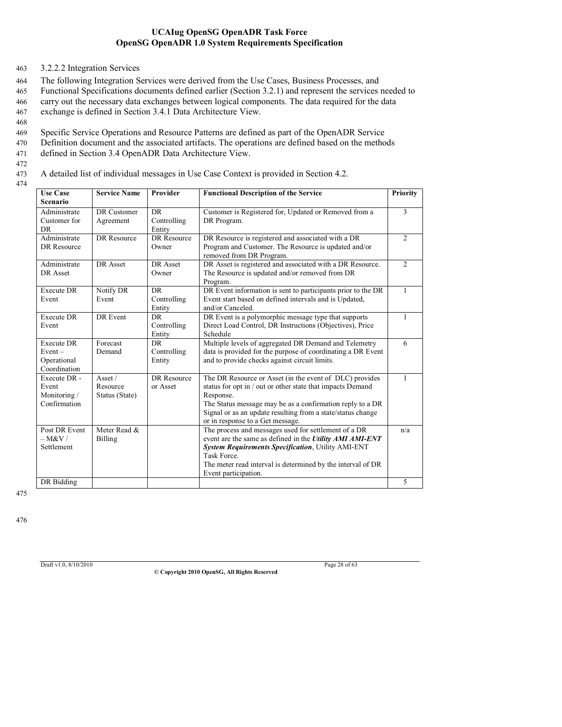463 3.2.2.2 Integration Services

The following Integration Services were derived from the Use Cases, Business Processes, and Functional Specifications documents defined earlier (Section 3.2.1) and represent the services needed to carry out the necessary data exchanges between logical components. The data required for the data exchange is defined in Section 3.4.1 Data Architecture View.

468

469 Specific Service Operations and Resource Patterns are defined as part of the OpenADR Service 470 Definition document and the associated artifacts. The operations are defined based on the methods 471 defined in Section 3.4 OpenADR Data Architecture View.

472

473 A detailed list of individual messages in Use Case Context is provided in Section 4.2.

474

| <b>Use Case</b><br><b>Scenario</b>                            | <b>Service Name</b>                   | Provider                           | <b>Functional Description of the Service</b>                                                                                                                                                                                                                                                       | Priority       |
|---------------------------------------------------------------|---------------------------------------|------------------------------------|----------------------------------------------------------------------------------------------------------------------------------------------------------------------------------------------------------------------------------------------------------------------------------------------------|----------------|
| Administrate<br>Customer for<br>DR                            | DR Customer<br>Agreement              | <b>DR</b><br>Controlling<br>Entity | Customer is Registered for, Updated or Removed from a<br>DR Program.                                                                                                                                                                                                                               | 3              |
| Administrate<br>DR Resource                                   | <b>DR</b> Resource                    | <b>DR</b> Resource<br>Owner        | DR Resource is registered and associated with a DR<br>Program and Customer. The Resource is updated and/or<br>removed from DR Program.                                                                                                                                                             | $\overline{2}$ |
| Administrate<br>DR Asset                                      | DR Asset                              | DR Asset<br>Owner                  | DR Asset is registered and associated with a DR Resource.<br>The Resource is updated and/or removed from DR<br>Program.                                                                                                                                                                            | $\overline{2}$ |
| <b>Execute DR</b><br>Event                                    | Notify DR<br>Event                    | <b>DR</b><br>Controlling<br>Entity | DR Event information is sent to participants prior to the DR<br>Event start based on defined intervals and is Updated,<br>and/or Canceled.                                                                                                                                                         | $\mathbf{1}$   |
| <b>Execute DR</b><br>Event                                    | DR Event                              | <b>DR</b><br>Controlling<br>Entity | DR Event is a polymorphic message type that supports<br>Direct Load Control, DR Instructions (Objectives), Price<br>Schedule                                                                                                                                                                       | 1              |
| <b>Execute DR</b><br>$Event -$<br>Operational<br>Coordination | Forecast<br>Demand                    | <b>DR</b><br>Controlling<br>Entity | Multiple levels of aggregated DR Demand and Telemetry<br>data is provided for the purpose of coordinating a DR Event<br>and to provide checks against circuit limits.                                                                                                                              | 6              |
| Execute DR -<br>Event<br>Monitoring /<br>Confirmation         | Asset /<br>Resource<br>Status (State) | DR Resource<br>or Asset            | The DR Resource or Asset (in the event of DLC) provides<br>status for opt in / out or other state that impacts Demand<br>Response.<br>The Status message may be as a confirmation reply to a DR<br>Signal or as an update resulting from a state/status change<br>or in response to a Get message. | 1              |
| Post DR Event<br>$-M&V/$<br>Settlement                        | Meter Read &<br>Billing               |                                    | The process and messages used for settlement of a DR<br>event are the same as defined in the <i>Utility AMI AMI-ENT</i><br><b>System Requirements Specification</b> , Utility AMI-ENT<br>Task Force.<br>The meter read interval is determined by the interval of DR<br>Event participation.        | n/a            |
| DR Bidding                                                    |                                       |                                    |                                                                                                                                                                                                                                                                                                    | 5              |

475

Draft v1.0, 8/10/2010 Page 28 of 63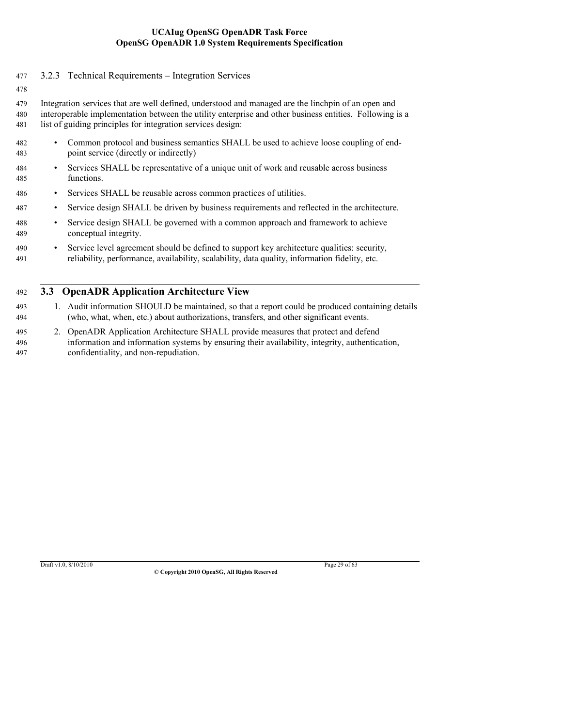### 3.2.3 Technical Requirements – Integration Services

Integration services that are well defined, understood and managed are the linchpin of an open and interoperable implementation between the utility enterprise and other business entities. Following is a list of guiding principles for integration services design:

- Common protocol and business semantics SHALL be used to achieve loose coupling of end-point service (directly or indirectly)
- Services SHALL be representative of a unique unit of work and reusable across business functions.
- Services SHALL be reusable across common practices of utilities.
- Service design SHALL be driven by business requirements and reflected in the architecture.
- Service design SHALL be governed with a common approach and framework to achieve conceptual integrity.
- Service level agreement should be defined to support key architecture qualities: security, reliability, performance, availability, scalability, data quality, information fidelity, etc.

### **3.3 OpenADR Application Architecture View**

- 1. Audit information SHOULD be maintained, so that a report could be produced containing details (who, what, when, etc.) about authorizations, transfers, and other significant events.
- 2. OpenADR Application Architecture SHALL provide measures that protect and defend information and information systems by ensuring their availability, integrity, authentication, confidentiality, and non-repudiation.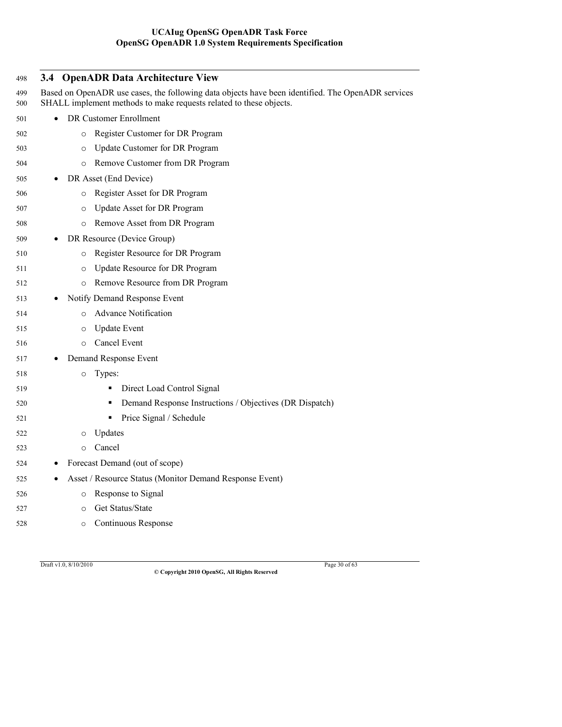| 498        | 3.4 OpenADR Data Architecture View                                                                                                                                      |
|------------|-------------------------------------------------------------------------------------------------------------------------------------------------------------------------|
| 499<br>500 | Based on OpenADR use cases, the following data objects have been identified. The OpenADR services<br>SHALL implement methods to make requests related to these objects. |
| 501        | DR Customer Enrollment                                                                                                                                                  |
| 502        | Register Customer for DR Program<br>$\circ$                                                                                                                             |
| 503        | <b>Update Customer for DR Program</b><br>$\circ$                                                                                                                        |
| 504        | Remove Customer from DR Program<br>$\circ$                                                                                                                              |
| 505        | DR Asset (End Device)                                                                                                                                                   |
| 506        | Register Asset for DR Program<br>$\circ$                                                                                                                                |
| 507        | <b>Update Asset for DR Program</b><br>$\circ$                                                                                                                           |
| 508        | Remove Asset from DR Program<br>$\circ$                                                                                                                                 |
| 509        | DR Resource (Device Group)<br>$\bullet$                                                                                                                                 |
| 510        | Register Resource for DR Program<br>$\circ$                                                                                                                             |
| 511        | Update Resource for DR Program<br>$\circ$                                                                                                                               |
| 512        | Remove Resource from DR Program<br>$\circ$                                                                                                                              |
| 513        | Notify Demand Response Event                                                                                                                                            |
| 514        | <b>Advance Notification</b><br>$\Omega$                                                                                                                                 |
| 515        | <b>Update Event</b><br>$\circ$                                                                                                                                          |
| 516        | Cancel Event<br>$\circ$                                                                                                                                                 |
| 517        | Demand Response Event<br>٠                                                                                                                                              |
| 518        | Types:<br>$\circ$                                                                                                                                                       |
| 519        | Direct Load Control Signal<br>٠                                                                                                                                         |
| 520        | Demand Response Instructions / Objectives (DR Dispatch)<br>٠                                                                                                            |
| 521        | Price Signal / Schedule                                                                                                                                                 |
| 522        | Updates<br>$\circ$                                                                                                                                                      |
| 523        | Cancel<br>$\circ$                                                                                                                                                       |
| 524        | Forecast Demand (out of scope)<br>٠                                                                                                                                     |
| 525        | Asset / Resource Status (Monitor Demand Response Event)                                                                                                                 |
| 526        | Response to Signal<br>$\circ$                                                                                                                                           |
| 527        | Get Status/State<br>$\circ$                                                                                                                                             |
| 528        | Continuous Response<br>$\circ$                                                                                                                                          |
|            |                                                                                                                                                                         |

Draft v1.0, 8/10/2010 Page 30 of 63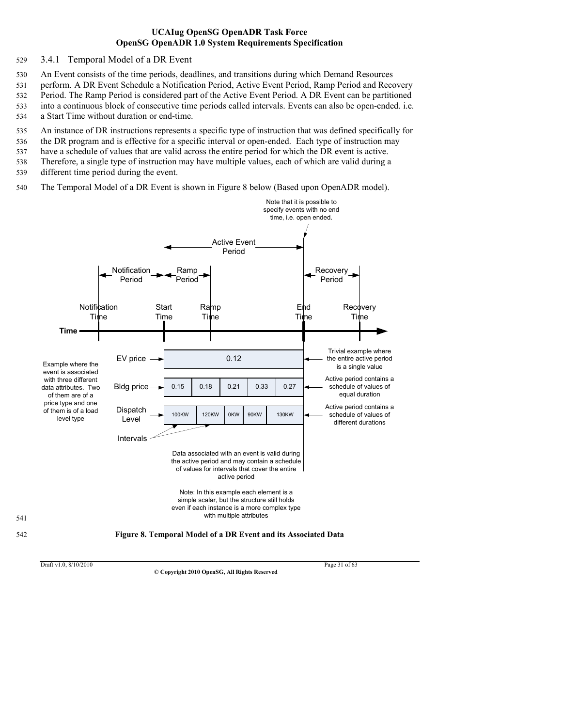### 529 3.4.1 Temporal Model of a DR Event

530 An Event consists of the time periods, deadlines, and transitions during which Demand Resources

531 perform. A DR Event Schedule a Notification Period, Active Event Period, Ramp Period and Recovery

532 Period. The Ramp Period is considered part of the Active Event Period. A DR Event can be partitioned

- 533 into a continuous block of consecutive time periods called intervals. Events can also be open-ended. i.e.
- 534 a Start Time without duration or end-time.
- 535 An instance of DR instructions represents a specific type of instruction that was defined specifically for
- 536 the DR program and is effective for a specific interval or open-ended. Each type of instruction may
- 537 have a schedule of values that are valid across the entire period for which the DR event is active.
- 538 Therefore, a single type of instruction may have multiple values, each of which are valid during a
- 539 different time period during the event.
- 540 The Temporal Model of a DR Event is shown in Figure 8 below (Based upon OpenADR model).



Draft v1.0, 8/10/2010 Page 31 of 63

541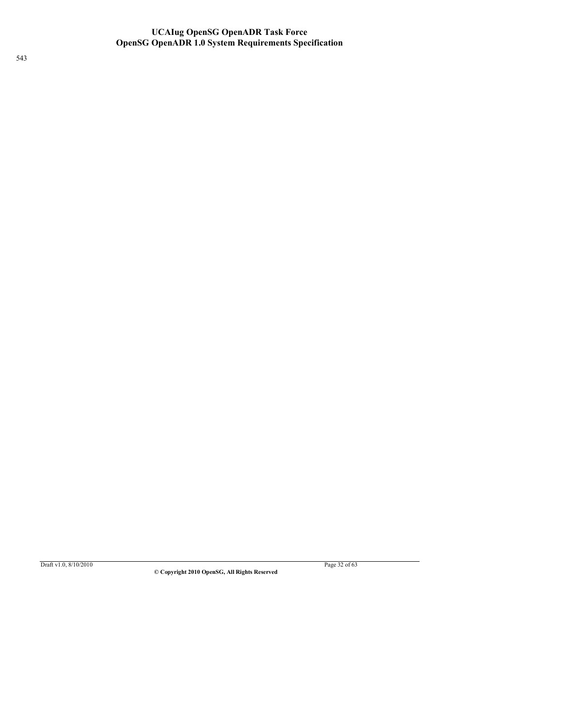543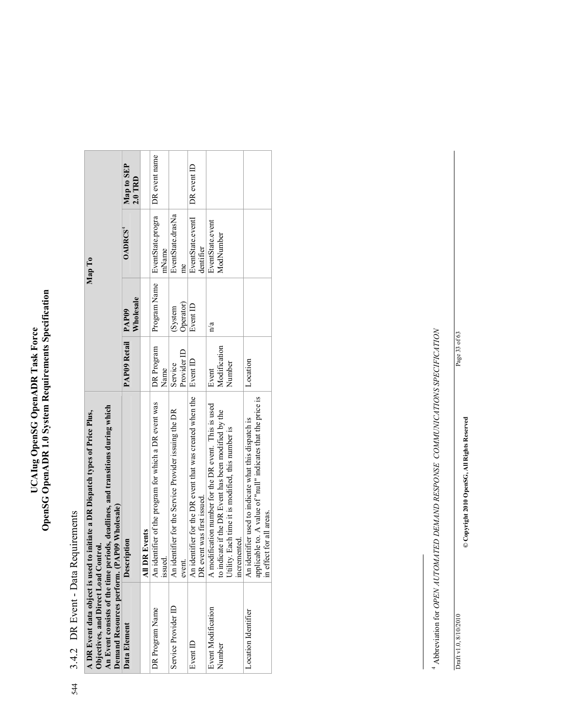### 3.4.2 DR Event - Data Requirements 3.4.2 DR Event - Data Requirements

| Demand Resources perform. (PAP09 Wholesale)<br>Objectives, and Direct Load Control. | An Event consists of the time periods, deadlines, and transitions during which<br>A DR Event data object is used to initiate a DR Dispatch types of Price Plus,                   |                                 |                                | Map To                         |                              |
|-------------------------------------------------------------------------------------|-----------------------------------------------------------------------------------------------------------------------------------------------------------------------------------|---------------------------------|--------------------------------|--------------------------------|------------------------------|
| Data Element                                                                        | Description                                                                                                                                                                       | <b>PAP09 Retail</b>             | Wholesale<br>PAP <sub>09</sub> | <b>OADRCS<sup>4</sup></b>      | Map to SEP<br><b>2.0 TRD</b> |
|                                                                                     | <b>All DR Events</b>                                                                                                                                                              |                                 |                                |                                |                              |
| DR Program Name                                                                     | An identifier of the program for which a DR event was<br>issued.                                                                                                                  | DR Program<br>Name              | Program Name                   | EventState.progra<br>mName     | DR event name                |
| Service Provider ID                                                                 | An identifier for the Service Provider issuing the DR<br>event.                                                                                                                   | Provider ID<br>Service          | Operator)<br>(System           | EventState.drasNa<br>me        |                              |
| Event ID                                                                            | An identifier for the DR event that was created when the<br>DR event was first issued.                                                                                            | Event ID                        | Event ID                       | EventState.eventI<br>dentifier | DR event ID                  |
| Event Modification<br>Number                                                        | A modification number for the DR event. This is used<br>to indicate if the DR Event has been modified by the<br>Utility. Each time it is modified, this number is<br>incremented. | Modification<br>Number<br>Event | n/a                            | EventState.event<br>ModNumber  |                              |
| Location Identifier                                                                 | applicable to. A value of "null" indicates that the price is<br>An identifier used to indicate what this dispatch is<br>in effect for all areas.                                  | Location                        |                                |                                |                              |

4 Abbreviation for OPEN AUTOMATED DEMAND RESPONSE COMMUNICATIONS SPECIFICATION 4 Abbreviation for *OPEN AUTOMATED DEMAND RESPONSE COMMUNICATIONS SPECIFICATION*

Draft v1.0, 8/10/2010 Page 33 of 63 Draft v1.0, 8/10/2010

© Copyright 2010 OpenSG, All Rights Reserved **© Copyright 2010 OpenSG, All Rights Reserved** 

Page 33 of 63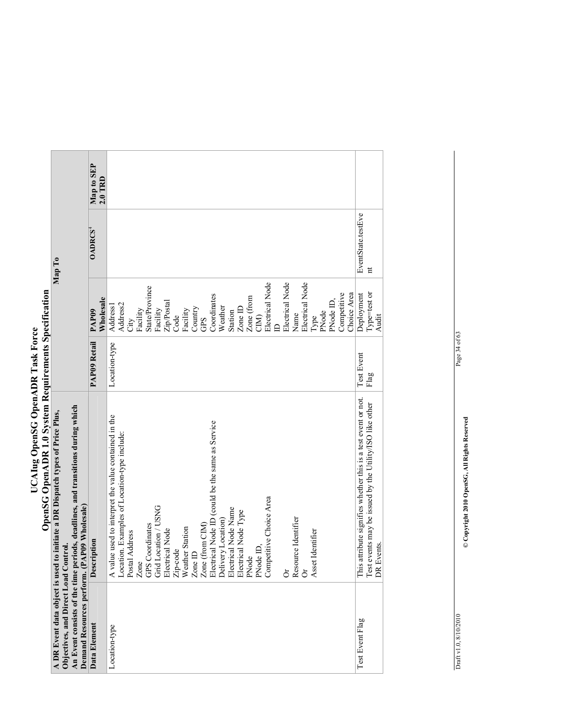|                                             | OpenSG OpenADR 1.0 System Requirements Specification                                                                                                                                                                                                                                                                                                                                                                                                                                                                                                                         |                     |                                                                                                                                                                                                                                                                                                                                                                                       |                                               |                       |
|---------------------------------------------|------------------------------------------------------------------------------------------------------------------------------------------------------------------------------------------------------------------------------------------------------------------------------------------------------------------------------------------------------------------------------------------------------------------------------------------------------------------------------------------------------------------------------------------------------------------------------|---------------------|---------------------------------------------------------------------------------------------------------------------------------------------------------------------------------------------------------------------------------------------------------------------------------------------------------------------------------------------------------------------------------------|-----------------------------------------------|-----------------------|
| Objectives, and Direct Load Control.        | A DR Event data object is used to initiate a DR Dispatch types of Price Plus,                                                                                                                                                                                                                                                                                                                                                                                                                                                                                                |                     |                                                                                                                                                                                                                                                                                                                                                                                       | Map To                                        |                       |
| Demand Resources perform. (PAP09 Wholesale) | An Event consists of the time periods, deadlines, and transitions during which                                                                                                                                                                                                                                                                                                                                                                                                                                                                                               |                     |                                                                                                                                                                                                                                                                                                                                                                                       |                                               |                       |
| Data Element                                | Description                                                                                                                                                                                                                                                                                                                                                                                                                                                                                                                                                                  | <b>PAP09 Retail</b> | Wholesale<br>PAP <sub>09</sub>                                                                                                                                                                                                                                                                                                                                                        | <b>OADRCS</b> <sup>4</sup>                    | Map to SEP<br>2.0 TRD |
| Location-type                               | A value used to interpret the value contained in the<br>Electrical Node ID (could be the same as Service<br>ion. Examples of Location-type include:<br>Competitive Choice Area<br>ocation / USNG<br>Electrical Node Name<br>Electrical Node Type<br>Resource Identifier<br>Delivery Location)<br><b>Coordinates</b><br>(from CIM)<br>Weather Station<br>Electrical Node<br>Identifier<br>Address<br>PNode ID<br>Zip-code<br>$\mathbf{r}$<br>Locatio<br>PNode<br>Postal<br>Zone 1<br>Zone (<br>GPS <sup>(</sup><br>Grid <sub>I</sub><br>Asset<br>Zone<br>$\ddot{\sigma}$<br>ð | Location-type       | Electrical Node<br>Electrical Node<br>Electrical Node<br>State/Province<br>Competitive<br>Choice Area<br>Coordinates<br>Zone (from<br>Zip/Postal<br>PNode ID<br>Address <sub>2</sub><br>Address <sub>1</sub><br>Weather<br>$Z$ one $ID$<br>Country<br>Facility<br>Facility<br>Facility<br>Station<br>PNode<br>Name<br>Code<br>Туре<br>CIM <sub>D</sub><br>GPS<br>City<br>$\mathbf{D}$ |                                               |                       |
| Test Event Flag                             | This attribute signifies whether this is a test event or not.<br>Test events may be issued by the Utility/ISO like other<br>DR Events.                                                                                                                                                                                                                                                                                                                                                                                                                                       | Test Event<br>Flag  | Type=test or<br>Deployment<br>Audit                                                                                                                                                                                                                                                                                                                                                   | EventState.testEve<br>$\overline{\mathbf{u}}$ |                       |

 $\mathbf{r}$ UCAIug OpenSG OpenADR Task Force<br>SG OpenADR 1.0 System Requirements Spec **UCAIug OpenSG OpenADR Task Force** 

Draft v1.0, 8/10/2010 Page 34 of 63 Draft v1.0, 8/10/2010

 $\odot$  Copyright 2010 OpenSG, All Rights Reserved **© Copyright 2010 OpenSG, All Rights Reserved** 

Page 34 of 63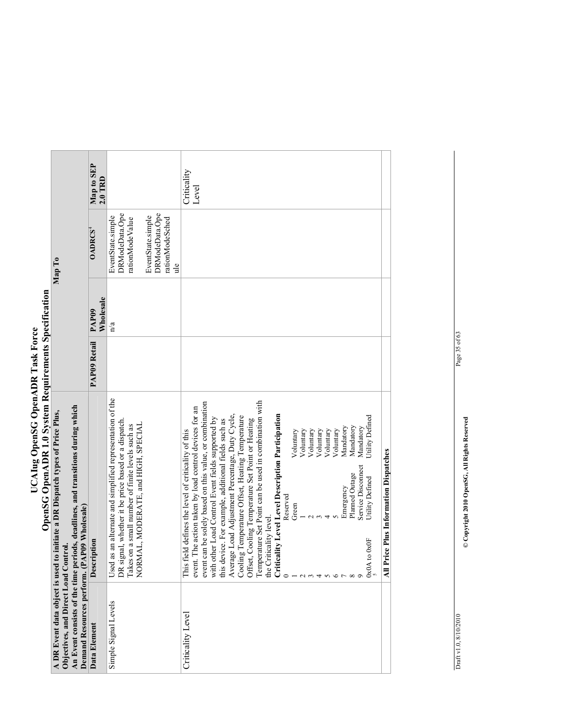| UCAIug OpenSG OpenADR Task Force | <b>OpenSG OpenADR 1.0 System Requirements Specification</b> |  |
|----------------------------------|-------------------------------------------------------------|--|
|                                  |                                                             |  |
|                                  |                                                             |  |
|                                  |                                                             |  |
|                                  |                                                             |  |
|                                  |                                                             |  |
|                                  |                                                             |  |
|                                  |                                                             |  |
|                                  |                                                             |  |

|                                                      |                                                                                                                                                             | Map to SEP<br><b>2.0 TRD</b><br><b>OADRCS4</b> | DRModeData.Ope<br>DRModeData.Ope<br>EventState.simple<br>EventState.simple<br>rationModeValue<br>rationModeSched                                                                                                  | Criticality<br>Level                                                                                                                                                                                                                                                                                                                                                                                                                                                                                                                                                                                                                                                                                                                 |                                       |
|------------------------------------------------------|-------------------------------------------------------------------------------------------------------------------------------------------------------------|------------------------------------------------|-------------------------------------------------------------------------------------------------------------------------------------------------------------------------------------------------------------------|--------------------------------------------------------------------------------------------------------------------------------------------------------------------------------------------------------------------------------------------------------------------------------------------------------------------------------------------------------------------------------------------------------------------------------------------------------------------------------------------------------------------------------------------------------------------------------------------------------------------------------------------------------------------------------------------------------------------------------------|---------------------------------------|
|                                                      | Map To                                                                                                                                                      | Wholesale<br>PAP <sub>09</sub>                 | $\frac{1}{10}$<br>n/a                                                                                                                                                                                             |                                                                                                                                                                                                                                                                                                                                                                                                                                                                                                                                                                                                                                                                                                                                      |                                       |
| OpenSG OpenADR 1.0 System Requirements Specification |                                                                                                                                                             | <b>PAP09 Retail</b>                            |                                                                                                                                                                                                                   | Jtility Defined<br>Mandatory<br>Mandatory<br>Mandatory<br>Voluntary<br>Voluntary<br>Voluntary<br>Voluntary<br>Voluntary<br>Voluntary                                                                                                                                                                                                                                                                                                                                                                                                                                                                                                                                                                                                 |                                       |
|                                                      | An Event consists of the time periods, deadlines, and transitions during which<br>to initiate a DR Dispatch types of Price Plus,<br><b>AP09 Wholesale</b> ) | Description                                    | as an alternate and simplified representation of the<br>gnal, whether it be price based or a dispatch<br>NORMAL, MODERATE, and HIGH, SPECIAL<br>Takes on a small number of finite levels such as<br>DR si<br>Used | Temperature Set Point can be used in combination with<br>event can be solely based on this value, or combination<br>event. The action taken by load control devices for an<br>Average Load Adjustment Percentage, Duty Cycle,<br>Criticality Level Level Description Participation<br>Cooling Temperature Offset, Heating Temperature<br>with other Load Control Event fields supported by<br>Offset, Cooling Temperature Set Point or Heating<br>this device. For example, additional fields such as<br>field defines the level of criticality of this<br>Service Disconnect<br>Planned Outage<br>Utility Defined<br>Emergency<br>Reserved<br>Green<br>$\sim$<br>$\sim$<br>4<br>the Criticality level.<br>to $0x0F$<br>0x0A<br>This | All Price Plus Information Dispatches |
|                                                      | Objectives, and Direct Load Control<br>Demand Resources perform. (P.<br>A DR Event data object is used                                                      | Data Element                                   | Simple Signal Levels                                                                                                                                                                                              | 29.58<br>Criticality Level                                                                                                                                                                                                                                                                                                                                                                                                                                                                                                                                                                                                                                                                                                           |                                       |

Draft v1.0, 8/10/2010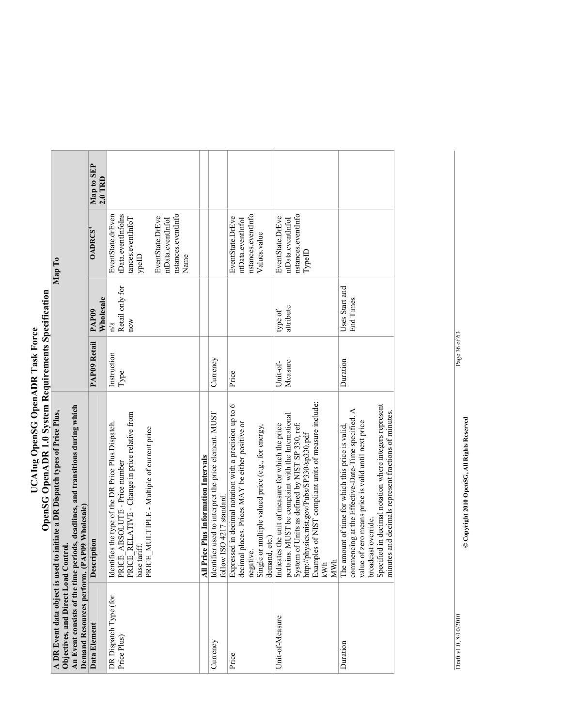|                                                                        | Dental Construction of the product of the production of the product of the production of the product of the product of the product of the product of the product of the product of the product of the product of the product o                                                                              |                     |                                           |                                                                                                                                              |                       |
|------------------------------------------------------------------------|-------------------------------------------------------------------------------------------------------------------------------------------------------------------------------------------------------------------------------------------------------------------------------------------------------------|---------------------|-------------------------------------------|----------------------------------------------------------------------------------------------------------------------------------------------|-----------------------|
| Objectives, and Direct Load Control.<br>A DR Event data object is used | to initiate a DR Dispatch types of Price Plus,                                                                                                                                                                                                                                                              |                     |                                           | Map To                                                                                                                                       |                       |
| Demand Resources perform. (PAP09 Wholesale)                            | An Event consists of the time periods, deadlines, and transitions during which                                                                                                                                                                                                                              |                     |                                           |                                                                                                                                              |                       |
| Data Element                                                           | Description                                                                                                                                                                                                                                                                                                 | <b>PAP09 Retail</b> | Wholesale<br>PAP <sub>09</sub>            | <b>OADRCS</b>                                                                                                                                | Map to SEP<br>2.0 TRD |
| DR Dispatch Type (for<br>Price Plus)                                   | PRICE_RELATIVE - Change in price relative from<br>Identifies the type of the DR Price Plus Dispatch.<br><b>E_MULTIPLE</b> - Multiple of current price<br>CE_ABSOLUTE - Price number<br>base tariff.<br>PRIC<br>PRIC                                                                                         | Instruction<br>Type | Retail only for<br>$_{\text{now}}$<br>n/a | tData.eventInfoIns<br>nstances.eventInfo<br>EventState.drEven<br>EventState.DrEve<br>tances.eventInfoT<br>ntData.eventInfoI<br>ypelD<br>Name |                       |
|                                                                        | All Price Plus Information Intervals                                                                                                                                                                                                                                                                        |                     |                                           |                                                                                                                                              |                       |
| Currency                                                               | Identifier used to interpret the price element. MUST<br>follow ISO 4217 standard                                                                                                                                                                                                                            | Currency            |                                           |                                                                                                                                              |                       |
| Price                                                                  | Expressed in decimal notation with a precision up to 6<br>decimal places. Prices MAY be either positive or<br>negative.<br>Single or multiple valued price (e.g., for energy,<br>demand, etc.)                                                                                                              | Price               |                                           | nstances.eventInfo<br>EventState.DrEve<br>ntData.eventInfoI<br>Values.value                                                                  |                       |
| Unit-of-Measure                                                        | Examples of NIST compliant units of measure include:<br>pertains. MUST be complaint with the International<br>Indicates the unit of measure for which the price<br>System of Units as defined by NIST SP 330, ref:<br>http://physics.nist.gov/Pubs/SP330/sp330.pdf<br>MW<br>kWh                             | Measure<br>Unit-of- | attribute<br>type of                      | nstances.eventInfo<br>EventState.DrEve<br>ntData.eventInfol<br>TypeID                                                                        |                       |
| Duration                                                               | Specified in decimal notation where integers represent<br>commencing at the Effective-Date-Time specified. A<br>ites and decimals represent fractions of minutes.<br>value of zero means price is valid until next price<br>The amount of time for which this price is valid<br>broadcast override.<br>minu | Duration            | Uses Start and<br><b>End Times</b>        |                                                                                                                                              |                       |

Draft v1.0, 8/10/2010

Page 36 of 63 Draft v1.0, 8/10/2010 Page 36 of 63 © Copyright 2010 OpenSG, All Rights Reserved **© Copyright 2010 OpenSG, All Rights Reserved**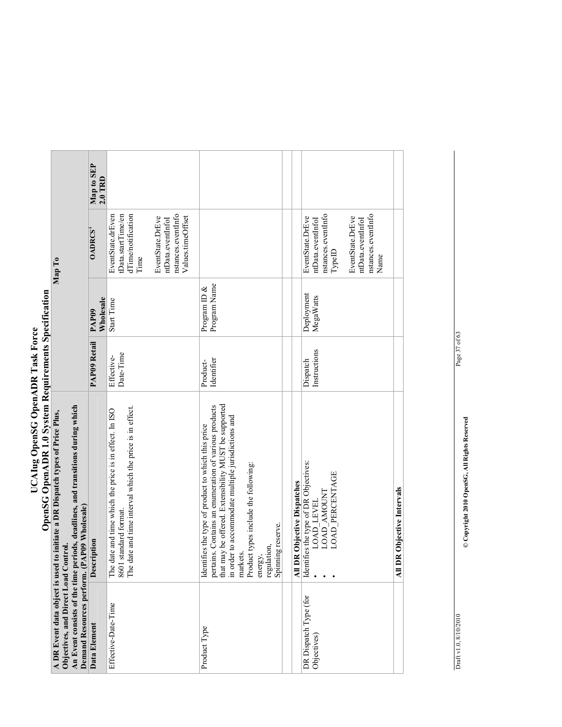| OpenSG OpenADR 1.0 System Requirements Specification |             |
|------------------------------------------------------|-------------|
| UCAIug OpenSG OpenADR Task Force                     | ;<br>;<br>; |
|                                                      |             |

| Objectives, and Direct Load Control.<br>A DR Event data object is used | to initiate a DR Dispatch types of Price Plus,                                                                                                                                                                                             |                          |                                 | Map To                                                                                    |                       |
|------------------------------------------------------------------------|--------------------------------------------------------------------------------------------------------------------------------------------------------------------------------------------------------------------------------------------|--------------------------|---------------------------------|-------------------------------------------------------------------------------------------|-----------------------|
| Demand Resources perform. (PAP09 Wholesale)                            | An Event consists of the time periods, deadlines, and transitions during which                                                                                                                                                             |                          |                                 |                                                                                           |                       |
| Data Element                                                           | Description                                                                                                                                                                                                                                | <b>PAP09 Retail</b>      | Wholesale<br>PAP <sub>09</sub>  | <b>OADRCS</b>                                                                             | Map to SEP<br>2.0 TRD |
| Effective-Date-Time                                                    | The date and time interval which the price is in effect.<br>The date and time which the price is in effect. In ISO<br>standard format.<br>8601                                                                                             | Date-Time<br>Effective-  | Start Time                      | EventState.drEven<br>tData.startTime/en<br>dTime/notification<br>EventState.DrEve<br>Time |                       |
|                                                                        |                                                                                                                                                                                                                                            |                          |                                 | nstances.eventInfo<br>Values.timeOffset<br>ntData.eventInfol                              |                       |
| Product Type                                                           | that may be offered. Extensibility MUST be supported<br>pertains. Contains an enumeration of various products<br>in order to accommodate multiple jurisdictions and<br>tifies the type of product to which this price<br>markets.<br>Ident | Identifier<br>Product-   | Program Name<br>Program ID $\&$ |                                                                                           |                       |
|                                                                        | Product types include the following:<br>regulation,<br>Spinning reserve.<br>energy,                                                                                                                                                        |                          |                                 |                                                                                           |                       |
|                                                                        | <b>Objective Dispatches</b><br>$\bar{a}$                                                                                                                                                                                                   |                          |                                 |                                                                                           |                       |
| DR Dispatch Type (for<br>Objectives)                                   | Identifies the type of DR Objectives:<br>LOAD_PERCENTAGE<br>$\frac{\text{LOAD\_LEVEL}}{\text{LOAD\_ANOUNT}}$                                                                                                                               | Instructions<br>Dispatch | Deployment<br>MegaWatts         | nstances.eventInfo<br>EventState.DrEve<br>ntData.eventInfol<br>TypeID                     |                       |
|                                                                        |                                                                                                                                                                                                                                            |                          |                                 | nstances.eventInfo<br>EventState.DrEve<br>ntData.eventInfol<br>Name                       |                       |
|                                                                        | All DR Objective Intervals                                                                                                                                                                                                                 |                          |                                 |                                                                                           |                       |

Draft v1.0, 8/10/2010

Page 37 of 63 Draft v1.0, 8/10/2010 Page 37 of 63 © Copyright 2010 OpenSG, All Rights Reserved **© Copyright 2010 OpenSG, All Rights Reserved**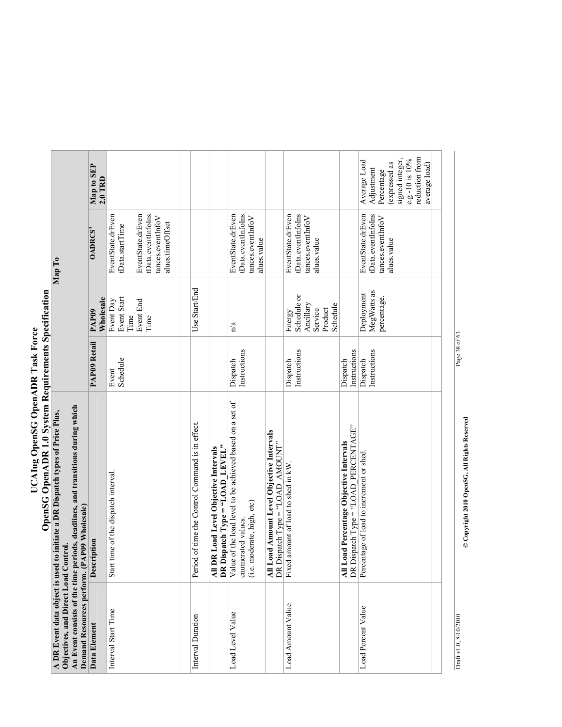| Objectives, and Direct Load Control.<br>A DR Event data object is used | to initiate a DR Dispatch types of Price Plus,                                                               |                          |                                                                      | Map To                                                                                                                   |                                                                                                                                    |
|------------------------------------------------------------------------|--------------------------------------------------------------------------------------------------------------|--------------------------|----------------------------------------------------------------------|--------------------------------------------------------------------------------------------------------------------------|------------------------------------------------------------------------------------------------------------------------------------|
| Demand Resources perform. (PAP09 Wholesale)                            | An Event consists of the time periods, deadlines, and transitions during which                               |                          |                                                                      |                                                                                                                          |                                                                                                                                    |
| Data Element                                                           | Description                                                                                                  | <b>PAP09 Retail</b>      | Wholesale<br>PAP <sub>09</sub>                                       | <b>OADRCS</b> <sup>4</sup>                                                                                               | Map to SEP<br>2.0 TRD                                                                                                              |
| Interval Start Time                                                    | time of the dispatch interval.<br><b>Start</b>                                                               | Schedule<br>Event        | Event Start<br>Event Day<br>Event End<br>Time<br>Time                | tData.eventInfoIns<br>EventState.drEven<br>EventState.drEven<br>tances.eventInfoV<br>alues.timeOffset<br>tData.startTime |                                                                                                                                    |
| Interval Duration                                                      | Period of time the Control Command is in effect.                                                             |                          | Use Start/End                                                        |                                                                                                                          |                                                                                                                                    |
|                                                                        | DR Dispatch $Type = "LOAD_LEVEL"$<br>R Load Level Objective Intervals<br>All D                               |                          |                                                                      |                                                                                                                          |                                                                                                                                    |
| Load Level Value                                                       | Value of the load level to be achieved based on a set of<br>(i.e. moderate, high, etc)<br>enumerated values. | Instructions<br>Dispatch | n/a                                                                  | tData.eventInfoIns<br>EventState.drEven<br>tances.eventInfoV<br>alues.value                                              |                                                                                                                                    |
|                                                                        | All Load Amount Level Objective Intervals<br>DR Dispatch $Type = "LOAD ANOUNT"$                              |                          |                                                                      |                                                                                                                          |                                                                                                                                    |
| Load Amount Value                                                      | amount of load to shed in kW<br>Fixed                                                                        | Instructions<br>Dispatch | Schedule or<br>Ancillary<br>Schedule<br>Product<br>Service<br>Energy | EventState.drEven<br>tData.eventInfoIns<br>tances.eventInfoV<br>alues.value                                              |                                                                                                                                    |
|                                                                        | DR Dispatch Type = "LOAD_PERCENTAGE"<br>oad Percentage Objective Intervals<br>AIL                            | Instructions<br>Dispatch |                                                                      |                                                                                                                          |                                                                                                                                    |
| Load Percent Value                                                     | Percentage of load to increment or shed                                                                      | Instructions<br>Dispatch | MegWatts as<br>Deployment<br>percentage.                             | EventState.drEven<br>tData.eventInfoIns<br>tances.eventInfoV<br>alues.value                                              | reduction from<br>signed integer,<br>e.g-10 is $10\%$<br>Average Load<br>expressed as<br>average load)<br>Adjustment<br>Percentage |
|                                                                        |                                                                                                              |                          |                                                                      |                                                                                                                          |                                                                                                                                    |

 $\odot$  Copyright 2010 OpenSG, All Rights Reserved **© Copyright 2010 OpenSG, All Rights Reserved** 

Draft v1.0, 8/10/2010

Page 38 of 63 Draft v1.0, 8/10/2010 Page 38 of 63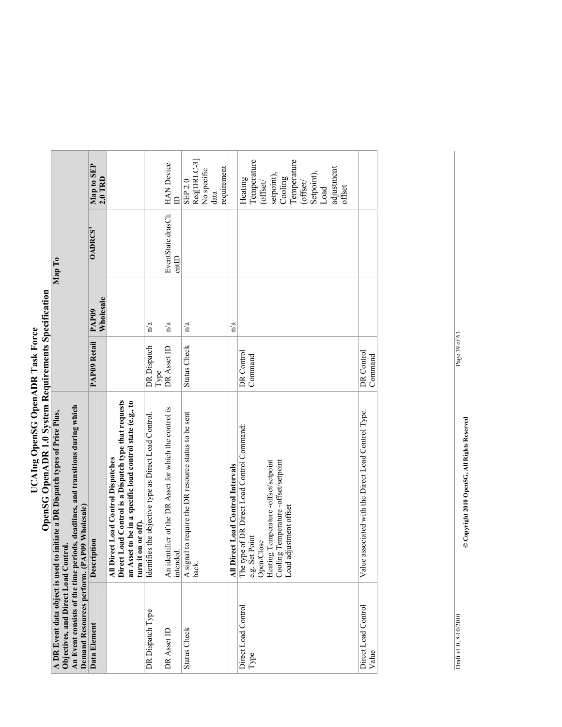### $\mathbf{r}$ ifi $\mathbf{r}$ ati $\mathbf{r}$ UCAIug OpenSG OpenADR Task Force<br>SG OpenADR 1.0 System Requirements Spec **UCAIug OpenSG OpenADR Task Force**

|                                                      | Map To                                                                 |                                                                                | Map to SEP<br>2.0 TRD<br><b>OADRCS</b> <sup>4</sup> |                                                                                                                                                                                                 |                                                       | <b>HAN</b> Device<br>$\overline{\mathbf{r}}$<br>EventState.drasCli<br>entID | Req[DRLC-3]<br>requirement<br>No specific<br>SEP 2.0<br>data   |                                                 | Temperature<br><b>Temperature</b><br>adjustment<br>Setpoint),<br>setpoint),<br>Cooling<br>Heating<br>(offset/<br>(offset/<br>offset<br>Load                                         |                                                     |
|------------------------------------------------------|------------------------------------------------------------------------|--------------------------------------------------------------------------------|-----------------------------------------------------|-------------------------------------------------------------------------------------------------------------------------------------------------------------------------------------------------|-------------------------------------------------------|-----------------------------------------------------------------------------|----------------------------------------------------------------|-------------------------------------------------|-------------------------------------------------------------------------------------------------------------------------------------------------------------------------------------|-----------------------------------------------------|
|                                                      |                                                                        |                                                                                | Wholesale<br>PAP <sub>09</sub>                      |                                                                                                                                                                                                 | n/a                                                   | n/a                                                                         | n/a                                                            | na                                              |                                                                                                                                                                                     |                                                     |
|                                                      |                                                                        |                                                                                | PAP09 Retail                                        |                                                                                                                                                                                                 | DR Dispatch<br>Гуре                                   | DR Asset ID                                                                 | <b>Status Check</b>                                            |                                                 | DR Control<br>Command                                                                                                                                                               | DR Control<br>Command                               |
| OpenSG OpenADR 1.0 System Requirements Specification | to initiate a DR Dispatch types of Price Plus,                         | An Event consists of the time periods, deadlines, and transitions during which | Description                                         | Direct Load Control is a Dispatch type that requests<br>an Asset to be in a specific load control state (e.g., to<br>Direct Load Control Dispatches<br>it on or off).<br>turn<br>$\overline{a}$ | Identifies the objective type as Direct Load Control. | An identifier of the DR Asset for which the control is<br>intended.         | A signal to require the DR resource status to be sent<br>back. | Direct Load Control Intervals<br>$\overline{a}$ | The type of DR Direct Load Control Command:<br>Cooling Temperature-offset/setpoint<br>Heating Temperature-offset/setpoint<br>Load adjustment offset<br>e.g. Set Point<br>Open/Close | Value associated with the Direct Load Control Type. |
|                                                      | Objectives, and Direct Load Control.<br>A DR Event data object is used | Demand Resources perform. (PAP09 Wholesale)                                    | Data Element                                        |                                                                                                                                                                                                 | DR Dispatch Type                                      | DR Asset ID                                                                 | Status Check                                                   |                                                 | Direct Load Control<br>${\rm Type}$                                                                                                                                                 | Direct Load Control<br>Value                        |

Draft v1.0, 8/10/2010

Page 39 of 63 Draft v1.0, 8/10/2010 Page 39 of 63

 $\odot$  Copyright 2010 OpenSG, All Rights Reserved **© Copyright 2010 OpenSG, All Rights Reserved**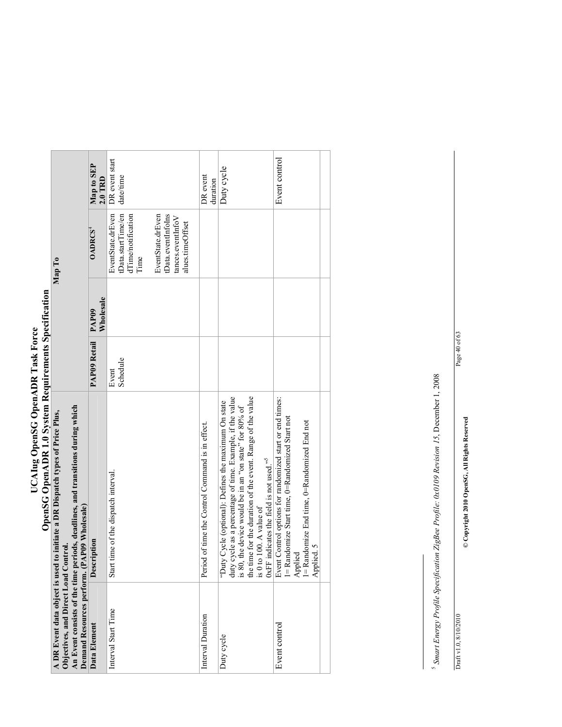## UCAIug OpenSG OpenADR Task Force<br>OpenSG OpenADR 1.0 System Requirements Specification **UCAIug OpenSG OpenADR Task Force**

|                                                      | Map To                                                                                                                           | Map to SEP<br>2.0 TRD<br><b>OADRCS<sup>4</sup></b> | DR event start<br>date/time<br>EventState.drEven<br>tData.eventInfoIns<br>tData.startTime/en<br>EventState.drEven<br>dTime/notification<br>tances.eventInfoV<br>alues.timeOffset<br>Time | DR event<br>duration                             | Duty cycle                                                                                                                                                                                                                                                                                                                  | Event control                                                                                                                                                                            |  |
|------------------------------------------------------|----------------------------------------------------------------------------------------------------------------------------------|----------------------------------------------------|------------------------------------------------------------------------------------------------------------------------------------------------------------------------------------------|--------------------------------------------------|-----------------------------------------------------------------------------------------------------------------------------------------------------------------------------------------------------------------------------------------------------------------------------------------------------------------------------|------------------------------------------------------------------------------------------------------------------------------------------------------------------------------------------|--|
|                                                      |                                                                                                                                  | Wholesale<br>PAP <sub>09</sub>                     |                                                                                                                                                                                          |                                                  |                                                                                                                                                                                                                                                                                                                             |                                                                                                                                                                                          |  |
|                                                      |                                                                                                                                  | <b>PAP09 Retail</b>                                | Schedule<br>Event                                                                                                                                                                        |                                                  |                                                                                                                                                                                                                                                                                                                             |                                                                                                                                                                                          |  |
| OpenSG OpenADR 1.0 System Requirements Specification | An Event consists of the time periods, deadlines, and transitions during which<br>to initiate a DR Dispatch types of Price Plus, | Description                                        | time of the dispatch interval.<br>Start                                                                                                                                                  | Period of time the Control Command is in effect. | duty cycle as a percentage of time. Example, if the value<br>is 80, the device would be in an "on state" for 80% of<br>the time for the duration of the event. Range of the value<br>is 0 to 100. A value of<br>'Duty Cycle (optional): Defines the maximum On state<br>0xFF indicates the field is not used." <sup>5</sup> | Event Control options for randomized start or end times:<br>1= Randomize Start time, 0=Randomized Start not<br>Applied<br>1= Randomize End time, 0=Randomized End not<br>ied. 5<br>Appli |  |
|                                                      | Demand Resources perform. (PAP09 Wholesale)<br>Objectives, and Direct Load Control<br>A DR Event data object is used             | Data Element                                       | Interval Start Time                                                                                                                                                                      | Interval Duration                                | Duty cycle                                                                                                                                                                                                                                                                                                                  | Event control                                                                                                                                                                            |  |

<sup>5</sup> Smart Energy Profile Specification ZigBee Profile: 0x0109 Revision 15, December 1, 2008 *Smart Energy Profile Specification ZigBee Profile: 0x0109 Revision 15*, December 1, 2008

Draft v1.0, 8/10/2010 Page 40 of 63 Draft v1.0, 8/10/2010

© Copyright 2010 OpenSG, All Rights Reserved **© Copyright 2010 OpenSG, All Rights Reserved** 

Page 40 of 63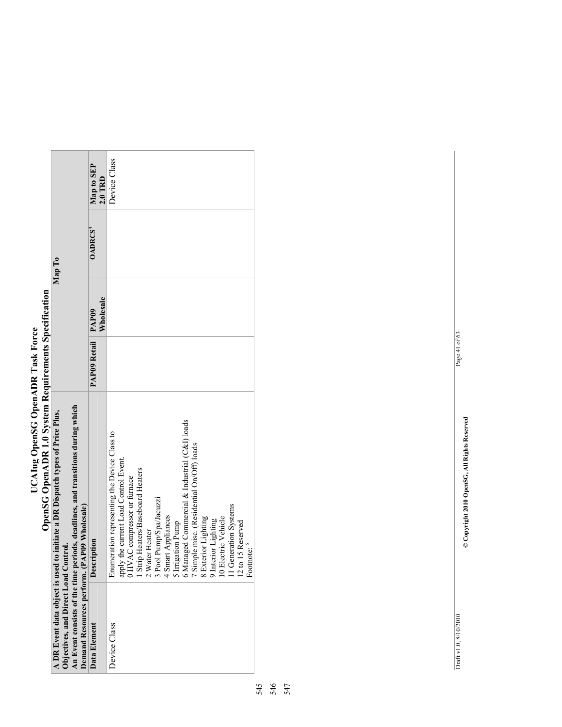|                                                             | Map To                                                                                                                           | Map to SEP<br>2.0 TRD<br><b>OADRCS<sup>4</sup></b><br>Wholesale | Device Class                                                                                                                                                                                                                                                                                                                                                                                                                                                                               |
|-------------------------------------------------------------|----------------------------------------------------------------------------------------------------------------------------------|-----------------------------------------------------------------|--------------------------------------------------------------------------------------------------------------------------------------------------------------------------------------------------------------------------------------------------------------------------------------------------------------------------------------------------------------------------------------------------------------------------------------------------------------------------------------------|
|                                                             |                                                                                                                                  |                                                                 |                                                                                                                                                                                                                                                                                                                                                                                                                                                                                            |
|                                                             |                                                                                                                                  | PAP09 Retail PAP09                                              |                                                                                                                                                                                                                                                                                                                                                                                                                                                                                            |
| <b>OpenSG OpenADR 1.0 System Requirements Specification</b> | An Event consists of the time periods, deadlines, and transitions during which<br>to initiate a DR Dispatch types of Price Plus, | Description                                                     | 6 Managed Commercial & Industrial (C&I) loads<br>Enumeration representing the Device Class to<br>Simple misc. (Residential On/Off) loads<br>apply the current Load Control Event.<br>0 HVAC compressor or furnace<br>1 Strip Heaters/Baseboard Heaters<br>2 Water Heater<br>3 Pool Pump/Spa/Jacuzzi<br>1 Generation Systems<br>4 Smart Appliances<br>8 Exterior Lighting<br>10 Electric Vehicle<br>9 Interior Lighting<br>12 to 15 Reserved<br>5 Irrigation Pump<br>Footnote: <sup>5</sup> |
|                                                             | Demand Resources perform. (PAP09 Wholesale)<br>Objectives, and Direct Load Control.<br>A DR Event data object is used            | Data Element                                                    | Device Class                                                                                                                                                                                                                                                                                                                                                                                                                                                                               |

Draft v1.0, 8/10/2010 Page 41 of 63 © Copyright 2010 OpenSG, All Rights Reserved **© Copyright 2010 OpenSG, All Rights Reserved** 

Draft v1.0, 8/10/2010

Page 41 of 63

UCAIug OpenSG OpenADR Task Force **UCAIug OpenSG OpenADR Task Force**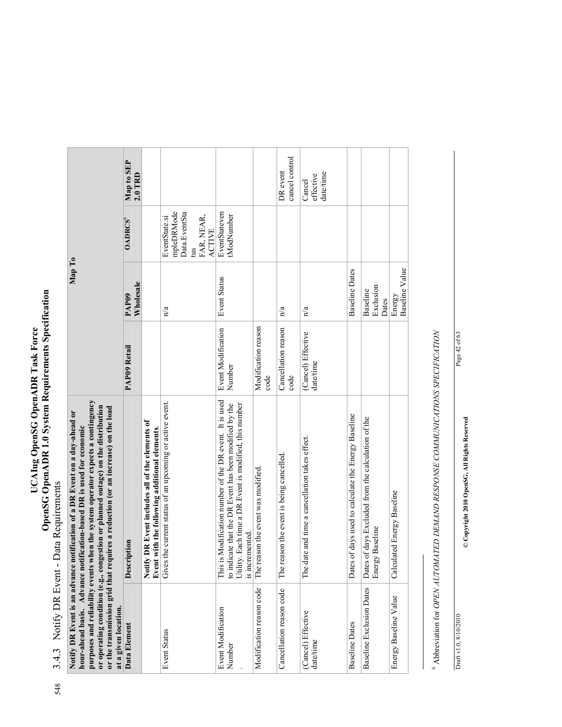# UCAIug OpenSG OpenADR Task Force<br>3.4.3 Notify DR Event - Data Requirements<br>Notify DR Event - Data Requirements<br>Notify DR Event san advance notification of a DR Event on a dav-ahead or **OpenSG OpenADR 1.0 System Requirements Specification UCAIug OpenSG OpenADR Task Force**

# 3.4.3 Notify DR Event - Data Requirements

|                                                                                                                                                                                                                                                                                                                                                                                                            | Map to SEP<br>2.0 TRD<br><b>OADRCS</b> |                                                                                                        | mpleDRMode<br>Data.EventSta<br>FAR, NEAR,<br>EventState.si<br><b>ACTIVE</b><br>tus | EventStateven<br>tModNumber                                                                                                                                                                      |                                   | cancel control<br>DR event               | date/time<br>effective<br>Cancel               |                                                     |                                                                          |                            |
|------------------------------------------------------------------------------------------------------------------------------------------------------------------------------------------------------------------------------------------------------------------------------------------------------------------------------------------------------------------------------------------------------------|----------------------------------------|--------------------------------------------------------------------------------------------------------|------------------------------------------------------------------------------------|--------------------------------------------------------------------------------------------------------------------------------------------------------------------------------------------------|-----------------------------------|------------------------------------------|------------------------------------------------|-----------------------------------------------------|--------------------------------------------------------------------------|----------------------------|
| Map To                                                                                                                                                                                                                                                                                                                                                                                                     | Wholesale<br>PAP <sub>09</sub>         |                                                                                                        | n/a                                                                                | Event Status                                                                                                                                                                                     |                                   | n/a                                      | n/a                                            | <b>Baseline Dates</b>                               | Exclusion<br>Baseline<br>Dates                                           | Baseline Value<br>Energy   |
|                                                                                                                                                                                                                                                                                                                                                                                                            | <b>PAP09 Retail</b>                    |                                                                                                        |                                                                                    | Event Modification<br>Number                                                                                                                                                                     | Modification reason<br>code       | Cancellation reason<br>code              | (Cancel) Effective<br>date/time                |                                                     |                                                                          |                            |
| purposes and reliability events when the system operator expects a contingency<br>or operating condition (e.g., congestion or planned outage) on the distribution<br>or the transmission grid that requires a reduction (or an increase) on the load<br>Notify DR Event is an advance notification of a DR Event on a day-ahead or<br>hour-ahead basis. Advance notification-based DR is used for economic | ption<br>Descri                        | DR Event includes all of the elements of<br>with the following additional elements.<br>Notify<br>Event | the current status of an upcoming or active event.<br>Gives t                      | Modification number of the DR event. It is used<br>Utility. Each time a DR Event is modified, this number<br>to indicate that the DR Event has been modified by the<br>is incremented<br>This is | The reason the event was modified | The reason the event is being cancelled. | The date and time a cancellation takes effect. | Dates of days used to calculate the Energy Baseline | Dates of days Excluded from the calculation of the<br>Baseline<br>Energy | Calculated Energy Baseline |
| at a given location.                                                                                                                                                                                                                                                                                                                                                                                       | Data Element                           |                                                                                                        | Event Status                                                                       | Event Modification<br>Number                                                                                                                                                                     | Modification reason code          | Cancellation reason code                 | (Cancel) Effective<br>date/time                | <b>Baseline Dates</b>                               | <b>Baseline Exclusion Dates</b>                                          | Energy Baseline Value      |

6 Abbreviation for OPEN AUTOMATED DEMAND RESPONSE COMMUNICATIONS SPECIFICATION 6 Abbreviation for *OPEN AUTOMATED DEMAND RESPONSE COMMUNICATIONS SPECIFICATION*

Draft v1.0, 8/10/2010

© Copyright 2010 OpenSG, All Rights Reserved **© Copyright 2010 OpenSG, All Rights Reserved** 

Page 42 of 63 Draft v1.0, 8/10/2010 Page 42 of 63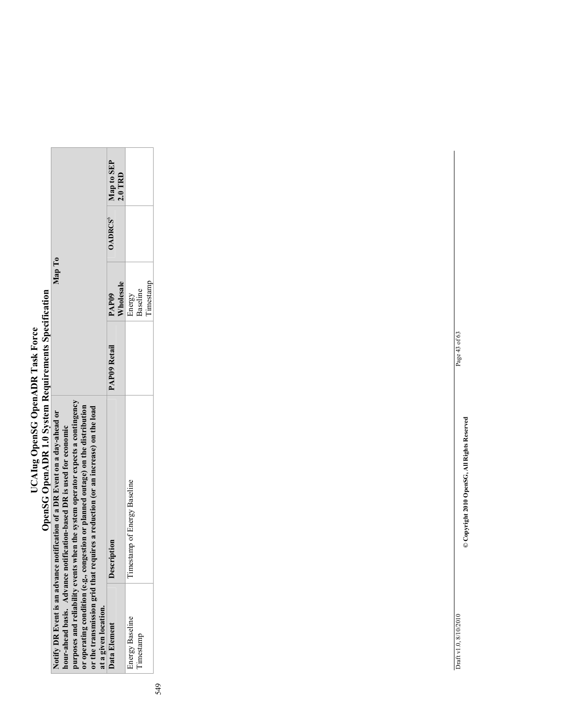| Map To                                                                                                                                                                                                                                                                                                                                                                       | Map to SEP<br>2.0 TRD<br><b>OADRCS</b> <sup>6</sup><br>Wholesale<br>PAP <sub>09</sub><br><b>PAP09 Retail</b> | Timestamp<br>Baseline<br>Energy     |
|------------------------------------------------------------------------------------------------------------------------------------------------------------------------------------------------------------------------------------------------------------------------------------------------------------------------------------------------------------------------------|--------------------------------------------------------------------------------------------------------------|-------------------------------------|
| ourposes and reliability events when the system operator expects a contingency<br>or the transmission grid that requires a reduction (or an increase) on the load<br>congestion or planned outage) on the distribution<br>Notify DR Event is an advance notification of a DR Event on a day-ahead or<br>hour-ahead basis. Advance notification-based DR is used for economic | Description                                                                                                  | Timestamp of Energy Baseline        |
| or operating condition (e.g., o<br>at a given location.                                                                                                                                                                                                                                                                                                                      | Data Element                                                                                                 | <b>Energy Baseline</b><br>Timestamp |

549

Draft v1.0, 8/10/2010 Page 43 of 63 of 63 of 63 of 63 of 63 of 63 of 643 of 63 of 643 of 643 of 643 of 63 of 63 Draft v1.0, 8/10/2010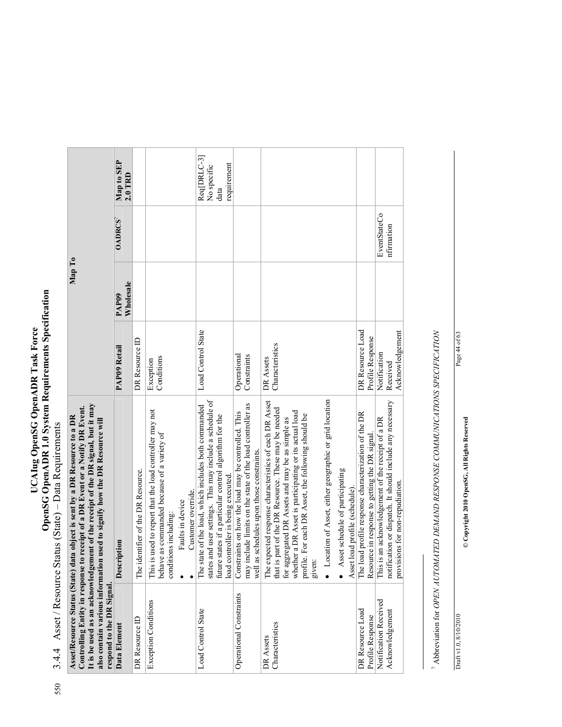# UCAIug OpenSG OpenADR Task Force<br>
3.4.4 Asset / Resource Status (State) – Data Requirements<br>
3.4.4 Asset / Resource Status (State) – Data Requirements **OpenSG OpenADR 1.0 System Requirements Specification UCAIug OpenSG OpenADR Task Force**

3.4.4 Asset / Resource Status (State) – Data Requirements

|                                                                                                                                                                                                                                                                                              | Map to SEP<br>2.0 TRD          |                                    |                                                                                                                                                                               | Req[DRLC-3]<br>requirement<br>No specific<br>data                                                                                                                                                                 |                                                                                                                                                               |                                                                                                                                                                                                                                                                                               |                                                                                                                                                   |                                                                                                       |                                                                                                                                                   |
|----------------------------------------------------------------------------------------------------------------------------------------------------------------------------------------------------------------------------------------------------------------------------------------------|--------------------------------|------------------------------------|-------------------------------------------------------------------------------------------------------------------------------------------------------------------------------|-------------------------------------------------------------------------------------------------------------------------------------------------------------------------------------------------------------------|---------------------------------------------------------------------------------------------------------------------------------------------------------------|-----------------------------------------------------------------------------------------------------------------------------------------------------------------------------------------------------------------------------------------------------------------------------------------------|---------------------------------------------------------------------------------------------------------------------------------------------------|-------------------------------------------------------------------------------------------------------|---------------------------------------------------------------------------------------------------------------------------------------------------|
|                                                                                                                                                                                                                                                                                              | <b>OADRCS</b>                  |                                    |                                                                                                                                                                               |                                                                                                                                                                                                                   |                                                                                                                                                               |                                                                                                                                                                                                                                                                                               |                                                                                                                                                   |                                                                                                       | EventStateCo<br>nfirmation                                                                                                                        |
| Map To                                                                                                                                                                                                                                                                                       | Wholesale<br>PAP <sub>09</sub> |                                    |                                                                                                                                                                               |                                                                                                                                                                                                                   |                                                                                                                                                               |                                                                                                                                                                                                                                                                                               |                                                                                                                                                   |                                                                                                       |                                                                                                                                                   |
|                                                                                                                                                                                                                                                                                              | <b>PAP09 Retail</b>            | DR Resource ID                     | Conditions<br>Exception                                                                                                                                                       | Load Control State                                                                                                                                                                                                | Operational<br>Constraints                                                                                                                                    | Characteristics<br>DR Assets                                                                                                                                                                                                                                                                  |                                                                                                                                                   | DR Resource Load<br>Profile Response                                                                  | Acknowledgement<br>Notification<br>Received                                                                                                       |
| It is be used as an acknowledgement of the receipt of the DR signal, but it may<br>Controlling Entity in response to receipt of a DR Event or a Notify DR Event.<br>Asset/Resource Status (State) data object is sent by a DR Resource to a DR<br>n used to signify how the DR Resource will | ription<br>Descr               | The identifier of the DR Resource. | s used to report that the load controller may not<br>behave as commanded because of a variety of<br>Customer override.<br>Faults in device<br>conditions including:<br>This i | states and user settings. This may include a schedule of<br>The state of the load, which includes both commanded<br>future states if a particular control algorithm for the<br>load controller is being executed. | may include limits on the state of the load controller as<br>Constraints on how the load may be controlled. This<br>well as schedules upon those constraints. | The expected response characteristics of each DR Asset<br>that is part of the DR Resource. These may be needed<br>whether a DR Asset is participating or its actual load<br>profile. For each DR Asset, the following should be<br>for aggregated DR Assets and may be as simple as<br>given: | • Location of Asset, either geographic or grid location<br>sset schedule of participating<br>Asset load profile (schedule)<br>$\ddot{\mathbf{z}}$ | The load profile response characterization of the DR<br>Resource in response to getting the DR signal | notification or dispatch. It should include any necessary<br>This is an acknowledgement of the receipt of a DR<br>provisions for non-repudiation. |
| also contain various information<br>respond to the DR Signal                                                                                                                                                                                                                                 | Data Element                   | DR Resource ID                     | <b>Exception Conditions</b>                                                                                                                                                   | Load Control State                                                                                                                                                                                                | Operational Constraints                                                                                                                                       | Characteristics<br>DR Assets                                                                                                                                                                                                                                                                  |                                                                                                                                                   | DR Resource Load<br>Profile Response                                                                  | Notification Received<br>Acknowledgement                                                                                                          |

7 Abbreviation for OPEN AUTOMATED DEMAND RESPONSE COMMUNICATIONS SPECIFICATION 7 Abbreviation for *OPEN AUTOMATED DEMAND RESPONSE COMMUNICATIONS SPECIFICATION*

Draft v1.0, 8/10/2010

© Copyright 2010 OpenSG, All Rights Reserved **© Copyright 2010 OpenSG, All Rights Reserved** 

Page 44 of 63 Draft v1.0, 8/10/2010 Page 44 of 63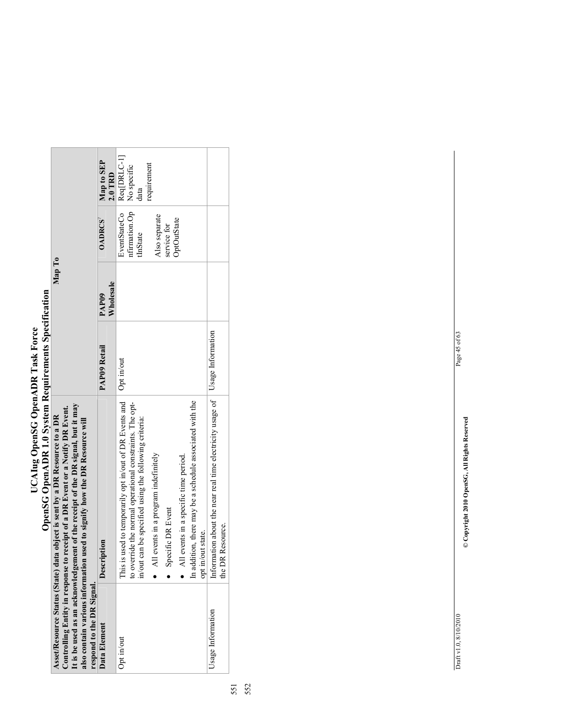|                                                                                                                                                                                                                                |                                                                                                                                                                                                                                                               | Map to SEP          | 2.0 TRD   | Req[DRLC-1]                                                  | No specific                                              | data                                                  | requirement                          |               |                  |                                      |                                                          |                   |                                                                               |                  |
|--------------------------------------------------------------------------------------------------------------------------------------------------------------------------------------------------------------------------------|---------------------------------------------------------------------------------------------------------------------------------------------------------------------------------------------------------------------------------------------------------------|---------------------|-----------|--------------------------------------------------------------|----------------------------------------------------------|-------------------------------------------------------|--------------------------------------|---------------|------------------|--------------------------------------|----------------------------------------------------------|-------------------|-------------------------------------------------------------------------------|------------------|
|                                                                                                                                                                                                                                |                                                                                                                                                                                                                                                               | <b>OADRCS'</b>      |           | Even StateCo                                                 | nfirmation.Op                                            | tInState                                              |                                      | Also separate | service for      | OptOutState                          |                                                          |                   |                                                                               |                  |
|                                                                                                                                                                                                                                | Map To                                                                                                                                                                                                                                                        | PAP <sub>09</sub>   | Wholesale |                                                              |                                                          |                                                       |                                      |               |                  |                                      |                                                          |                   |                                                                               |                  |
|                                                                                                                                                                                                                                |                                                                                                                                                                                                                                                               | <b>PAP09 Retail</b> |           | Opt in/out                                                   |                                                          |                                                       |                                      |               |                  |                                      |                                                          |                   |                                                                               |                  |
| Distribution of the production of the production of the production of the production of the production of the production of the production of the production of the production of the production of the production of the prod | It is be used as an acknowledgement of the receipt of the DR signal, but it may<br>to receipt of a DR Event or a Notify DR Event.<br>Asset/Resource Status (State) data object is sent by a DR Resource to a DR<br>n used to signify how the DR Resource will | Description         |           | is used to temporarily opt in/out of DR Events and<br>This i | to override the normal operational constraints. The opt- | in/out can be specified using the following criteria: | All events in a program indefinitely |               | pecific DR Event | Il events in a specific time period. | In addition, there may be a schedule associated with the | opt in/out state. | Information about the near real time electricity usage of   Usage Information | the DR Resource. |
|                                                                                                                                                                                                                                | also contain various informatio<br>Controlling Entity in response t<br>respond to the DR Signal.                                                                                                                                                              | Data Element        |           | Opt in/out                                                   |                                                          |                                                       |                                      |               |                  |                                      |                                                          |                   | Usage Information                                                             |                  |

551 552 Page 45 of 63 © Copyright 2010 OpenSG, All Rights Reserved **© Copyright 2010 OpenSG, All Rights Reserved**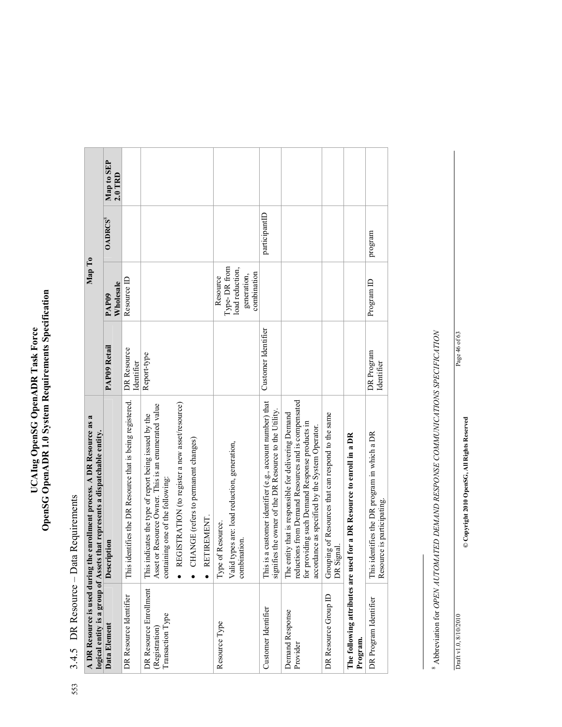### 3.4.5 DR Resource - Data Requirements 3.4.5 DR Resource – Data Requirements

|                                                              | A DR Resource is used during the enrollment process. A DR Resource as a<br>logical entity is a group of Assets that represents a dispatchable entity.                                                            |                           | Map To                                                                    |                            |                       |
|--------------------------------------------------------------|------------------------------------------------------------------------------------------------------------------------------------------------------------------------------------------------------------------|---------------------------|---------------------------------------------------------------------------|----------------------------|-----------------------|
| Data Element                                                 | Description                                                                                                                                                                                                      | PAP09 Retail              | Wholesale<br>PAP <sub>09</sub>                                            | <b>OADRCS</b> <sup>8</sup> | Map to SEP<br>2.0 TRD |
| DR Resource Identifier                                       | This identifies the DR Resource that is being registered.                                                                                                                                                        | DR Resource<br>Identifier | Resource ID                                                               |                            |                       |
| DR Resource Enrollment<br>Transaction Type<br>(Registration) | Asset or Resource Owner. This is an enumerated value<br>This indicates the type of report being issued by the<br>containing one of the following:                                                                | Report-type               |                                                                           |                            |                       |
|                                                              | REGISTRATION (to register a new asset/resource)                                                                                                                                                                  |                           |                                                                           |                            |                       |
|                                                              | ANGE (refers to permanent changes)<br>F                                                                                                                                                                          |                           |                                                                           |                            |                       |
|                                                              | RETIREMENT.                                                                                                                                                                                                      |                           |                                                                           |                            |                       |
| Resource Type                                                | Valid types are: load reduction, generation,<br>Type of Resource.<br>combination.                                                                                                                                |                           | Type-DR from<br>load reduction,<br>combination<br>generation,<br>Resource |                            |                       |
| Customer Identifier                                          | a customer identifier (e.g., account number) that<br>signifies the owner of the DR Resource to the Utility.<br>This is:                                                                                          | Customer Identifier       |                                                                           | participantID              |                       |
| Demand Response<br>Provider                                  | reductions from Demand Resources and is compensated<br>The entity that is responsible for delivering Demand<br>for providing such Demand Response products in<br>accordance as specified by the System Operator. |                           |                                                                           |                            |                       |
| DR Resource Group ID                                         | Grouping of Resources that can respond to the same<br>DR Signal.                                                                                                                                                 |                           |                                                                           |                            |                       |
| The following attributes are used<br>Program.                | for a DR Resource to enroll in a DR                                                                                                                                                                              |                           |                                                                           |                            |                       |
| DR Program Identifier                                        | This identifies the DR program in which a DR<br>Resource is participating.                                                                                                                                       | DR Program<br>Identifier  | Program ID                                                                | program                    |                       |

<sup>8</sup> Abbreviation for OPEN AUTOMATED DEMAND RESPONSE COMMUNICATIONS SPECIFICATION 8 Abbreviation for *OPEN AUTOMATED DEMAND RESPONSE COMMUNICATIONS SPECIFICATION*

Draft v1.0, 8/10/2010 Page 46 of 63 Draft v1.0, 8/10/2010

© Copyright 2010 OpenSG, All Rights Reserved **© Copyright 2010 OpenSG, All Rights Reserved** 

Page 46 of 63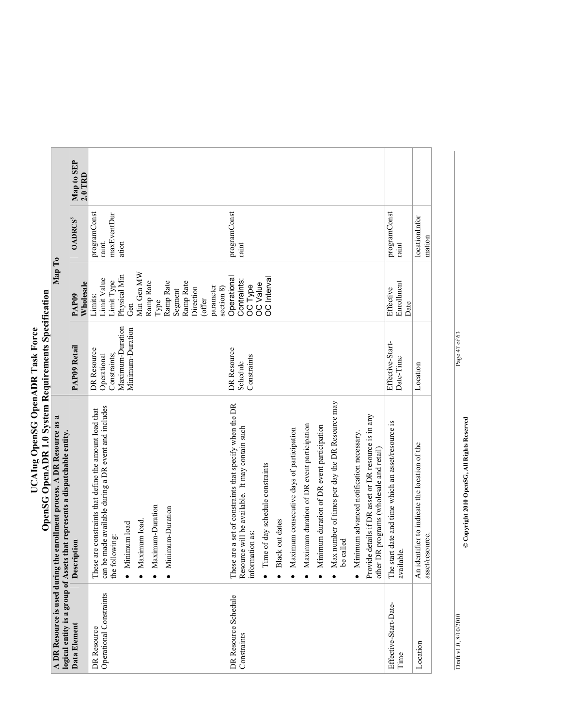|                                                                                                                          | Map to SEP<br><b>2.0 TRD</b>   |                                                                                                                                                                                                                    |                                                                                                                                                                                                                                                                                                                                                                                                                                                                                                                                                           |                                                                        |                                                                       |
|--------------------------------------------------------------------------------------------------------------------------|--------------------------------|--------------------------------------------------------------------------------------------------------------------------------------------------------------------------------------------------------------------|-----------------------------------------------------------------------------------------------------------------------------------------------------------------------------------------------------------------------------------------------------------------------------------------------------------------------------------------------------------------------------------------------------------------------------------------------------------------------------------------------------------------------------------------------------------|------------------------------------------------------------------------|-----------------------------------------------------------------------|
|                                                                                                                          | <b>OADRCS</b> <sup>8</sup>     | programConst<br>maxEventDur<br>raint.<br>ation                                                                                                                                                                     | programConst<br>raint                                                                                                                                                                                                                                                                                                                                                                                                                                                                                                                                     | programConst<br>raint                                                  | locationInfor<br>mation                                               |
| Map To                                                                                                                   | Wholesale<br>PAP <sub>09</sub> | Min Gen MW<br>Physical Min<br>Cimit Value<br>Limit Type<br>Ramp Rate<br>Ramp Rate<br>Ramp Rate<br>parameter<br>Direction<br>Segment<br>section 8)<br>Limits:<br><b>offer</b><br>Type<br>Gen                        | Operational<br>OC Interval<br>Contraints:<br>OC Value<br>OC Type                                                                                                                                                                                                                                                                                                                                                                                                                                                                                          | Enrollment<br>Effective<br>Date                                        |                                                                       |
|                                                                                                                          | <b>PAP09 Retail</b>            | Maximum-Duration<br>Minimum-Duration<br>DR Resource<br>Operational<br>Constraints;                                                                                                                                 | DR Resource<br>Constraints<br>Schedule                                                                                                                                                                                                                                                                                                                                                                                                                                                                                                                    | Effective-Start-<br>Date-Time                                          | Location                                                              |
| the enrollment process. A DR Resource as a<br>logical entity is a group of Assets that represents a dispatchable entity. | Description                    | can be made available during a DR event and includes<br>These are constraints that define the amount load that<br>Maximum-Duration<br>Minimum-Duration<br>Maximum load<br>$\bullet$ Minimum load<br>the following: | Max number of times per day the DR Resource may<br>be called<br>These are a set of constraints that specify when the DR<br>Provide details if DR asset or DR resource is in any<br>Maximum duration of DR event participation<br>Minimum duration of DR event participation<br>Resource will be available. It may contain such<br>Maximum consecutive days of participation<br>$\bullet$ Minimum advanced notification necessary.<br>other DR programs (wholesale and retail)<br>• Time of day schedule constraints<br>Black out dates<br>information as: | The start date and time which an asset/resource is<br>lable.<br>availa | lentifier to indicate the location of the<br>asset/resource.<br>An id |
| A DR Resource is used during                                                                                             | Data Element                   | Operational Constraints<br>DR Resource                                                                                                                                                                             | DR Resource Schedule<br>Constraints                                                                                                                                                                                                                                                                                                                                                                                                                                                                                                                       | Effective-Start-Date-<br>Time                                          | Location                                                              |

Draft v1.0, 8/10/2010

Page 47 of 63 Draft v1.0, 8/10/2010 Page 47 of 63

**© Copyright 2010 OpenSG, All Rights Reserved**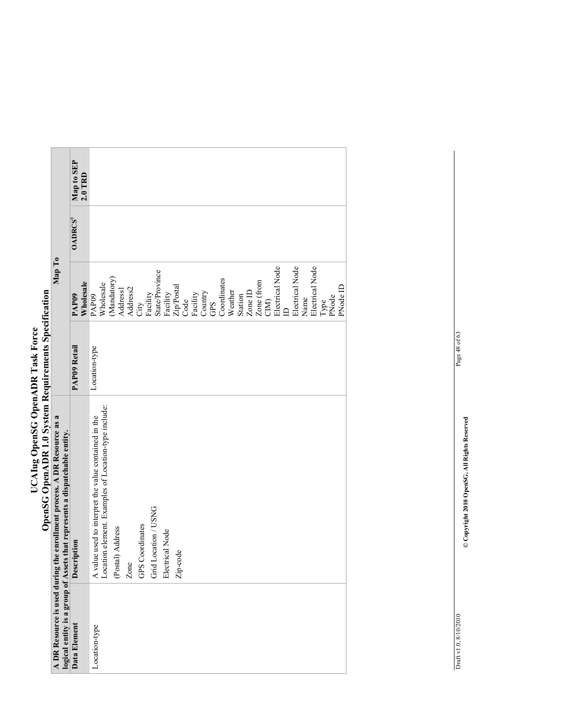|                                                      |                                                                                                                                                            | Map to SEP<br>2.0 TRD          |                                                                                                                                                                                                                                                                                                                                                 |
|------------------------------------------------------|------------------------------------------------------------------------------------------------------------------------------------------------------------|--------------------------------|-------------------------------------------------------------------------------------------------------------------------------------------------------------------------------------------------------------------------------------------------------------------------------------------------------------------------------------------------|
|                                                      | Map To                                                                                                                                                     | <b>OADRCS</b>                  |                                                                                                                                                                                                                                                                                                                                                 |
|                                                      |                                                                                                                                                            | Wholesale<br>PAP <sub>09</sub> | Electrical Node<br>Electrical Node<br>Electrical Node<br>State/Province<br>(Mandatory)<br>Address1<br>Coordinates<br>Zone (from<br>Wholesale<br>Facility<br>Zip/Postal<br>Address <sub>2</sub><br>Weather<br>Zone ID<br>Country<br>City<br>Facility<br>Facility<br>Station<br>PAP <sub>09</sub><br>PNode<br>Name<br>Code<br>CIM)<br>Type<br>GPS |
|                                                      |                                                                                                                                                            | <b>PAP09 Retail</b>            | Location-type                                                                                                                                                                                                                                                                                                                                   |
| OpenSG OpenADR 1.0 System Requirements Specification | he enrollment process. A DR Resource as a<br>logical entity is a group of Assets that represents a dispatchable entity.<br>A DR Resource is used during th | ription<br>Descr               | A value used to interpret the value contained in the<br>Location element. Examples of Location-type include:<br>Grid Location / USNG<br>Coordinates<br>(Postal) Address<br>Electrical Node<br>Zip-code<br>Zone<br>GPS <sup>o</sup>                                                                                                              |
|                                                      |                                                                                                                                                            | Data Element                   | Location-type                                                                                                                                                                                                                                                                                                                                   |

### UCAIug OpenSG OpenADR Task Force **UCAIug OpenSG OpenADR Task Force**

Draft v1.0, 8/10/2010

PNode ID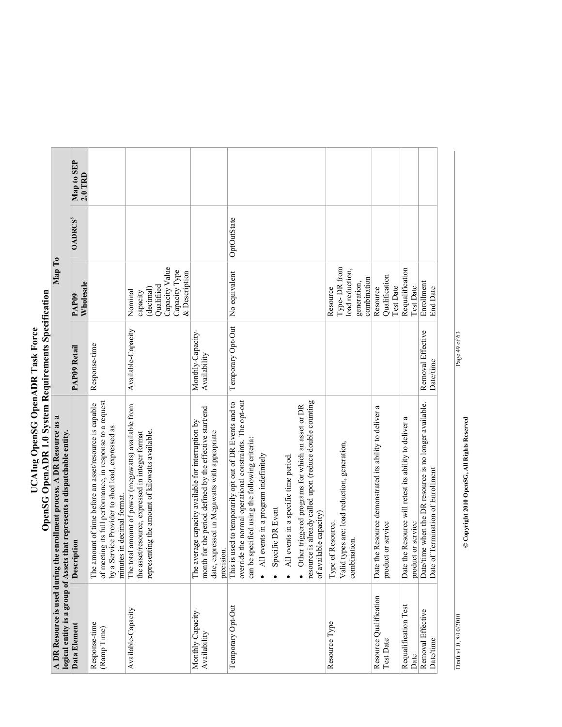|                                                                                                                                                       | Map to SEP<br>2.0 TRD          |                                                                                                                                                                                                       |                                                                                                                                                            |                                                                                                                                                                                 |                                                                                                                                                                                                                                                                                                                                                                                                                         |                                                                                  |                                                                                       |                                                                                   |                                                                                                |
|-------------------------------------------------------------------------------------------------------------------------------------------------------|--------------------------------|-------------------------------------------------------------------------------------------------------------------------------------------------------------------------------------------------------|------------------------------------------------------------------------------------------------------------------------------------------------------------|---------------------------------------------------------------------------------------------------------------------------------------------------------------------------------|-------------------------------------------------------------------------------------------------------------------------------------------------------------------------------------------------------------------------------------------------------------------------------------------------------------------------------------------------------------------------------------------------------------------------|----------------------------------------------------------------------------------|---------------------------------------------------------------------------------------|-----------------------------------------------------------------------------------|------------------------------------------------------------------------------------------------|
|                                                                                                                                                       | <b>OADRCS</b>                  |                                                                                                                                                                                                       |                                                                                                                                                            |                                                                                                                                                                                 | OptOutState                                                                                                                                                                                                                                                                                                                                                                                                             |                                                                                  |                                                                                       |                                                                                   |                                                                                                |
| $Map$ To                                                                                                                                              | Wholesale<br>PAP <sub>09</sub> |                                                                                                                                                                                                       | Capacity Value<br>Capacity Type<br>& Description<br>Qualifiied<br>(decimal)<br>Nominal<br>capacity                                                         |                                                                                                                                                                                 | No equivalent                                                                                                                                                                                                                                                                                                                                                                                                           | Type-DR from<br>load reduction,<br>combination<br>generation,<br>Resource        | Qualification<br>Test Date<br>Resource                                                | Requalification<br>Test Date                                                      | Enrollment<br><b>End Date</b>                                                                  |
|                                                                                                                                                       | <b>PAP09 Retail</b>            | Response-time                                                                                                                                                                                         | Available-Capacity                                                                                                                                         | Monthly-Capacity-<br>Availability                                                                                                                                               | Temporary Opt-Out                                                                                                                                                                                                                                                                                                                                                                                                       |                                                                                  |                                                                                       |                                                                                   | Removal Effective<br>Date/time                                                                 |
| A DR Resource is used during the enrollment process. A DR Resource as a<br>logical entity is a group of Assets that represents a dispatchable entity. | Description                    | of meeting its full performance, in response to a request<br>The amount of time before an asset/resource is capable<br>by a Service Provider to shed load, expressed as<br>minutes in decimal format. | The total amount of power (megawatts) available from<br>representing the amount of kilowatts available.<br>the asset/resource, expressed in integer format | month for the period defined by the effective start/end<br>The average capacity available for interruption by<br>expressed in Megawatts with appropriate<br>precision.<br>date, | override the normal operational constraints. The opt-out<br>resource is already called upon (reduce double counting<br>This is used to temporarily opt out of DR Events and to<br>• Other triggered programs for which an asset or DR<br>can be specified using the following criteria:<br>All events in a program indefinitely<br>All events in a specific time period.<br>Specific DR Event<br>of available capacity) | Valid types are: load reduction, generation,<br>Type of Resource.<br>combination | the Resource demonstrated its ability to deliver a<br>act or service<br>produ<br>Date | the Resource will retest its ability to deliver a<br>product or service<br>Date 1 | Date/time when the DR resource is no longer available.<br>of Termination of Enrollment<br>Date |
|                                                                                                                                                       | Data Element                   | Response-time<br>(Ramp Time)                                                                                                                                                                          | Available-Capacity                                                                                                                                         | Monthly-Capacity-<br>Availability                                                                                                                                               | Temporary Opt-Out                                                                                                                                                                                                                                                                                                                                                                                                       | Resource Type                                                                    | Resource Qualification<br><b>Test Date</b>                                            | Requalification Test<br>Date                                                      | Removal Effective<br>Date/time                                                                 |

Draft v1.0, 8/10/2010

Draft v1.0, 8/10/2010 Page 49 of 63  $\odot$  Copyright 2010 OpenSG, All Rights Reserved **© Copyright 2010 OpenSG, All Rights Reserved** 

Page 49 of 63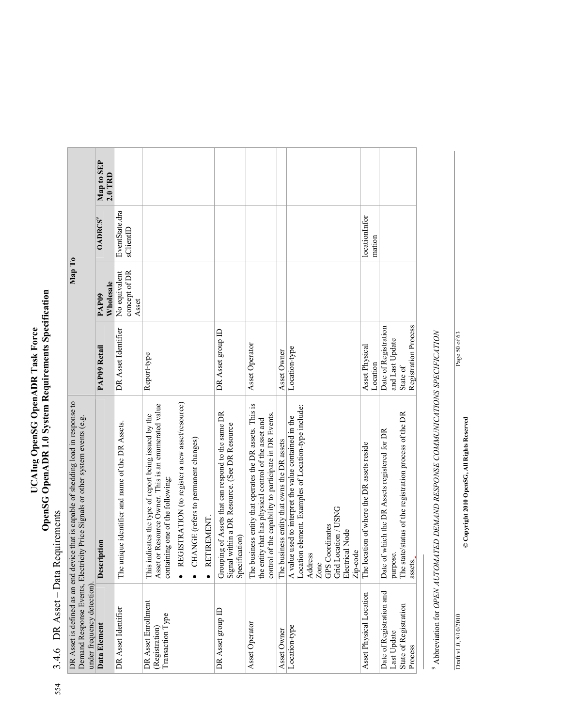# UCAIug OpenSG OpenADR Task Force<br>3.4.6 DR Asset – Data Requirements<br>5.4.6 DR Asset – Data Requirements **OpenSG OpenADR 1.0 System Requirements Specification UCAIug OpenSG OpenADR Task Force**

# 3.4.6 DR Asset – Data Requirements

|                                                                                                                                                                        | Map to SEP<br>2.0 TRD          |                                                       |                                                                                                                                                   |                                                                                                           |                                                                                                                                   |                                                                                                                                                                                |                                             |                                                                                                                                                                                                                  |                                            |                                                           |                                                                   |
|------------------------------------------------------------------------------------------------------------------------------------------------------------------------|--------------------------------|-------------------------------------------------------|---------------------------------------------------------------------------------------------------------------------------------------------------|-----------------------------------------------------------------------------------------------------------|-----------------------------------------------------------------------------------------------------------------------------------|--------------------------------------------------------------------------------------------------------------------------------------------------------------------------------|---------------------------------------------|------------------------------------------------------------------------------------------------------------------------------------------------------------------------------------------------------------------|--------------------------------------------|-----------------------------------------------------------|-------------------------------------------------------------------|
|                                                                                                                                                                        | <b>OADRCS</b>                  | EventState.dra<br>sClientID                           |                                                                                                                                                   |                                                                                                           |                                                                                                                                   |                                                                                                                                                                                |                                             |                                                                                                                                                                                                                  | locationInfor<br>mation                    |                                                           |                                                                   |
| Map To                                                                                                                                                                 | Wholesale<br>PAP <sub>09</sub> | concept of DR<br>No equivalent<br>Asset               |                                                                                                                                                   |                                                                                                           |                                                                                                                                   |                                                                                                                                                                                |                                             |                                                                                                                                                                                                                  |                                            |                                                           |                                                                   |
|                                                                                                                                                                        | <b>PAP09 Retail</b>            | DR Asset Identifier                                   | Report-type                                                                                                                                       |                                                                                                           | DR Asset group ID                                                                                                                 | Asset Operator                                                                                                                                                                 | Asset Owner                                 | Location-type                                                                                                                                                                                                    | Asset Physical<br>Location                 | Date of Registration<br>and Last Update                   | Registration Process<br>State of                                  |
| DR Asset is defined as an end device that is capable of shedding load in response to<br>Demand Response Events, Electricity Price Signals or other system events (e.g. | ption<br>Descri                | ique identifier and name of the DR Assets.<br>The uni | Asset or Resource Owner. This is an enumerated value<br>This indicates the type of report being issued by the<br>containing one of the following: | REGISTRATION (to register a new asset/resource)<br>(ANGE (refers to permanent changes)<br>RETIREMENT<br>F | Grouping of Assets that can respond to the same DR<br>within a DR Resource. (See DR Resource<br>Signal within a<br>Specification) | The business entity that operates the DR assets. This is<br>of the capability to participate in DR Events.<br>the entity that has physical control of the asset and<br>control | The business entity that owns the DR assets | Location element. Examples of Location-type include:<br>A value used to interpret the value contained in the<br>Grid Location / USNG<br><b>GPS</b> Coordinates<br>Electrical Node<br>Zip-code<br>Address<br>Zone | The location of where the DR assets reside | Date of which the DR Assets registered for DR<br>purpose. | The state/status of the registration process of the DR<br>assets. |
| under frequency detection)                                                                                                                                             | Data Element                   | DR Asset Identifier                                   | DR Asset Enrollment<br>Transaction Type<br>(Registration)                                                                                         |                                                                                                           | DR Asset group ID                                                                                                                 | Asset Operator                                                                                                                                                                 | Asset Owner                                 | Location-type                                                                                                                                                                                                    | Asset Physical Location                    | Date of Registration and<br>Last Update                   | State of Registration<br>Process                                  |

<sup>9</sup> Abbreviation for OPEN AUTOMATED DEMAND RESPONSE COMMUNICATIONS SPECIFICATION 9 Abbreviation for *OPEN AUTOMATED DEMAND RESPONSE COMMUNICATIONS SPECIFICATION*

Draft v1.0, 8/10/2010

© Copyright 2010 OpenSG, All Rights Reserved **© Copyright 2010 OpenSG, All Rights Reserved** 

Page 50 of 63 Draft v1.0, 8/10/2010 Page 50 of 63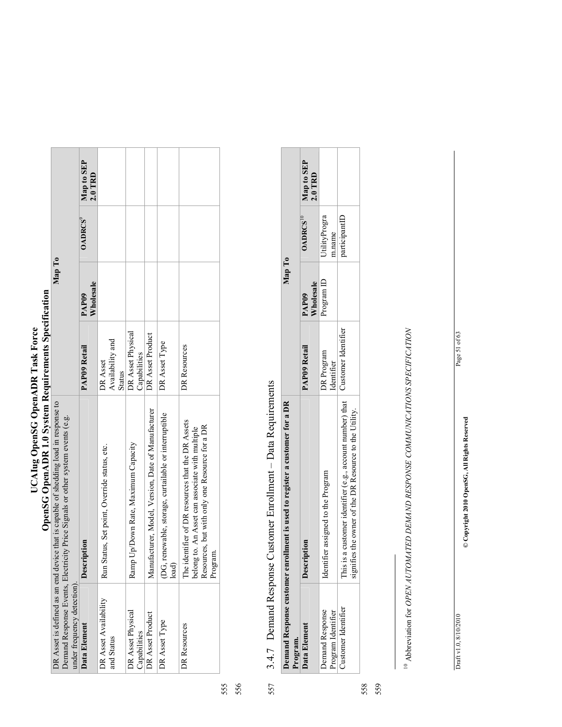| Map To                                                                               |                                                                                | Map to SEP<br>2.0 TRD<br><b>OADRCS</b><br>Wholesale<br>PAP <sub>09</sub><br><b>PAP09 Retail</b> | Availability and<br>DR Asset<br><b>Status</b>    | DR Asset Physical<br>Capabilities   | DR Asset Product                                   | DR Asset Type                                                   | DR Resources                                                                                                                                                       |
|--------------------------------------------------------------------------------------|--------------------------------------------------------------------------------|-------------------------------------------------------------------------------------------------|--------------------------------------------------|-------------------------------------|----------------------------------------------------|-----------------------------------------------------------------|--------------------------------------------------------------------------------------------------------------------------------------------------------------------|
| DR Asset is defined as an end device that is capable of shedding load in response to | Demand Response Events, Electricity Price Signals or other system events (e.g. | Description                                                                                     | Status, Set point, Override status, etc.<br>Run! | Ramp Up/Down Rate, Maximum Capacity | Manufacturer, Model, Version, Date of Manufacturer | renewable, storage, curtailable or interruptible<br>ğ,<br>load) | The identifier of DR resources that the DR Assets<br>Resources, but with only one Resource for a DR<br>belong to. An Asset can associate with multiple<br>Program. |
|                                                                                      | under frequency detection).                                                    | Data Element                                                                                    | DR Asset Availability<br>and Status              | DR Asset Physical<br>Capabilities   | DR Asset Product                                   | DR Asset Type                                                   | <b>DR Resources</b>                                                                                                                                                |

555 556

### 3.4.7 Demand Response Customer Enrollment - Data Requirements 3.4.7 Demand Response Customer Enrollment – Data Requirements 557

| Map To<br>Demand Response customer enrollment is used to register a customer for a DR | Map to SEP<br><b>2.0 TRD</b><br><b>DADRCS</b> <sup>10</sup><br>Wholesale<br>PAP <sub>09</sub><br><b>PAP09 Retail</b><br>Description | JtilityProgra<br>n.name<br>rogram ID<br><b>JR</b> Program<br>dentifier<br>tifier assigned to the Program<br>dent | participantID<br>This is a customer identifier (e.g., account number) that $\int$ Customer Identifier<br>signifies the owner of the DR Resource to the Utility. |
|---------------------------------------------------------------------------------------|-------------------------------------------------------------------------------------------------------------------------------------|------------------------------------------------------------------------------------------------------------------|-----------------------------------------------------------------------------------------------------------------------------------------------------------------|
| rogram.                                                                               | <b>Jata Element</b>                                                                                                                 | <b>Jemand Response</b><br>rogram Identifier                                                                      | Customer Identifier                                                                                                                                             |

558 559

# <sup>10</sup> Abbreviation for OPEN AUTOMATED DEMAND RESPONSE COMMUNICATIONS SPECIFICATION 10 Abbreviation for *OPEN AUTOMATED DEMAND RESPONSE COMMUNICATIONS SPECIFICATION*

Draft v1.0, 8/10/2010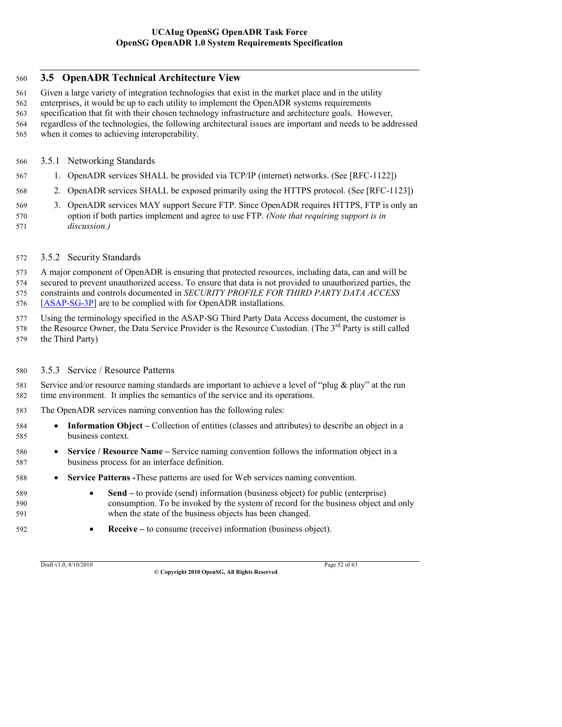### **3.5 OpenADR Technical Architecture View**

Given a large variety of integration technologies that exist in the market place and in the utility

enterprises, it would be up to each utility to implement the OpenADR systems requirements

specification that fit with their chosen technology infrastructure and architecture goals. However,

regardless of the technologies, the following architectural issues are important and needs to be addressed

when it comes to achieving interoperability.

### 3.5.1 Networking Standards

- 1. OpenADR services SHALL be provided via TCP/IP (internet) networks. (See [RFC-1122])
- 2. OpenADR services SHALL be exposed primarily using the HTTPS protocol. (See [RFC-1123])
- 3. OpenADR services MAY support Secure FTP. Since OpenADR requires HTTPS, FTP is only an option if both parties implement and agree to use FTP. *(Note that requiring support is in discussion.)*

### 3.5.2 Security Standards

A major component of OpenADR is ensuring that protected resources, including data, can and will be secured to prevent unauthorized access. To ensure that data is not provided to unauthorized parties, the constraints and controls documented in *SECURITY PROFILE FOR THIRD PARTY DATA ACCESS* [ASAP-SG-3P] are to be complied with for OpenADR installations.

Using the terminology specified in the ASAP-SG Third Party Data Access document, the customer is

578 the Resource Owner, the Data Service Provider is the Resource Custodian. (The  $3<sup>rd</sup>$  Party is still called the Third Party)

### 3.5.3 Service / Resource Patterns

Service and/or resource naming standards are important to achieve a level of "plug & play" at the run time environment. It implies the semantics of the service and its operations.

- The OpenADR services naming convention has the following rules:
- **Information Object** Collection of entities (classes and attributes) to describe an object in a business context.
- **Service / Resource Name** Service naming convention follows the information object in a business process for an interface definition.
- **Service Patterns -**These patterns are used for Web services naming convention.
- **Send** to provide (send) information (business object) for public (enterprise) consumption. To be invoked by the system of record for the business object and only when the state of the business objects has been changed.
- **Receive** to consume (receive) information (business object).

**Draft v1.0, 8/10/2010** Page 52 of 63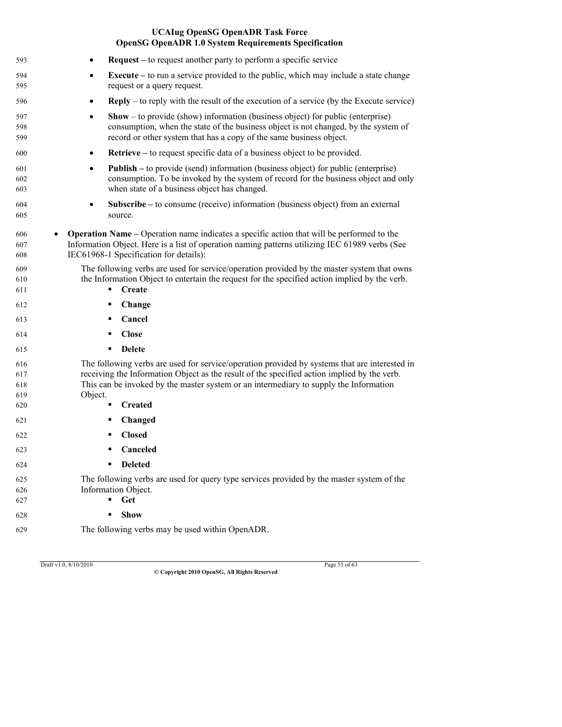| 593 | <b>Request</b> – to request another party to perform a specific service<br>٠                               |
|-----|------------------------------------------------------------------------------------------------------------|
| 594 | <b>Execute</b> – to run a service provided to the public, which may include a state change                 |
| 595 | request or a query request.                                                                                |
| 596 | $\bf Reply$ – to reply with the result of the execution of a service (by the Execute service)<br>$\bullet$ |
| 597 | <b>Show</b> – to provide (show) information (business object) for public (enterprise)<br>٠                 |
| 598 | consumption, when the state of the business object is not changed, by the system of                        |
| 599 | record or other system that has a copy of the same business object.                                        |
| 600 | <b>Retrieve</b> – to request specific data of a business object to be provided.<br>$\bullet$               |
| 601 | <b>Publish</b> – to provide (send) information (business object) for public (enterprise)<br>$\bullet$      |
| 602 | consumption. To be invoked by the system of record for the business object and only                        |
| 603 | when state of a business object has changed.                                                               |
| 604 | <b>Subscribe</b> – to consume (receive) information (business object) from an external<br>٠                |
| 605 | source.                                                                                                    |
| 606 | <b>Operation Name</b> – Operation name indicates a specific action that will be performed to the           |
| 607 | Information Object. Here is a list of operation naming patterns utilizing IEC 61989 verbs (See             |
| 608 | IEC61968-1 Specification for details):                                                                     |
| 609 | The following verbs are used for service/operation provided by the master system that owns                 |
| 610 | the Information Object to entertain the request for the specified action implied by the verb.              |
| 611 | Create<br>٠                                                                                                |
| 612 | Change<br>٠                                                                                                |
| 613 | Cancel                                                                                                     |
| 614 | <b>Close</b><br>٠                                                                                          |
| 615 | <b>Delete</b><br>٠                                                                                         |
| 616 | The following verbs are used for service/operation provided by systems that are interested in              |
| 617 | receiving the Information Object as the result of the specified action implied by the verb.                |
| 618 | This can be invoked by the master system or an intermediary to supply the Information                      |
| 619 | Object.                                                                                                    |
| 620 | <b>Created</b><br>٠                                                                                        |
| 621 | Changed<br>٠                                                                                               |
| 622 | <b>Closed</b>                                                                                              |
| 623 | Canceled<br>٠                                                                                              |
| 624 | <b>Deleted</b><br>٠                                                                                        |
| 625 | The following verbs are used for query type services provided by the master system of the                  |
| 626 | Information Object.                                                                                        |
| 627 | Get                                                                                                        |
| 628 | <b>Show</b>                                                                                                |
| 629 | The following verbs may be used within OpenADR.                                                            |
|     |                                                                                                            |

Draft v1.0, 8/10/2010 Page 53 of 63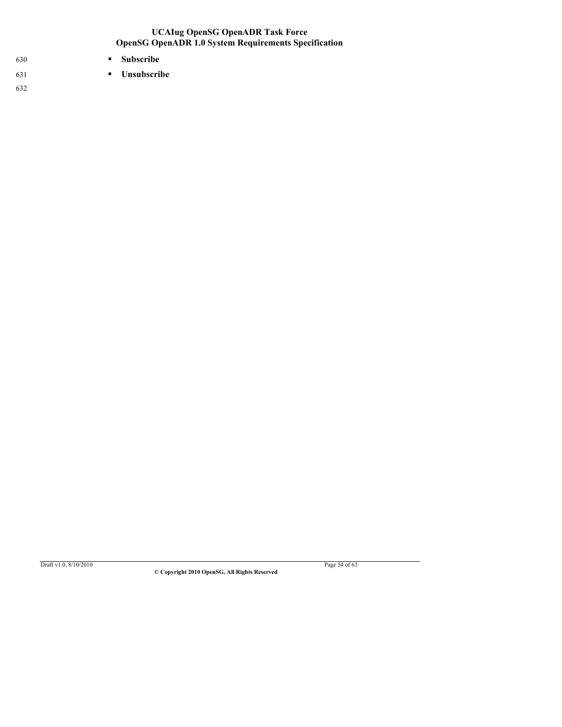- <sup>630</sup> **Subscribe**
- <sup>631</sup> **Unsubscribe**
- 632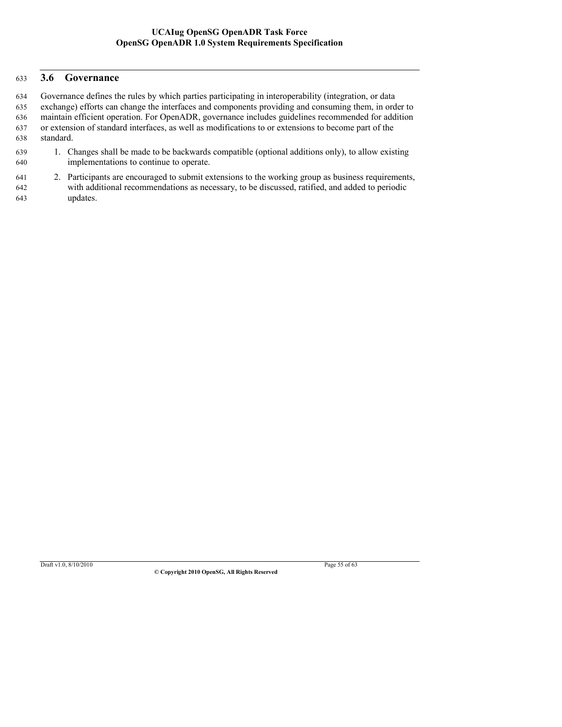### **3.6 Governance**

Governance defines the rules by which parties participating in interoperability (integration, or data exchange) efforts can change the interfaces and components providing and consuming them, in order to maintain efficient operation. For OpenADR, governance includes guidelines recommended for addition or extension of standard interfaces, as well as modifications to or extensions to become part of the standard.

- 1. Changes shall be made to be backwards compatible (optional additions only), to allow existing implementations to continue to operate.
- 2. Participants are encouraged to submit extensions to the working group as business requirements, with additional recommendations as necessary, to be discussed, ratified, and added to periodic updates.

Draft v1.0, 8/10/2010 Page 55 of 63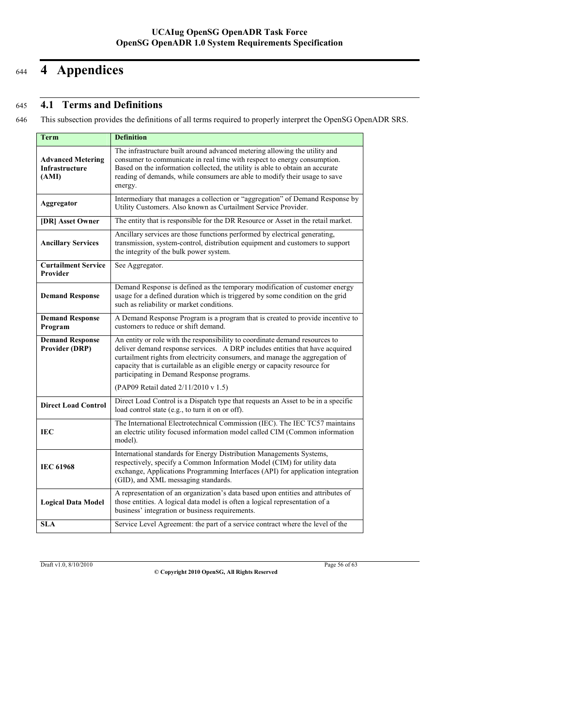### <sup>644</sup>**4 Appendices**

### 645 **4.1 Terms and Definitions**

646 This subsection provides the definitions of all terms required to properly interpret the OpenSG OpenADR SRS.

| <b>Term</b>                                         | <b>Definition</b>                                                                                                                                                                                                                                                                                                                                                        |  |  |  |  |
|-----------------------------------------------------|--------------------------------------------------------------------------------------------------------------------------------------------------------------------------------------------------------------------------------------------------------------------------------------------------------------------------------------------------------------------------|--|--|--|--|
| <b>Advanced Metering</b><br>Infrastructure<br>(AMI) | The infrastructure built around advanced metering allowing the utility and<br>consumer to communicate in real time with respect to energy consumption.<br>Based on the information collected, the utility is able to obtain an accurate<br>reading of demands, while consumers are able to modify their usage to save<br>energy.                                         |  |  |  |  |
| Aggregator                                          | Intermediary that manages a collection or "aggregation" of Demand Response by<br>Utility Customers. Also known as Curtailment Service Provider.                                                                                                                                                                                                                          |  |  |  |  |
| [DR] Asset Owner                                    | The entity that is responsible for the DR Resource or Asset in the retail market.                                                                                                                                                                                                                                                                                        |  |  |  |  |
| <b>Ancillary Services</b>                           | Ancillary services are those functions performed by electrical generating,<br>transmission, system-control, distribution equipment and customers to support<br>the integrity of the bulk power system.                                                                                                                                                                   |  |  |  |  |
| <b>Curtailment Service</b><br>Provider              | See Aggregator.                                                                                                                                                                                                                                                                                                                                                          |  |  |  |  |
| <b>Demand Response</b>                              | Demand Response is defined as the temporary modification of customer energy<br>usage for a defined duration which is triggered by some condition on the grid<br>such as reliability or market conditions.                                                                                                                                                                |  |  |  |  |
| <b>Demand Response</b><br>Program                   | A Demand Response Program is a program that is created to provide incentive to<br>customers to reduce or shift demand.                                                                                                                                                                                                                                                   |  |  |  |  |
| <b>Demand Response</b><br><b>Provider (DRP)</b>     | An entity or role with the responsibility to coordinate demand resources to<br>deliver demand response services. A DRP includes entities that have acquired<br>curtailment rights from electricity consumers, and manage the aggregation of<br>capacity that is curtailable as an eligible energy or capacity resource for<br>participating in Demand Response programs. |  |  |  |  |
|                                                     | (PAP09 Retail dated 2/11/2010 v 1.5)                                                                                                                                                                                                                                                                                                                                     |  |  |  |  |
| <b>Direct Load Control</b>                          | Direct Load Control is a Dispatch type that requests an Asset to be in a specific<br>load control state (e.g., to turn it on or off).                                                                                                                                                                                                                                    |  |  |  |  |
| <b>IEC</b>                                          | The International Electrotechnical Commission (IEC). The IEC TC57 maintains<br>an electric utility focused information model called CIM (Common information<br>model).                                                                                                                                                                                                   |  |  |  |  |
| <b>IEC 61968</b>                                    | International standards for Energy Distribution Managements Systems,<br>respectively, specify a Common Information Model (CIM) for utility data<br>exchange, Applications Programming Interfaces (API) for application integration<br>(GID), and XML messaging standards.                                                                                                |  |  |  |  |
| <b>Logical Data Model</b>                           | A representation of an organization's data based upon entities and attributes of<br>those entities. A logical data model is often a logical representation of a<br>business' integration or business requirements.                                                                                                                                                       |  |  |  |  |
| <b>SLA</b>                                          | Service Level Agreement: the part of a service contract where the level of the                                                                                                                                                                                                                                                                                           |  |  |  |  |

Draft v1.0, 8/10/2010 Page 56 of 63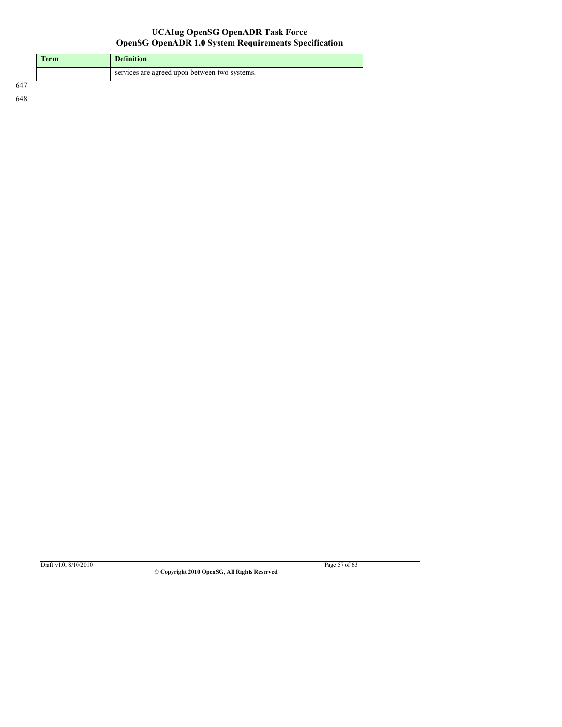| erm | <b>Definition</b>                             |
|-----|-----------------------------------------------|
|     | services are agreed upon between two systems. |

647 648

**© Copyright 2010 OpenSG, All Rights Reserved** 

Draft v1.0, 8/10/2010 Page 57 of 63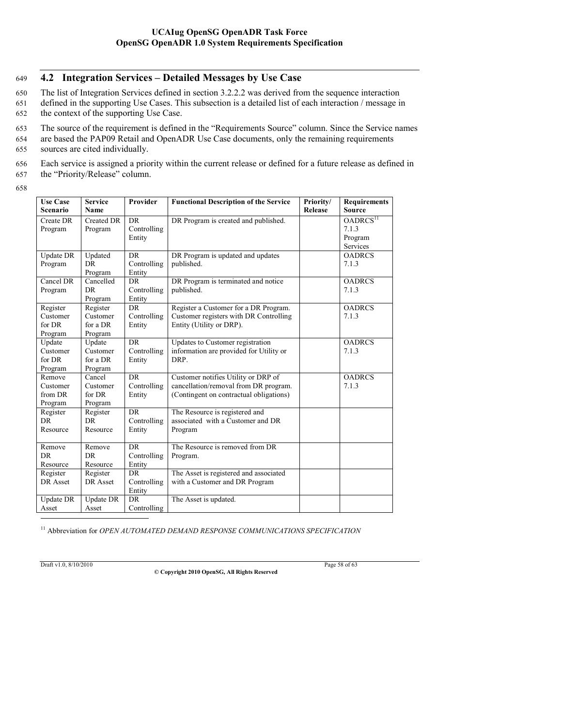### 649 **4.2 Integration Services – Detailed Messages by Use Case**

650 The list of Integration Services defined in section 3.2.2.2 was derived from the sequence interaction

- 651 defined in the supporting Use Cases. This subsection is a detailed list of each interaction / message in 652 the context of the supporting Use Case.
- 653 The source of the requirement is defined in the "Requirements Source" column. Since the Service names 654 are based the PAP09 Retail and OpenADR Use Case documents, only the remaining requirements 655 sources are cited individually.

656 Each service is assigned a priority within the current release or defined for a future release as defined in

- 657 the "Priority/Release" column.
- 658

| <b>Use Case</b><br><b>Scenario</b>        | <b>Service</b><br>Name                      | <b>Provider</b>                    | <b>Functional Description of the Service</b>                                                                            | Priority/<br>Release | <b>Requirements</b><br><b>Source</b>                              |
|-------------------------------------------|---------------------------------------------|------------------------------------|-------------------------------------------------------------------------------------------------------------------------|----------------------|-------------------------------------------------------------------|
| Create DR<br>Program                      | <b>Created DR</b><br>Program                | <b>DR</b><br>Controlling<br>Entity | DR Program is created and published.                                                                                    |                      | $O\overline{ADRCS}$ <sup>11</sup><br>7.1.3<br>Program<br>Services |
| <b>Update DR</b><br>Program               | Updated<br>DR<br>Program                    | <b>DR</b><br>Controlling<br>Entity | DR Program is updated and updates<br>published.                                                                         |                      | <b>OADRCS</b><br>7.1.3                                            |
| Cancel DR<br>Program                      | Cancelled<br>DR<br>Program                  | <b>DR</b><br>Controlling<br>Entity | DR Program is terminated and notice<br>published.                                                                       |                      | <b>OADRCS</b><br>7.1.3                                            |
| Register<br>Customer<br>for DR<br>Program | Register<br>Customer<br>for a DR<br>Program | <b>DR</b><br>Controlling<br>Entity | Register a Customer for a DR Program.<br>Customer registers with DR Controlling<br>Entity (Utility or DRP).             |                      | <b>OADRCS</b><br>7.1.3                                            |
| Update<br>Customer<br>for DR<br>Program   | Update<br>Customer<br>for a DR<br>Program   | DR<br>Controlling<br>Entity        | Updates to Customer registration<br>information are provided for Utility or<br>DRP.                                     |                      | <b>OADRCS</b><br>7.1.3                                            |
| Remove<br>Customer<br>from DR<br>Program  | Cancel<br>Customer<br>for DR<br>Program     | DR<br>Controlling<br>Entity        | Customer notifies Utility or DRP of<br>cancellation/removal from DR program.<br>(Contingent on contractual obligations) |                      | <b>OADRCS</b><br>7.1.3                                            |
| Register<br>DR.<br>Resource               | Register<br><b>DR</b><br>Resource           | <b>DR</b><br>Controlling<br>Entity | The Resource is registered and<br>associated with a Customer and DR<br>Program                                          |                      |                                                                   |
| Remove<br><b>DR</b><br>Resource           | Remove<br><b>DR</b><br>Resource             | <b>DR</b><br>Controlling<br>Entity | The Resource is removed from DR<br>Program.                                                                             |                      |                                                                   |
| Register<br>DR Asset                      | Register<br>DR Asset                        | <b>DR</b><br>Controlling<br>Entity | The Asset is registered and associated<br>with a Customer and DR Program                                                |                      |                                                                   |
| <b>Update DR</b><br>Asset                 | <b>Update DR</b><br>Asset                   | <b>DR</b><br>Controlling           | The Asset is updated.                                                                                                   |                      |                                                                   |

<sup>11</sup> Abbreviation for *OPEN AUTOMATED DEMAND RESPONSE COMMUNICATIONS SPECIFICATION* 

Draft v1.0, 8/10/2010 Page 58 of 63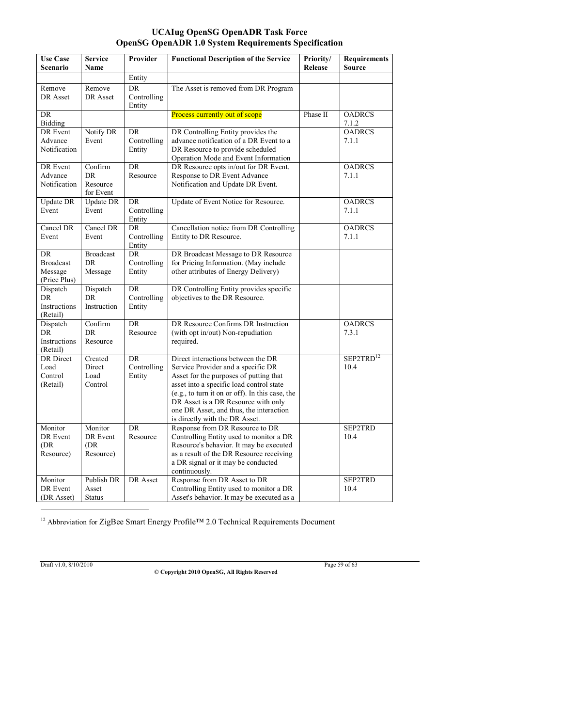| <b>Use Case</b><br>Scenario                              | <b>Service</b><br>Name                      | <b>Provider</b>                    | <b>Functional Description of the Service</b>                                                                                                                                                                                                                                                                                          | Priority/<br><b>Release</b> | <b>Requirements</b><br><b>Source</b> |
|----------------------------------------------------------|---------------------------------------------|------------------------------------|---------------------------------------------------------------------------------------------------------------------------------------------------------------------------------------------------------------------------------------------------------------------------------------------------------------------------------------|-----------------------------|--------------------------------------|
|                                                          |                                             | Entity                             |                                                                                                                                                                                                                                                                                                                                       |                             |                                      |
| Remove<br>DR Asset                                       | Remove<br>DR Asset                          | DR<br>Controlling<br>Entity        | The Asset is removed from DR Program                                                                                                                                                                                                                                                                                                  |                             |                                      |
| DR<br><b>Bidding</b>                                     |                                             |                                    | Process currently out of scope                                                                                                                                                                                                                                                                                                        | Phase II                    | <b>OADRCS</b><br>7.1.2               |
| DR Event<br>Advance<br>Notification                      | Notify DR<br>Event                          | <b>DR</b><br>Controlling<br>Entity | DR Controlling Entity provides the<br>advance notification of a DR Event to a<br>DR Resource to provide scheduled<br>Operation Mode and Event Information                                                                                                                                                                             |                             | <b>OADRCS</b><br>7.1.1               |
| DR Event<br>Advance<br>Notification                      | Confirm<br>DR<br>Resource<br>for Event      | <b>DR</b><br>Resource              | DR Resource opts in/out for DR Event.<br>Response to DR Event Advance<br>Notification and Update DR Event.                                                                                                                                                                                                                            |                             | <b>OADRCS</b><br>7.1.1               |
| <b>Update DR</b><br>Event                                | <b>Update DR</b><br>Event                   | <b>DR</b><br>Controlling<br>Entity | Update of Event Notice for Resource.                                                                                                                                                                                                                                                                                                  |                             | <b>OADRCS</b><br>7.1.1               |
| Cancel DR<br>Event                                       | Cancel DR<br>Event                          | DR<br>Controlling<br>Entity        | Cancellation notice from DR Controlling<br>Entity to DR Resource.                                                                                                                                                                                                                                                                     |                             | <b>OADRCS</b><br>7.1.1               |
| <b>DR</b><br><b>Broadcast</b><br>Message<br>(Price Plus) | <b>Broadcast</b><br>DR<br>Message           | <b>DR</b><br>Controlling<br>Entity | DR Broadcast Message to DR Resource<br>for Pricing Information. (May include<br>other attributes of Energy Delivery)                                                                                                                                                                                                                  |                             |                                      |
| Dispatch<br><b>DR</b><br>Instructions<br>(Retail)        | Dispatch<br><b>DR</b><br>Instruction        | DR<br>Controlling<br>Entity        | DR Controlling Entity provides specific<br>objectives to the DR Resource.                                                                                                                                                                                                                                                             |                             |                                      |
| Dispatch<br><b>DR</b><br>Instructions<br>(Retail)        | Confirm<br>DR<br>Resource                   | <b>DR</b><br>Resource              | DR Resource Confirms DR Instruction<br>(with opt in/out) Non-repudiation<br>required.                                                                                                                                                                                                                                                 |                             | <b>OADRCS</b><br>7.3.1               |
| DR Direct<br>Load<br>Control<br>(Retail)                 | Created<br><b>Direct</b><br>Load<br>Control | <b>DR</b><br>Controlling<br>Entity | Direct interactions between the DR<br>Service Provider and a specific DR<br>Asset for the purposes of putting that<br>asset into a specific load control state<br>(e.g., to turn it on or off). In this case, the<br>DR Asset is a DR Resource with only<br>one DR Asset, and thus, the interaction<br>is directly with the DR Asset. |                             | SEP2TRD <sup>12</sup><br>10.4        |
| Monitor<br>DR Event<br>(DR)<br>Resource)                 | Monitor<br>DR Event<br>(DR)<br>Resource)    | <b>DR</b><br>Resource              | Response from DR Resource to DR<br>Controlling Entity used to monitor a DR<br>Resource's behavior. It may be executed<br>as a result of the DR Resource receiving<br>a DR signal or it may be conducted<br>continuously.                                                                                                              |                             | SEP2TRD<br>10.4                      |
| Monitor<br>DR Event<br>(DR Asset)                        | Publish DR<br>Asset<br><b>Status</b>        | DR Asset                           | Response from DR Asset to DR<br>Controlling Entity used to monitor a DR<br>Asset's behavior. It may be executed as a                                                                                                                                                                                                                  |                             | <b>SEP2TRD</b><br>10.4               |

<sup>12</sup> Abbreviation for ZigBee Smart Energy Profile™ 2.0 Technical Requirements Document

Draft v1.0, 8/10/2010 Page 59 of 63

 $\overline{a}$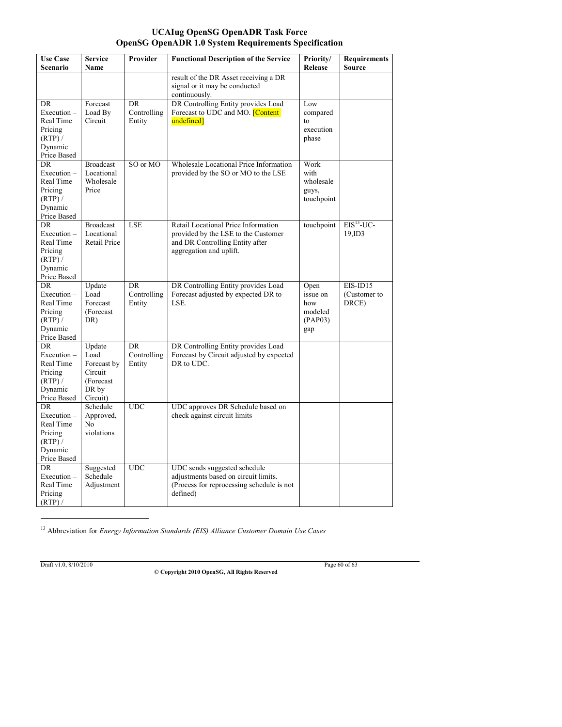| <b>Use Case</b><br>Scenario                                                        | <b>Service</b><br>Name                                                     | <b>Provider</b>                    | <b>Functional Description of the Service</b>                                                                                             | Priority/<br><b>Release</b>                          | <b>Requirements</b><br><b>Source</b> |
|------------------------------------------------------------------------------------|----------------------------------------------------------------------------|------------------------------------|------------------------------------------------------------------------------------------------------------------------------------------|------------------------------------------------------|--------------------------------------|
|                                                                                    |                                                                            |                                    | result of the DR Asset receiving a DR<br>signal or it may be conducted<br>continuously.                                                  |                                                      |                                      |
| DR<br>Execution-<br>Real Time<br>Pricing<br>(RTP) /<br>Dynamic<br>Price Based      | Forecast<br>Load By<br>Circuit                                             | <b>DR</b><br>Controlling<br>Entity | DR Controlling Entity provides Load<br>Forecast to UDC and MO. [Content]<br>undefined]                                                   | Low<br>compared<br>to<br>execution<br>phase          |                                      |
| DR<br>$Execution -$<br>Real Time<br>Pricing<br>$(RTP)$ /<br>Dynamic<br>Price Based | <b>Broadcast</b><br>Locational<br>Wholesale<br>Price                       | SO or MO                           | Wholesale Locational Price Information<br>provided by the SO or MO to the LSE                                                            | Work<br>with<br>wholesale<br>guys,<br>touchpoint     |                                      |
| DR.<br>Execution-<br>Real Time<br>Pricing<br>$(RTP)$ /<br>Dynamic<br>Price Based   | <b>Broadcast</b><br>Locational<br><b>Retail Price</b>                      | <b>LSE</b>                         | Retail Locational Price Information<br>provided by the LSE to the Customer<br>and DR Controlling Entity after<br>aggregation and uplift. | touchpoint                                           | $EIS13-UC-$<br>$19$ , ID3            |
| DR<br>$Execution -$<br>Real Time<br>Pricing<br>$(RTP)$ /<br>Dynamic<br>Price Based | Update<br>Load<br>Forecast<br>(Forecast)<br>DR)                            | DR<br>Controlling<br>Entity        | DR Controlling Entity provides Load<br>Forecast adjusted by expected DR to<br>LSE.                                                       | Open<br>issue on<br>how<br>modeled<br>(PAP03)<br>gap | EIS-ID15<br>(Customer to<br>DRCE)    |
| DR<br>$Execution -$<br>Real Time<br>Pricing<br>(RTP) /<br>Dynamic<br>Price Based   | Update<br>Load<br>Forecast by<br>Circuit<br>(Forecast<br>DR by<br>Circuit) | DR<br>Controlling<br>Entity        | DR Controlling Entity provides Load<br>Forecast by Circuit adjusted by expected<br>DR to UDC.                                            |                                                      |                                      |
| DR<br>Execution-<br>Real Time<br>Pricing<br>$(RTP)$ /<br>Dynamic<br>Price Based    | Schedule<br>Approved,<br>No<br>violations                                  | <b>UDC</b>                         | UDC approves DR Schedule based on<br>check against circuit limits                                                                        |                                                      |                                      |
| <b>DR</b><br>Execution-<br>Real Time<br>Pricing<br>(RTP) /                         | Suggested<br>Schedule<br>Adjustment                                        | <b>UDC</b>                         | UDC sends suggested schedule<br>adjustments based on circuit limits.<br>(Process for reprocessing schedule is not<br>defined)            |                                                      |                                      |

<sup>13</sup> Abbreviation for *Energy Information Standards (EIS) Alliance Customer Domain Use Cases*

Draft v1.0, 8/10/2010 Page 60 of 63

 $\overline{a}$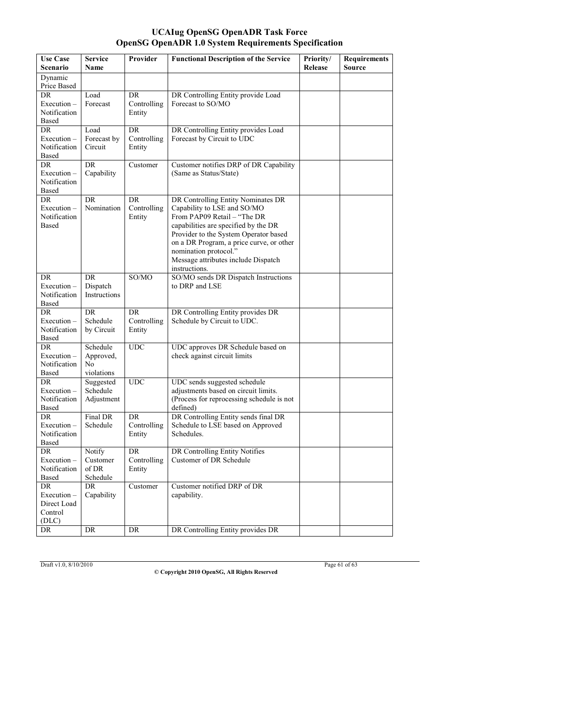| <b>Use Case</b><br>Scenario                         | <b>Service</b><br>Name                    | Provider                           | <b>Functional Description of the Service</b>                                                                                                                                                                                                                                                                   | Priority/<br><b>Release</b> | <b>Requirements</b><br>Source |
|-----------------------------------------------------|-------------------------------------------|------------------------------------|----------------------------------------------------------------------------------------------------------------------------------------------------------------------------------------------------------------------------------------------------------------------------------------------------------------|-----------------------------|-------------------------------|
| Dynamic<br>Price Based                              |                                           |                                    |                                                                                                                                                                                                                                                                                                                |                             |                               |
| DR<br>$Execution -$<br>Notification<br>Based        | Load<br>Forecast                          | DR<br>Controlling<br>Entity        | DR Controlling Entity provide Load<br>Forecast to SO/MO                                                                                                                                                                                                                                                        |                             |                               |
| DR<br>Execution-<br>Notification<br>Based           | Load<br>Forecast by<br>Circuit            | DR<br>Controlling<br>Entity        | DR Controlling Entity provides Load<br>Forecast by Circuit to UDC                                                                                                                                                                                                                                              |                             |                               |
| DR<br>$Execution -$<br>Notification<br>Based        | DR<br>Capability                          | Customer                           | Customer notifies DRP of DR Capability<br>(Same as Status/State)                                                                                                                                                                                                                                               |                             |                               |
| DR<br>$Execution -$<br>Notification<br>Based        | <b>DR</b><br>Nomination                   | <b>DR</b><br>Controlling<br>Entity | DR Controlling Entity Nominates DR<br>Capability to LSE and SO/MO<br>From PAP09 Retail – "The DR<br>capabilities are specified by the DR<br>Provider to the System Operator based<br>on a DR Program, a price curve, or other<br>nomination protocol."<br>Message attributes include Dispatch<br>instructions. |                             |                               |
| DR<br>$Execution -$<br>Notification<br>Based        | DR<br>Dispatch<br>Instructions            | SO/MO                              | SO/MO sends DR Dispatch Instructions<br>to DRP and LSE                                                                                                                                                                                                                                                         |                             |                               |
| DR<br>$Execution -$<br>Notification<br>Based        | DR<br>Schedule<br>by Circuit              | <b>DR</b><br>Controlling<br>Entity | DR Controlling Entity provides DR<br>Schedule by Circuit to UDC.                                                                                                                                                                                                                                               |                             |                               |
| <b>DR</b><br>Execution-<br>Notification<br>Based    | Schedule<br>Approved,<br>No<br>violations | <b>UDC</b>                         | UDC approves DR Schedule based on<br>check against circuit limits                                                                                                                                                                                                                                              |                             |                               |
| DR<br>Execution-<br>Notification<br>Based           | Suggested<br>Schedule<br>Adjustment       | <b>UDC</b>                         | UDC sends suggested schedule<br>adjustments based on circuit limits.<br>(Process for reprocessing schedule is not<br>defined)                                                                                                                                                                                  |                             |                               |
| DR<br>$Execution -$<br>Notification<br>Based        | Final DR<br>Schedule                      | DR<br>Controlling<br>Entity        | DR Controlling Entity sends final DR<br>Schedule to LSE based on Approved<br>Schedules.                                                                                                                                                                                                                        |                             |                               |
| DR<br>$Execution -$<br>Notification<br>Based        | Notify<br>Customer<br>of DR<br>Schedule   | DR<br>Controlling<br>Entity        | DR Controlling Entity Notifies<br>Customer of DR Schedule                                                                                                                                                                                                                                                      |                             |                               |
| DR<br>Execution-<br>Direct Load<br>Control<br>(DLC) | <b>DR</b><br>Capability                   | Customer                           | Customer notified DRP of DR<br>capability.                                                                                                                                                                                                                                                                     |                             |                               |
| DR                                                  | DR                                        | DR                                 | DR Controlling Entity provides DR                                                                                                                                                                                                                                                                              |                             |                               |

Draft v1.0, 8/10/2010 Page 61 of 63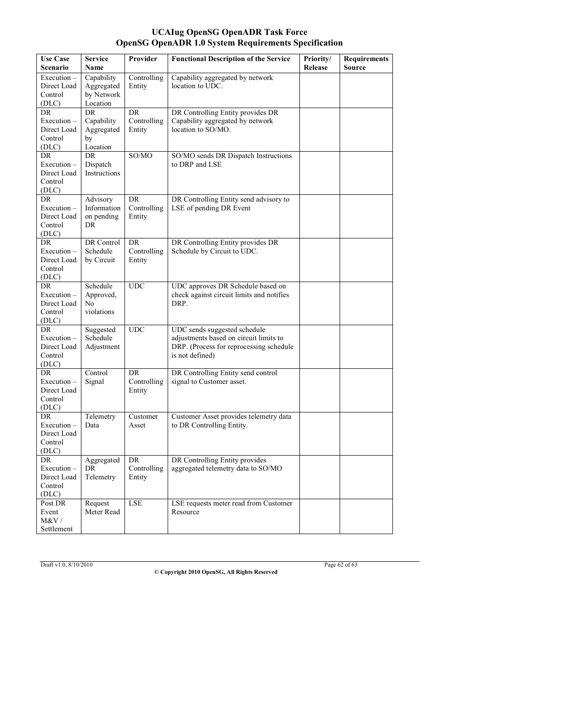| <b>Use Case</b>        | <b>Service</b>           | Provider          | <b>Functional Description of the Service</b> | Priority/      | <b>Requirements</b> |
|------------------------|--------------------------|-------------------|----------------------------------------------|----------------|---------------------|
| Scenario               | Name                     |                   |                                              | <b>Release</b> | Source              |
| Execution-             | Capability               | Controlling       | Capability aggregated by network             |                |                     |
| Direct Load            | Aggregated<br>by Network | Entity            | location to UDC.                             |                |                     |
| Control<br>(DLC)       | Location                 |                   |                                              |                |                     |
| DR                     | <b>DR</b>                | <b>DR</b>         | DR Controlling Entity provides DR            |                |                     |
| Execution-             | Capability               | Controlling       | Capability aggregated by network             |                |                     |
| Direct Load            | Aggregated               | Entity            | location to SO/MO.                           |                |                     |
| Control                | by                       |                   |                                              |                |                     |
| (DLC)                  | Location                 |                   |                                              |                |                     |
| DR                     | <b>DR</b>                | SO/MO             | SO/MO sends DR Dispatch Instructions         |                |                     |
| Execution-             | Dispatch                 |                   | to DRP and LSE                               |                |                     |
| Direct Load            | Instructions             |                   |                                              |                |                     |
| Control                |                          |                   |                                              |                |                     |
| (DLC)                  |                          |                   |                                              |                |                     |
| DR<br>Execution-       | Advisory<br>Information  | DR<br>Controlling | DR Controlling Entity send advisory to       |                |                     |
| Direct Load            | on pending               | Entity            | LSE of pending DR Event                      |                |                     |
| Control                | DR                       |                   |                                              |                |                     |
| (DLC)                  |                          |                   |                                              |                |                     |
| DR                     | DR Control               | DR                | DR Controlling Entity provides DR            |                |                     |
| Execution-             | Schedule                 | Controlling       | Schedule by Circuit to UDC.                  |                |                     |
| Direct Load            | by Circuit               | Entity            |                                              |                |                     |
| Control                |                          |                   |                                              |                |                     |
| (DLC)                  |                          |                   |                                              |                |                     |
| DR                     | Schedule                 | <b>UDC</b>        | UDC approves DR Schedule based on            |                |                     |
| $Execution -$          | Approved,                |                   | check against circuit limits and notifies    |                |                     |
| Direct Load<br>Control | No<br>violations         |                   | DRP.                                         |                |                     |
| (DLC)                  |                          |                   |                                              |                |                     |
| DR                     | Suggested                | <b>UDC</b>        | UDC sends suggested schedule                 |                |                     |
| Execution-             | Schedule                 |                   | adjustments based on circuit limits to       |                |                     |
| Direct Load            | Adjustment               |                   | DRP. (Process for reprocessing schedule      |                |                     |
| Control                |                          |                   | is not defined)                              |                |                     |
| (DLC)                  |                          |                   |                                              |                |                     |
| DR                     | Control                  | <b>DR</b>         | DR Controlling Entity send control           |                |                     |
| $Execution -$          | Signal                   | Controlling       | signal to Customer asset.                    |                |                     |
| Direct Load<br>Control |                          | Entity            |                                              |                |                     |
| (DLC)                  |                          |                   |                                              |                |                     |
| DR                     | Telemetry                | Customer          | Customer Asset provides telemetry data       |                |                     |
| Execution-             | Data                     | Asset             | to DR Controlling Entity.                    |                |                     |
| Direct Load            |                          |                   |                                              |                |                     |
| Control                |                          |                   |                                              |                |                     |
| (DLC)                  |                          |                   |                                              |                |                     |
| DR                     | Aggregated               | DR                | DR Controlling Entity provides               |                |                     |
| Execution-             | DR                       | Controlling       | aggregated telemetry data to SO/MO           |                |                     |
| Direct Load            | Telemetry                | Entity            |                                              |                |                     |
| Control                |                          |                   |                                              |                |                     |
| (DLC)<br>Post DR       | Request                  | LSE               | LSE requests meter read from Customer        |                |                     |
| Event                  | Meter Read               |                   | Resource                                     |                |                     |
| M&V/                   |                          |                   |                                              |                |                     |
| Settlement             |                          |                   |                                              |                |                     |

**Draft v1.0, 8/10/2010** Page 62 of 63